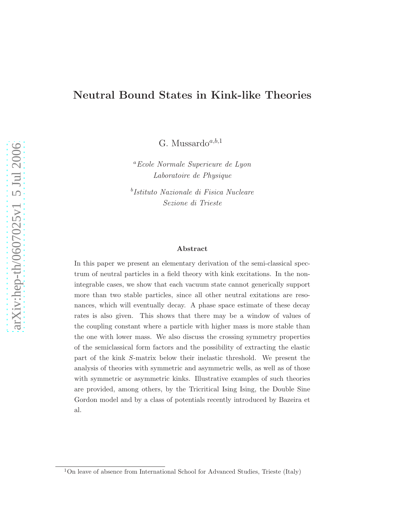# Neutral Bound States in Kink-like Theories

G. Mussardo $a,b,1$ 

<sup>a</sup>Ecole Normale Superieure de Lyon Laboratoire de Physique

b Istituto Nazionale di Fisica Nucleare Sezione di Trieste

#### Abstract

In this paper we present an elementary derivation of the semi-classical spectrum of neutral particles in a field theory with kink excitations. In the nonintegrable cases, we show that each vacuum state cannot generically support more than two stable particles, since all other neutral exitations are resonances, which will eventually decay. A phase space estimate of these decay rates is also given. This shows that there may be a window of values of the coupling constant where a particle with higher mass is more stable than the one with lower mass. We also discuss the crossing symmetry properties of the semiclassical form factors and the possibility of extracting the elastic part of the kink S-matrix below their inelastic threshold. We present the analysis of theories with symmetric and asymmetric wells, as well as of those with symmetric or asymmetric kinks. Illustrative examples of such theories are provided, among others, by the Tricritical Ising Ising, the Double Sine Gordon model and by a class of potentials recently introduced by Bazeira et al.

<sup>1</sup>On leave of absence from International School for Advanced Studies, Trieste (Italy)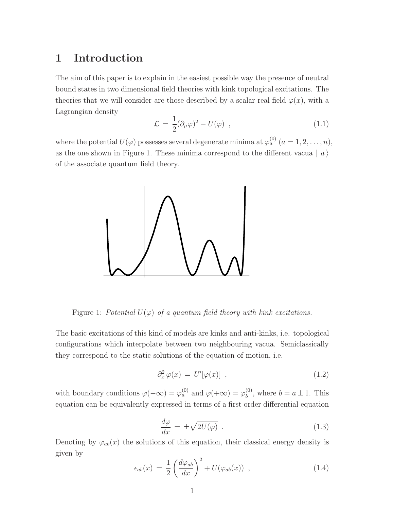# 1 Introduction

<span id="page-1-0"></span>The aim of this paper is to explain in the easiest possible way the presence of neutral bound states in two dimensional field theories with kink topological excitations. The theories that we will consider are those described by a scalar real field  $\varphi(x)$ , with a Lagrangian density

$$
\mathcal{L} = \frac{1}{2} (\partial_{\mu} \varphi)^2 - U(\varphi) \tag{1.1}
$$

where the potential  $U(\varphi)$  possesses several degenerate minima at  $\varphi_a^{(0)}$   $(a = 1, 2, \ldots, n)$ , as the one shown in Figure 1. These minima correspond to the different vacua  $|a\rangle$ of the associate quantum field theory.



Figure 1: Potential  $U(\varphi)$  of a quantum field theory with kink excitations.

The basic excitations of this kind of models are kinks and anti-kinks, i.e. topological configurations which interpolate between two neighbouring vacua. Semiclassically they correspond to the static solutions of the equation of motion, i.e.

<span id="page-1-1"></span>
$$
\partial_x^2 \varphi(x) = U'[\varphi(x)], \qquad (1.2)
$$

<span id="page-1-2"></span>with boundary conditions  $\varphi(-\infty) = \varphi_a^{(0)}$  and  $\varphi(+\infty) = \varphi_b^{(0)}$  $b^{(0)}$ , where  $b = a \pm 1$ . This equation can be equivalently expressed in terms of a first order differential equation

$$
\frac{d\varphi}{dx} = \pm \sqrt{2U(\varphi)} \tag{1.3}
$$

Denoting by  $\varphi_{ab}(x)$  the solutions of this equation, their classical energy density is given by

$$
\epsilon_{ab}(x) = \frac{1}{2} \left( \frac{d\varphi_{ab}}{dx} \right)^2 + U(\varphi_{ab}(x)) , \qquad (1.4)
$$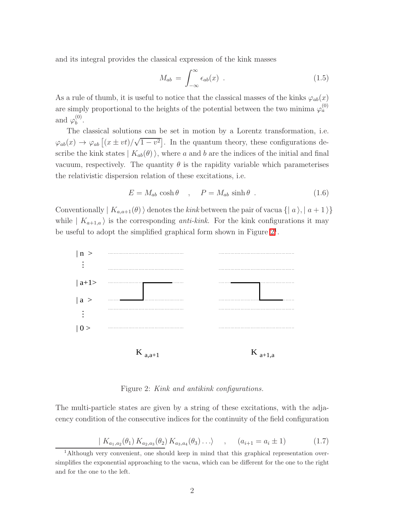and its integral provides the classical expression of the kink masses

<span id="page-2-1"></span>
$$
M_{ab} = \int_{-\infty}^{\infty} \epsilon_{ab}(x) . \qquad (1.5)
$$

As a rule of thumb, it is useful to notice that the classical masses of the kinks  $\varphi_{ab}(x)$ are simply proportional to the heights of the potential between the two minima  $\varphi_a^{(0)}$ and  $\varphi_b^{(0)}$  $b^{(0)}$ 

The classical solutions can be set in motion by a Lorentz transformation, i.e.  $\varphi_{ab}(x) \to \varphi_{ab} \left[ (x \pm vt)/\sqrt{1-v^2} \right]$ . In the quantum theory, these configurations describe the kink states  $| K_{ab}(\theta) \rangle$ , where a and b are the indices of the initial and final vacuum, respectively. The quantity  $\theta$  is the rapidity variable which parameterises the relativistic dispersion relation of these excitations, i.e.

$$
E = M_{ab} \cosh \theta \quad , \quad P = M_{ab} \sinh \theta \quad . \tag{1.6}
$$

Conventionally  $| K_{a,a+1}(\theta) \rangle$  denotes the kink between the pair of vacua  $\{ | a \rangle, | a + 1 \rangle \}$ while  $| K_{a+1,a} \rangle$  is the corresponding *anti-kink*. For the kink configurations it may be useful to adopt the simplified graphical form shown in Figure  $2<sup>1</sup>$ .



<span id="page-2-0"></span>Figure 2: Kink and antikink configurations.

The multi-particle states are given by a string of these excitations, with the adjacency condition of the consecutive indices for the continuity of the field configuration

$$
(K_{a_1,a_2}(\theta_1) K_{a_2,a_3}(\theta_2) K_{a_3,a_4}(\theta_3) \dots), \quad (a_{i+1} = a_i \pm 1)
$$
 (1.7)

<sup>&</sup>lt;sup>1</sup>Although very convenient, one should keep in mind that this graphical representation oversimplifies the exponential approaching to the vacua, which can be different for the one to the right and for the one to the left.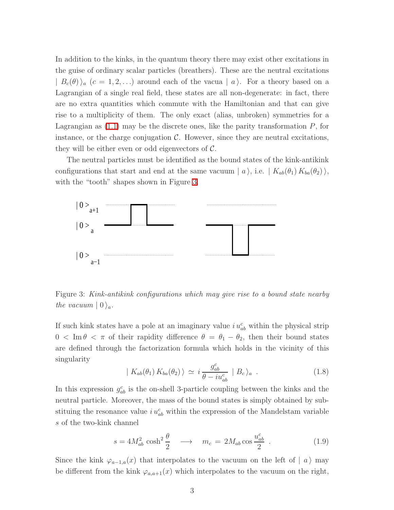In addition to the kinks, in the quantum theory there may exist other excitations in the guise of ordinary scalar particles (breathers). These are the neutral excitations  $| B_c(\theta) \rangle_a$   $(c = 1, 2, ...)$  around each of the vacua  $| a \rangle$ . For a theory based on a Lagrangian of a single real field, these states are all non-degenerate: in fact, there are no extra quantities which commute with the Hamiltonian and that can give rise to a multiplicity of them. The only exact (alias, unbroken) symmetries for a Lagrangian as  $(1.1)$  may be the discrete ones, like the parity transformation  $P$ , for instance, or the charge conjugation  $\mathcal{C}$ . However, since they are neutral excitations, they will be either even or odd eigenvectors of  $\mathcal{C}$ .

The neutral particles must be identified as the bound states of the kink-antikink configurations that start and end at the same vacuum  $| a \rangle$ , i.e.  $| K_{ab}(\theta_1) K_{ba}(\theta_2) \rangle$ , with the "tooth" shapes shown in Figure [3.](#page-3-0)



<span id="page-3-0"></span>Figure 3: Kink-antikink configurations which may give rise to a bound state nearby the vacuum  $|0\rangle_a$ .

If such kink states have a pole at an imaginary value  $i u_{ab}^c$  within the physical strip  $0 < \text{Im } \theta < \pi$  of their rapidity difference  $\theta = \theta_1 - \theta_2$ , then their bound states are defined through the factorization formula which holds in the vicinity of this singularity

$$
| K_{ab}(\theta_1) K_{ba}(\theta_2) \rangle \simeq i \frac{g_{ab}^c}{\theta - i u_{ab}^c} | B_c \rangle_a . \qquad (1.8)
$$

In this expression  $g_{ab}^c$  is the on-shell 3-particle coupling between the kinks and the neutral particle. Moreover, the mass of the bound states is simply obtained by substituing the resonance value  $i u_{ab}^c$  within the expression of the Mandelstam variable s of the two-kink channel

<span id="page-3-1"></span>
$$
s = 4M_{ab}^2 \cosh^2 \frac{\theta}{2} \longrightarrow m_c = 2M_{ab} \cos \frac{u_{ab}^c}{2} \tag{1.9}
$$

Since the kink  $\varphi_{a-1,a}(x)$  that interpolates to the vacuum on the left of  $|a\rangle$  may be different from the kink  $\varphi_{a,a+1}(x)$  which interpolates to the vacuum on the right,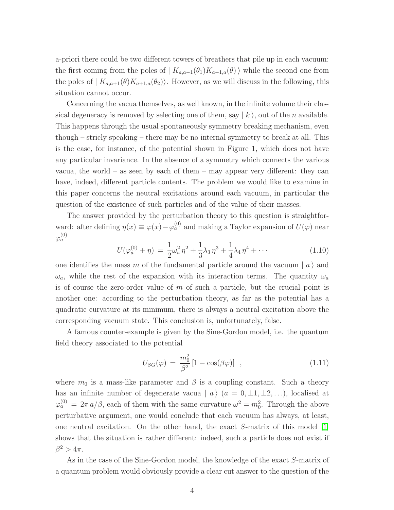a-priori there could be two different towers of breathers that pile up in each vacuum: the first coming from the poles of  $| K_{a,a-1}(\theta_1)K_{a-1,a}(\theta) \rangle$  while the second one from the poles of  $| K_{a,a+1}(\theta)K_{a+1,a}(\theta_2) \rangle$ . However, as we will discuss in the following, this situation cannot occur.

Concerning the vacua themselves, as well known, in the infinite volume their classical degeneracy is removed by selecting one of them, say  $|k\rangle$ , out of the *n* available. This happens through the usual spontaneously symmetry breaking mechanism, even though – stricly speaking – there may be no internal symmetry to break at all. This is the case, for instance, of the potential shown in Figure 1, which does not have any particular invariance. In the absence of a symmetry which connects the various vacua, the world – as seen by each of them – may appear very different: they can have, indeed, different particle contents. The problem we would like to examine in this paper concerns the neutral excitations around each vacuum, in particular the question of the existence of such particles and of the value of their masses.

The answer provided by the perturbation theory to this question is straightforward: after defining  $\eta(x) \equiv \varphi(x) - \varphi_a^{(0)}$  and making a Taylor expansion of  $U(\varphi)$  near  $\varphi_a^{(0)}$ 

$$
U(\varphi_a^{(0)} + \eta) = \frac{1}{2}\omega_a^2 \eta^2 + \frac{1}{3}\lambda_3 \eta^3 + \frac{1}{4}\lambda_4 \eta^4 + \cdots
$$
 (1.10)

one identifies the mass m of the fundamental particle around the vacuum  $|a\rangle$  and  $\omega_a$ , while the rest of the expansion with its interaction terms. The quantity  $\omega_a$ is of course the zero-order value of  $m$  of such a particle, but the crucial point is another one: according to the perturbation theory, as far as the potential has a quadratic curvature at its minimum, there is always a neutral excitation above the corresponding vacuum state. This conclusion is, unfortunately, false.

A famous counter-example is given by the Sine-Gordon model, i.e. the quantum field theory associated to the potential

$$
U_{SG}(\varphi) = \frac{m_0^2}{\beta^2} \left[ 1 - \cos(\beta \varphi) \right] \tag{1.11}
$$

where  $m_0$  is a mass-like parameter and  $\beta$  is a coupling constant. Such a theory has an infinite number of degenerate vacua  $| a \rangle$   $(a = 0, \pm 1, \pm 2, ...)$ , localised at  $\varphi_a^{(0)} = 2\pi a/\beta$ , each of them with the same curvature  $\omega^2 = m_0^2$ . Through the above perturbative argument, one would conclude that each vacuum has always, at least, one neutral excitation. On the other hand, the exact S-matrix of this model [\[1\]](#page-65-0) shows that the situation is rather different: indeed, such a particle does not exist if  $\beta^2 > 4\pi$ .

As in the case of the Sine-Gordon model, the knowledge of the exact S-matrix of a quantum problem would obviously provide a clear cut answer to the question of the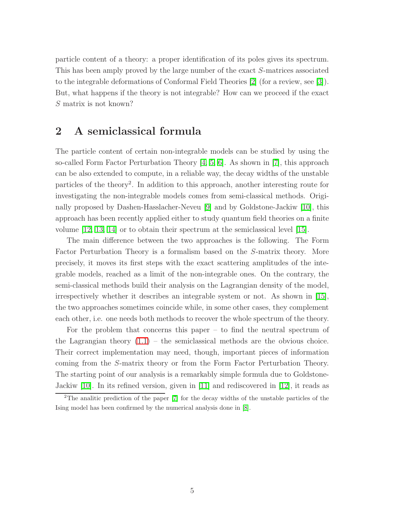particle content of a theory: a proper identification of its poles gives its spectrum. This has been amply proved by the large number of the exact S-matrices associated to the integrable deformations of Conformal Field Theories [\[2\]](#page-65-1) (for a review, see [\[3\]](#page-65-2)). But, what happens if the theory is not integrable? How can we proceed if the exact S matrix is not known?

# 2 A semiclassical formula

The particle content of certain non-integrable models can be studied by using the so-called Form Factor Perturbation Theory [\[4,](#page-65-3) [5,](#page-65-4) [6\]](#page-65-5). As shown in [\[7\]](#page-65-6), this approach can be also extended to compute, in a reliable way, the decay widths of the unstable particles of the theory<sup>2</sup>. In addition to this approach, another interesting route for investigating the non-integrable models comes from semi-classical methods. Originally proposed by Dashen-Hasslacher-Neveu [\[9\]](#page-65-7) and by Goldstone-Jackiw [\[10\]](#page-65-8), this approach has been recently applied either to study quantum field theories on a finite volume [\[12,](#page-65-9) [13,](#page-66-0) [14\]](#page-66-1) or to obtain their spectrum at the semiclassical level [\[15\]](#page-66-2).

The main difference between the two approaches is the following. The Form Factor Perturbation Theory is a formalism based on the S-matrix theory. More precisely, it moves its first steps with the exact scattering amplitudes of the integrable models, reached as a limit of the non-integrable ones. On the contrary, the semi-classical methods build their analysis on the Lagrangian density of the model, irrespectively whether it describes an integrable system or not. As shown in [\[15\]](#page-66-2), the two approaches sometimes coincide while, in some other cases, they complement each other, i.e. one needs both methods to recover the whole spectrum of the theory.

For the problem that concerns this paper – to find the neutral spectrum of the Lagrangian theory  $(1.1)$  – the semiclassical methods are the obvious choice. Their correct implementation may need, though, important pieces of information coming from the S-matrix theory or from the Form Factor Perturbation Theory. The starting point of our analysis is a remarkably simple formula due to Goldstone-Jackiw [\[10\]](#page-65-8). In its refined version, given in [\[11\]](#page-65-10) and rediscovered in [\[12\]](#page-65-9), it reads as

<sup>&</sup>lt;sup>2</sup>The analitic prediction of the paper  $[7]$  for the decay widths of the unstable particles of the Ising model has been confirmed by the numerical analysis done in [\[8\]](#page-65-11).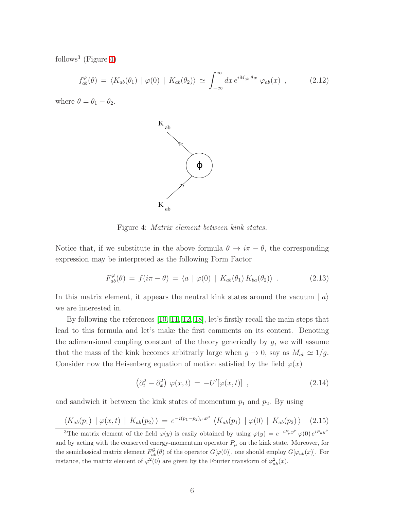<span id="page-6-2"></span>follows<sup>3</sup> (Figure [4\)](#page-6-0)

$$
f_{ab}^{\varphi}(\theta) = \langle K_{ab}(\theta_1) \mid \varphi(0) \mid K_{ab}(\theta_2) \rangle \simeq \int_{-\infty}^{\infty} dx \, e^{iM_{ab}\theta \, x} \, \varphi_{ab}(x) \quad , \tag{2.12}
$$

where  $\theta = \theta_1 - \theta_2$ .



<span id="page-6-0"></span>Figure 4: Matrix element between kink states.

Notice that, if we substitute in the above formula  $\theta \to i\pi - \theta$ , the corresponding expression may be interpreted as the following Form Factor

$$
F_{ab}^{\varphi}(\theta) = f(i\pi - \theta) = \langle a \mid \varphi(0) \mid K_{ab}(\theta_1) K_{ba}(\theta_2) \rangle . \tag{2.13}
$$

In this matrix element, it appears the neutral kink states around the vacuum  $|a\rangle$ we are interested in.

By following the references [\[10,](#page-65-8) [11,](#page-65-10) [12,](#page-65-9) [18\]](#page-66-3), let's firstly recall the main steps that lead to this formula and let's make the first comments on its content. Denoting the adimensional coupling constant of the theory generically by  $g$ , we will assume that the mass of the kink becomes arbitrarly large when  $g \to 0$ , say as  $M_{ab} \simeq 1/g$ . Consider now the Heisenberg equation of motion satisfied by the field  $\varphi(x)$ 

<span id="page-6-1"></span>
$$
\left(\partial_t^2 - \partial_x^2\right) \varphi(x, t) = -U'[\varphi(x, t)] \quad , \tag{2.14}
$$

and sandwich it between the kink states of momentum  $p_1$  and  $p_2$ . By using

$$
\langle K_{ab}(p_1) | \varphi(x,t) | K_{ab}(p_2) \rangle = e^{-i(p_1 - p_2)_{\mu} x^{\mu}} \langle K_{ab}(p_1) | \varphi(0) | K_{ab}(p_2) \rangle \quad (2.15)
$$

<sup>&</sup>lt;sup>3</sup>The matrix element of the field  $\varphi(y)$  is easily obtained by using  $\varphi(y) = e^{-iP_\mu y^\mu} \varphi(0) e^{iP_\mu y^\mu}$ and by acting with the conserved energy-momentum operator  $P_\mu$  on the kink state. Moreover, for the semiclassical matrix element  $F_{ab}^{\mathcal{G}}(\theta)$  of the operator  $G[\varphi(0)]$ , one should employ  $G[\varphi_{ab}(x)]$ . For instance, the matrix element of  $\varphi^2(0)$  are given by the Fourier transform of  $\varphi^2_{ab}(x)$ .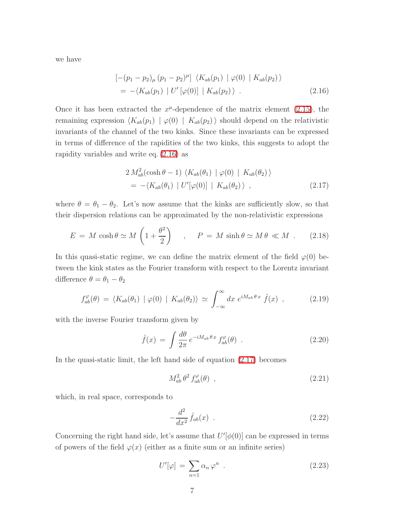<span id="page-7-0"></span>we have

$$
[-(p_1 - p_2)_{\mu} (p_1 - p_2)^{\mu}] \langle K_{ab}(p_1) | \varphi(0) | K_{ab}(p_2) \rangle
$$
  
= -\langle K\_{ab}(p\_1) | U' [\varphi(0)] | K\_{ab}(p\_2) \rangle . (2.16)

Once it has been extracted the  $x^{\mu}$ -dependence of the matrix element [\(2.15\)](#page-6-1), the remaining expression  $\langle K_{ab}(p_1) | \varphi(0) | K_{ab}(p_2) \rangle$  should depend on the relativistic invariants of the channel of the two kinks. Since these invariants can be expressed in terms of difference of the rapidities of the two kinks, this suggests to adopt the rapidity variables and write eq. [\(2.16\)](#page-7-0) as

$$
2 M_{ab}^2(\cosh \theta - 1) \langle K_{ab}(\theta_1) | \varphi(0) | K_{ab}(\theta_2) \rangle
$$
  
= -\langle K\_{ab}(\theta\_1) | U'[\varphi(0)] | K\_{ab}(\theta\_2) \rangle , (2.17)

<span id="page-7-1"></span>where  $\theta = \theta_1 - \theta_2$ . Let's now assume that the kinks are sufficiently slow, so that their dispersion relations can be approximated by the non-relativistic expressions

$$
E = M \cosh \theta \simeq M \left( 1 + \frac{\theta^2}{2} \right) \quad , \quad P = M \sinh \theta \simeq M \theta \ll M \quad . \tag{2.18}
$$

<span id="page-7-2"></span>In this quasi-static regime, we can define the matrix element of the field  $\varphi(0)$  between the kink states as the Fourier transform with respect to the Lorentz invariant difference  $\theta = \theta_1 - \theta_2$ 

$$
f_{ab}^{\varphi}(\theta) = \langle K_{ab}(\theta_1) \mid \varphi(0) \mid K_{ab}(\theta_2) \rangle \simeq \int_{-\infty}^{\infty} dx \ e^{iM_{ab}\theta \cdot x} \hat{f}(x) , \qquad (2.19)
$$

with the inverse Fourier transform given by

$$
\hat{f}(x) = \int \frac{d\theta}{2\pi} e^{-iM_{ab}\theta x} f^{\varphi}_{ab}(\theta) . \qquad (2.20)
$$

In the quasi-static limit, the left hand side of equation [\(2.17\)](#page-7-1) becomes

$$
M_{ab}^2 \,\theta^2 \, f_{ab}^\varphi(\theta) \quad , \tag{2.21}
$$

which, in real space, corresponds to

$$
-\frac{d^2}{dx^2}\hat{f}_{ab}(x) \tag{2.22}
$$

Concerning the right hand side, let's assume that  $U'[\phi(0)]$  can be expressed in terms of powers of the field  $\varphi(x)$  (either as a finite sum or an infinite series)

$$
U'[\varphi] = \sum_{n=1} \alpha_n \varphi^n \quad . \tag{2.23}
$$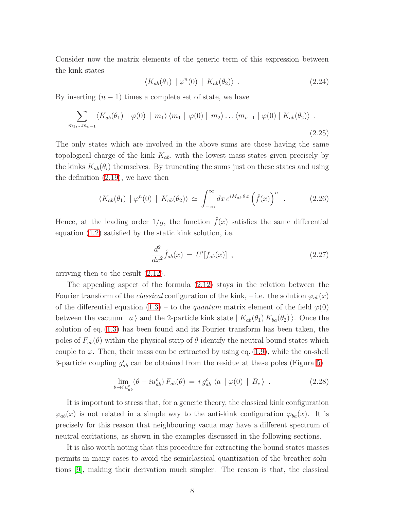Consider now the matrix elements of the generic term of this expression between the kink states

<span id="page-8-0"></span>
$$
\langle K_{ab}(\theta_1) | \varphi^n(0) | K_{ab}(\theta_2) \rangle . \tag{2.24}
$$

By inserting  $(n - 1)$  times a complete set of state, we have

$$
\sum_{m_1,\dots m_{n-1}} \langle K_{ab}(\theta_1) \mid \varphi(0) \mid m_1 \rangle \langle m_1 \mid \varphi(0) \mid m_2 \rangle \dots \langle m_{n-1} \mid \varphi(0) \mid K_{ab}(\theta_2) \rangle .
$$
\n(2.25)

The only states which are involved in the above sums are those having the same topological charge of the kink  $K_{ab}$ , with the lowest mass states given precisely by the kinks  $K_{ab}(\theta_i)$  themselves. By truncating the sums just on these states and using the definition [\(2.19\)](#page-7-2), we have then

$$
\langle K_{ab}(\theta_1) \mid \varphi^n(0) \mid K_{ab}(\theta_2) \rangle \simeq \int_{-\infty}^{\infty} dx \, e^{iM_{ab}\theta \, x} \left(\hat{f}(x)\right)^n \quad . \tag{2.26}
$$

Hence, at the leading order  $1/g$ , the function  $\hat{f}(x)$  satisfies the same differential equation [\(1.2\)](#page-1-1) satisfied by the static kink solution, i.e.

$$
\frac{d^2}{dx^2}\hat{f}_{ab}(x) = U'[f_{ab}(x)] \quad , \tag{2.27}
$$

arriving then to the result [\(2.12\)](#page-6-2).

The appealing aspect of the formula [\(2.12\)](#page-6-2) stays in the relation between the Fourier transform of the *classical* configuration of the kink, – i.e. the solution  $\varphi_{ab}(x)$ of the differential equation [\(1.3\)](#page-1-2) – to the quantum matrix element of the field  $\varphi(0)$ between the vacuum | a i and the 2-particle kink state  $| K_{ab}(\theta_1) K_{ba}(\theta_2) \rangle$ . Once the solution of eq. [\(1.3\)](#page-1-2) has been found and its Fourier transform has been taken, the poles of  $F_{ab}(\theta)$  within the physical strip of  $\theta$  identify the neutral bound states which couple to  $\varphi$ . Then, their mass can be extracted by using eq. [\(1.9\)](#page-3-1), while the on-shell 3-particle coupling  $g_{ab}^c$  can be obtained from the residue at these poles (Figura [5\)](#page-9-0)

$$
\lim_{\theta \to i} \mu_{ab}^c \left(\theta - i u_{ab}^c\right) F_{ab}(\theta) = i g_{ab}^c \langle a | \varphi(0) | B_c \rangle . \tag{2.28}
$$

It is important to stress that, for a generic theory, the classical kink configuration  $\varphi_{ab}(x)$  is not related in a simple way to the anti-kink configuration  $\varphi_{ba}(x)$ . It is precisely for this reason that neighbouring vacua may have a different spectrum of neutral excitations, as shown in the examples discussed in the following sections.

It is also worth noting that this procedure for extracting the bound states masses permits in many cases to avoid the semiclassical quantization of the breather solutions [\[9\]](#page-65-7), making their derivation much simpler. The reason is that, the classical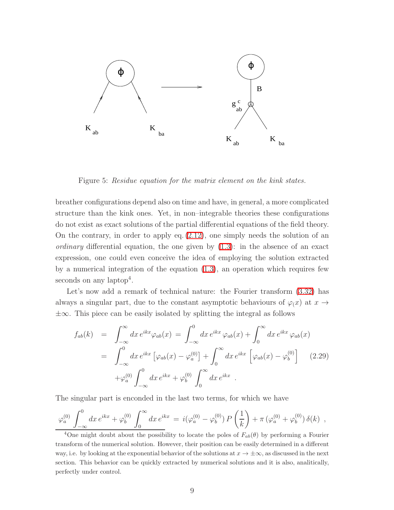

<span id="page-9-0"></span>Figure 5: Residue equation for the matrix element on the kink states.

breather configurations depend also on time and have, in general, a more complicated structure than the kink ones. Yet, in non–integrable theories these configurations do not exist as exact solutions of the partial differential equations of the field theory. On the contrary, in order to apply eq. [\(2.12\)](#page-6-2), one simply needs the solution of an *ordinary* differential equation, the one given by  $(1.3)$ : in the absence of an exact expression, one could even conceive the idea of employing the solution extracted by a numerical integration of the equation [\(1.3\)](#page-1-2), an operation which requires few seconds on any laptop<sup>4</sup>.

Let's now add a remark of technical nature: the Fourier transform  $(3.32)$  has always a singular part, due to the constant asymptotic behaviours of  $\varphi(x)$  at  $x \to$ ±∞. This piece can be easily isolated by splitting the integral as follows

$$
f_{ab}(k) = \int_{-\infty}^{\infty} dx \, e^{ikx} \varphi_{ab}(x) = \int_{-\infty}^{0} dx \, e^{ikx} \varphi_{ab}(x) + \int_{0}^{\infty} dx \, e^{ikx} \varphi_{ab}(x)
$$
  

$$
= \int_{-\infty}^{0} dx \, e^{ikx} \left[ \varphi_{ab}(x) - \varphi_{a}^{(0)} \right] + \int_{0}^{\infty} dx \, e^{ikx} \left[ \varphi_{ab}(x) - \varphi_{b}^{(0)} \right] \tag{2.29}
$$

$$
+ \varphi_{a}^{(0)} \int_{-\infty}^{0} dx \, e^{ikx} + \varphi_{b}^{(0)} \int_{0}^{\infty} dx \, e^{ikx} .
$$

The singular part is enconded in the last two terms, for which we have

$$
\varphi_a^{(0)} \int_{-\infty}^0 dx \, e^{ikx} + \varphi_b^{(0)} \int_0^\infty dx \, e^{ikx} = i(\varphi_a^{(0)} - \varphi_b^{(0)}) \, P\left(\frac{1}{k}\right) + \pi \left(\varphi_a^{(0)} + \varphi_b^{(0)}\right) \delta(k) ,
$$

<sup>4</sup>One might doubt about the possibility to locate the poles of  $F_{ab}(\theta)$  by performing a Fourier transform of the numerical solution. However, their position can be easily determined in a different way, i.e. by looking at the exponential behavior of the solutions at  $x \to \pm \infty$ , as discussed in the next section. This behavior can be quickly extracted by numerical solutions and it is also, analitically, perfectly under control.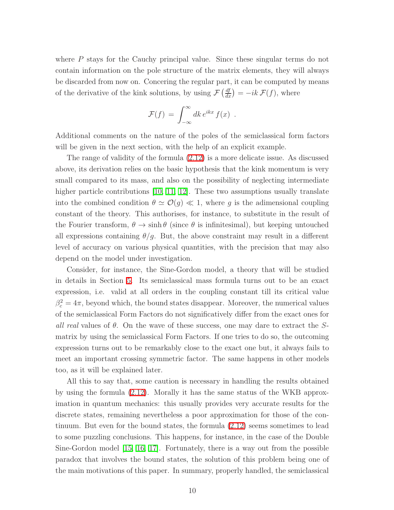where P stays for the Cauchy principal value. Since these singular terms do not contain information on the pole structure of the matrix elements, they will always be discarded from now on. Concering the regular part, it can be computed by means of the derivative of the kink solutions, by using  $\mathcal{F}\left(\frac{df}{dx}\right) = -ik \mathcal{F}(f)$ , where

$$
\mathcal{F}(f) = \int_{-\infty}^{\infty} dk \, e^{ikx} \, f(x) \; .
$$

Additional comments on the nature of the poles of the semiclassical form factors will be given in the next section, with the help of an explicit example.

The range of validity of the formula [\(2.12\)](#page-6-2) is a more delicate issue. As discussed above, its derivation relies on the basic hypothesis that the kink momentum is very small compared to its mass, and also on the possibility of neglecting intermediate higher particle contributions [\[10,](#page-65-8) [11,](#page-65-10) [12\]](#page-65-9). These two assumptions usually translate into the combined condition  $\theta \simeq \mathcal{O}(g) \ll 1$ , where g is the adimensional coupling constant of the theory. This authorises, for instance, to substitute in the result of the Fourier transform,  $\theta \to \sinh \theta$  (since  $\theta$  is infinitesimal), but keeping untouched all expressions containing  $\theta/g$ . But, the above constraint may result in a different level of accuracy on various physical quantities, with the precision that may also depend on the model under investigation.

Consider, for instance, the Sine-Gordon model, a theory that will be studied in details in Section [5.](#page-34-0) Its semiclassical mass formula turns out to be an exact expression, i.e. valid at all orders in the coupling constant till its critical value  $\beta_c^2 = 4\pi$ , beyond which, the bound states disappear. Moreover, the numerical values of the semiclassical Form Factors do not significatively differ from the exact ones for all real values of  $\theta$ . On the wave of these success, one may dare to extract the Smatrix by using the semiclassical Form Factors. If one tries to do so, the outcoming expression turns out to be remarkably close to the exact one but, it always fails to meet an important crossing symmetric factor. The same happens in other models too, as it will be explained later.

All this to say that, some caution is necessary in handling the results obtained by using the formula [\(2.12\)](#page-6-2). Morally it has the same status of the WKB approximation in quantum mechanics: this usually provides very accurate results for the discrete states, remaining nevertheless a poor approximation for those of the continuum. But even for the bound states, the formula [\(2.12\)](#page-6-2) seems sometimes to lead to some puzzling conclusions. This happens, for instance, in the case of the Double Sine-Gordon model [\[15,](#page-66-2) [16,](#page-66-4) [17\]](#page-66-5). Fortunately, there is a way out from the possible paradox that involves the bound states, the solution of this problem being one of the main motivations of this paper. In summary, properly handled, the semiclassical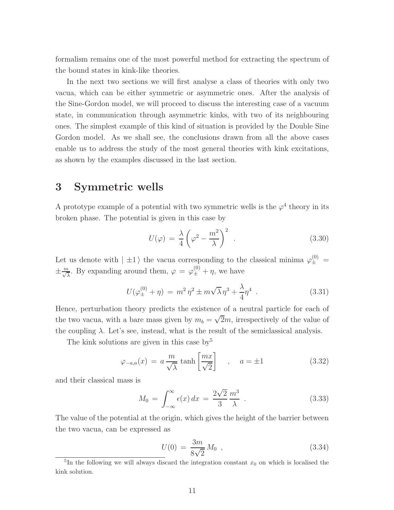formalism remains one of the most powerful method for extracting the spectrum of the bound states in kink-like theories.

In the next two sections we will first analyse a class of theories with only two vacua, which can be either symmetric or asymmetric ones. After the analysis of the Sine-Gordon model, we will proceed to discuss the interesting case of a vacuum state, in communication through asymmetric kinks, with two of its neighbouring ones. The simplest example of this kind of situation is provided by the Double Sine Gordon model. As we shall see, the conclusions drawn from all the above cases enable us to address the study of the most general theories with kink excitations, as shown by the examples discussed in the last section.

### <span id="page-11-2"></span>3 Symmetric wells

A prototype example of a potential with two symmetric wells is the  $\varphi^4$  theory in its broken phase. The potential is given in this case by

<span id="page-11-1"></span>
$$
U(\varphi) = \frac{\lambda}{4} \left( \varphi^2 - \frac{m^2}{\lambda} \right)^2 \tag{3.30}
$$

Let us denote with  $|\pm 1\rangle$  the vacua corresponding to the classical minima  $\varphi_{\pm}^{(0)}$  =  $\pm \frac{m}{\sqrt{\lambda}}$ . By expanding around them,  $\varphi = \varphi_{\pm}^{(0)} + \eta$ , we have

$$
U(\varphi_{\pm}^{(0)} + \eta) = m^2 \eta^2 \pm m\sqrt{\lambda} \eta^3 + \frac{\lambda}{4} \eta^4 \tag{3.31}
$$

Hence, perturbation theory predicts the existence of a neutral particle for each of the two vacua, with a bare mass given by  $m_b = \sqrt{2}m$ , irrespectively of the value of the coupling  $\lambda$ . Let's see, instead, what is the result of the semiclassical analysis.

The kink solutions are given in this case  $by<sup>5</sup>$ 

<span id="page-11-0"></span>
$$
\varphi_{-a,a}(x) = a \frac{m}{\sqrt{\lambda}} \tanh\left[\frac{mx}{\sqrt{2}}\right] , \quad a = \pm 1 \tag{3.32}
$$

and their classical mass is

$$
M_0 = \int_{-\infty}^{\infty} \epsilon(x) dx = \frac{2\sqrt{2}}{3} \frac{m^3}{\lambda} .
$$
 (3.33)

The value of the potential at the origin, which gives the height of the barrier between the two vacua, can be expressed as

$$
U(0) = \frac{3m}{8\sqrt{2}} M_0 , \qquad (3.34)
$$

<sup>&</sup>lt;sup>5</sup>In the following we will always discard the integration constant  $x_0$  on which is localised the kink solution.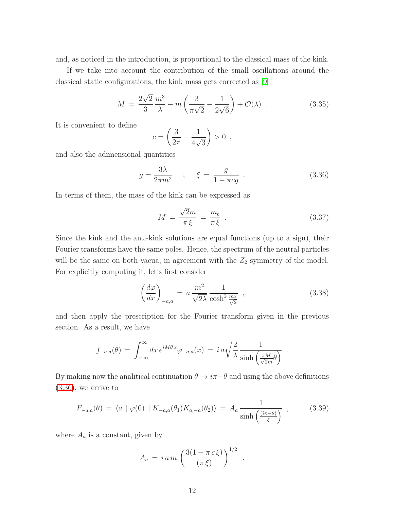and, as noticed in the introduction, is proportional to the classical mass of the kink.

If we take into account the contribution of the small oscillations around the classical static configurations, the kink mass gets corrected as [\[9\]](#page-65-7)

$$
M = \frac{2\sqrt{2}}{3} \frac{m^3}{\lambda} - m \left( \frac{3}{\pi \sqrt{2}} - \frac{1}{2\sqrt{6}} \right) + \mathcal{O}(\lambda) \tag{3.35}
$$

It is convenient to define

<span id="page-12-0"></span>
$$
c = \left(\frac{3}{2\pi} - \frac{1}{4\sqrt{3}}\right) > 0 \ ,
$$

and also the adimensional quantities

$$
g = \frac{3\lambda}{2\pi m^2} \quad ; \quad \xi = \frac{g}{1 - \pi cg} \quad . \tag{3.36}
$$

In terms of them, the mass of the kink can be expressed as

$$
M = \frac{\sqrt{2}m}{\pi \xi} = \frac{m_b}{\pi \xi} \tag{3.37}
$$

Since the kink and the anti-kink solutions are equal functions (up to a sign), their Fourier transforms have the same poles. Hence, the spectrum of the neutral particles will be the same on both vacua, in agreement with the  $Z_2$  symmetry of the model. For explicitly computing it, let's first consider

$$
\left(\frac{d\varphi}{dx}\right)_{-a,a} = a \frac{m^2}{\sqrt{2\lambda}} \frac{1}{\cosh^2 \frac{mx}{\sqrt{2}}},\qquad(3.38)
$$

and then apply the prescription for the Fourier transform given in the previous section. As a result, we have

$$
f_{-a,a}(\theta) = \int_{-\infty}^{\infty} dx \, e^{iM\theta \, x} \varphi_{-a,a}(x) = i \, a \sqrt{\frac{2}{\lambda}} \frac{1}{\sinh\left(\frac{\pi M}{\sqrt{2m}}\theta\right)} \; .
$$

<span id="page-12-1"></span>By making now the analitical continuation  $\theta \to i\pi-\theta$  and using the above definitions  $(3.36)$ , we arrive to

$$
F_{-a,a}(\theta) = \langle a \mid \varphi(0) \mid K_{-a,a}(\theta_1) K_{a,-a}(\theta_2) \rangle = A_a \frac{1}{\sinh\left(\frac{(i\pi - \theta)}{\xi}\right)} \,, \tag{3.39}
$$

where  $A_a$  is a constant, given by

$$
A_a = i \, a \, m \, \left( \frac{3(1 + \pi \, c \, \xi)}{(\pi \, \xi)} \right)^{1/2} \, .
$$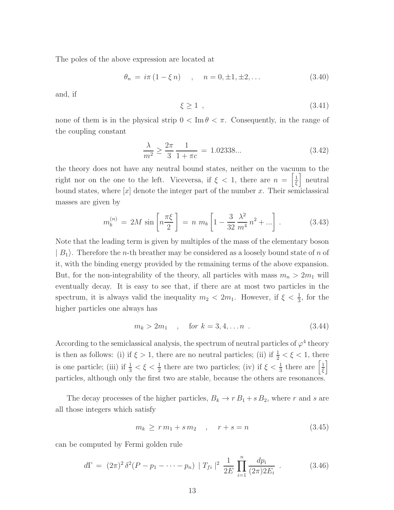The poles of the above expression are located at

<span id="page-13-1"></span>
$$
\theta_n = i\pi (1 - \xi n) \quad , \quad n = 0, \pm 1, \pm 2, \dots \tag{3.40}
$$

and, if

$$
\xi \ge 1 \tag{3.41}
$$

<span id="page-13-0"></span>none of them is in the physical strip  $0 < \text{Im } \theta < \pi$ . Consequently, in the range of the coupling constant

$$
\frac{\lambda}{m^2} \ge \frac{2\pi}{3} \frac{1}{1+\pi c} = 1.02338... \tag{3.42}
$$

<span id="page-13-2"></span>the theory does not have any neutral bound states, neither on the vacuum to the right nor on the one to the left. Viceversa, if  $\xi < 1$ , there are  $n = \left[\frac{1}{\xi}\right]$  $\frac{1}{\xi}$  neutral bound states, where  $[x]$  denote the integer part of the number x. Their semiclassical masses are given by

$$
m_b^{(n)} = 2M \sin\left[n\frac{\pi\xi}{2}\right] = n \ m_b \left[1 - \frac{3}{32} \frac{\lambda^2}{m^4} n^2 + \ldots\right]. \tag{3.43}
$$

Note that the leading term is given by multiples of the mass of the elementary boson  $|B_1\rangle$ . Therefore the *n*-th breather may be considered as a loosely bound state of *n* of it, with the binding energy provided by the remaining terms of the above expansion. But, for the non-integrability of the theory, all particles with mass  $m_n > 2m_1$  will eventually decay. It is easy to see that, if there are at most two particles in the spectrum, it is always valid the inequality  $m_2 < 2m_1$ . However, if  $\xi < \frac{1}{3}$ , for the higher particles one always has

$$
m_k > 2m_1 \quad , \quad \text{for } k = 3, 4, \dots n \tag{3.44}
$$

According to the semiclassical analysis, the spectrum of neutral particles of  $\varphi^4$  theory is then as follows: (i) if  $\xi > 1$ , there are no neutral particles; (ii) if  $\frac{1}{2} < \xi < 1$ , there is one particle; (iii) if  $\frac{1}{3} < \xi < \frac{1}{2}$  there are two particles; (iv) if  $\xi < \frac{1}{3}$  there are  $\left[\frac{1}{\xi}\right]$  $\frac{1}{\xi}$ particles, although only the first two are stable, because the others are resonances.

The decay processes of the higher particles,  $B_k \to r B_1 + s B_2$ , where r and s are all those integers which satisfy

$$
m_k \ge r m_1 + s m_2 , \quad r + s = n \tag{3.45}
$$

can be computed by Fermi golden rule

$$
d\Gamma = (2\pi)^2 \delta^2 (P - p_1 - \dots - p_n) |T_{fi}|^2 \frac{1}{2E} \prod_{i=1}^n \frac{dp_i}{(2\pi)^2 E_i}.
$$
 (3.46)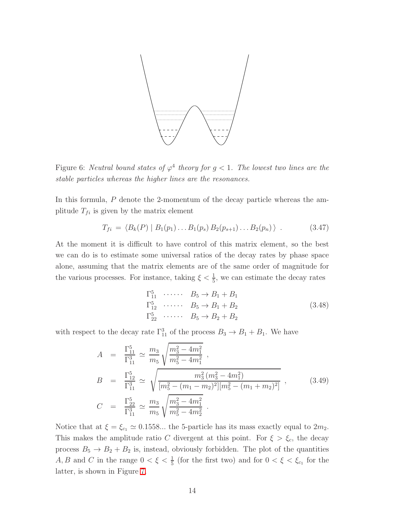

Figure 6: Neutral bound states of  $\varphi^4$  theory for  $g < 1$ . The lowest two lines are the stable particles whereas the higher lines are the resonances.

In this formula, P denote the 2-momentum of the decay particle whereas the amplitude  $T_{fi}$  is given by the matrix element

$$
T_{fi} = \langle B_k(P) | B_1(p_1) \dots B_1(p_s) B_2(p_{s+1}) \dots B_2(p_n) \rangle . \tag{3.47}
$$

At the moment it is difficult to have control of this matrix element, so the best we can do is to estimate some universal ratios of the decay rates by phase space alone, assuming that the matrix elements are of the same order of magnitude for the various processes. For instance, taking  $\xi < \frac{1}{5}$ , we can estimate the decay rates

$$
\Gamma_{11}^{5} \cdots \cdots \quad B_5 \to B_1 + B_1
$$
\n
$$
\Gamma_{12}^{5} \cdots \cdots \quad B_5 \to B_1 + B_2
$$
\n
$$
\Gamma_{22}^{5} \cdots \cdots \quad B_5 \to B_2 + B_2
$$
\n
$$
(3.48)
$$

with respect to the decay rate  $\Gamma_{11}^3$  of the process  $B_3 \to B_1 + B_1$ . We have

$$
A = \frac{\Gamma_{11}^5}{\Gamma_{11}^3} \simeq \frac{m_3}{m_5} \sqrt{\frac{m_3^2 - 4m_1^2}{m_5^2 - 4m_1^2}} ,
$$
  
\n
$$
B = \frac{\Gamma_{12}^5}{\Gamma_{11}^3} \simeq \sqrt{\frac{m_3^2 (m_3^2 - 4m_1^2)}{[m_5^2 - (m_1 - m_2)^2][m_5^2 - (m_1 + m_2)^2]}} ,
$$
  
\n
$$
C = \frac{\Gamma_{22}^5}{\Gamma_{11}^3} \simeq \frac{m_3}{m_5} \sqrt{\frac{m_3^2 - 4m_1^2}{m_5^2 - 4m_2^2}} .
$$
\n(3.49)

Notice that at  $\xi = \xi_{c_1} \simeq 0.1558...$  the 5-particle has its mass exactly equal to  $2m_2$ . This makes the amplitude ratio C divergent at this point. For  $\xi > \xi_c$ , the decay process  $B_5 \to B_2 + B_2$  is, instead, obviously forbidden. The plot of the quantities A, B and C in the range  $0 < \xi < \frac{1}{5}$  (for the first two) and for  $0 < \xi < \xi_{c_1}$  for the latter, is shown in Figure [7.](#page-15-0)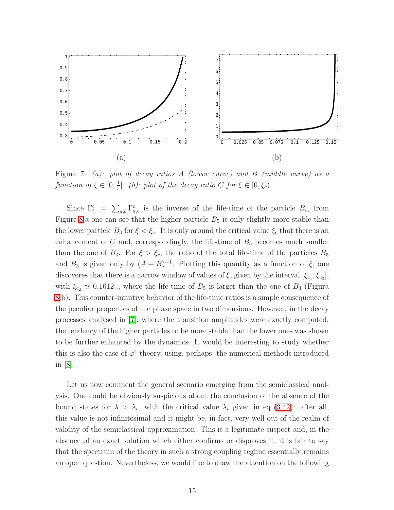

<span id="page-15-0"></span>Figure 7: (a): plot of decay ratios A (lower curve) and B (middle curve) as a function of  $\xi \in [0, \frac{1}{5}]$  $\frac{1}{5}$ . (b): plot of the decay ratio C for  $\xi \in [0, \xi_c)$ .

Since  $\Gamma_t^c = \sum_{a,b} \Gamma_{a,b}^c$  is the inverse of the life-time of the particle  $B_c$ , from Figure [8.](#page-16-0)a one can see that the higher particle  $B_5$  is only slightly more stable than the lower particle  $B_3$  for  $\xi < \xi_c$ . It is only around the critical value  $\xi_c$  that there is an enhancement of  $C$  and, correspondingly, the life-time of  $B_5$  becomes much smaller than the one of  $B_3$ . For  $\xi > \xi_c$ , the ratio of the total life-time of the particles  $B_5$ and  $B_3$  is given only by  $(A + B)^{-1}$ . Plotting this quantity as a function of  $\xi$ , one discoveres that there is a narrow window of values of  $\xi$ , given by the interval  $[\xi_{c_1}, \xi_{c_2}]$ , with  $\xi_{c_2} \simeq 0.1612...$ , where the life-time of  $B_5$  is larger than the one of  $B_3$  (Figura [8.](#page-16-0)b). This counter-intuitive behavior of the life-time ratios is a simple consequence of the peculiar properties of the phase space in two dimensions. However, in the decay processes analysed in [\[7\]](#page-65-6), where the transition amplitudes were exactly computed, the tendency of the higher particles to be more stable than the lower ones was shown to be further enhanced by the dynamics. It would be interesting to study whether this is also the case of  $\varphi^4$  theory, using, perhaps, the numerical methods introduced in [\[8\]](#page-65-11).

Let us now comment the general scenario emerging from the semiclassical analysis. One could be obviously suspicious about the conclusion of the absence of the bound states for  $\lambda > \lambda_c$ , with the critical value  $\lambda_c$  given in eq. [\(3.42\)](#page-13-0): after all, this value is not infinitesimal and it might be, in fact, very well out of the realm of validity of the semiclassical approximation. This is a legitimate suspect and, in the absence of an exact solution which either confirms or disproves it, it is fair to say that the spectrum of the theory in such a strong coupling regime essentially remains an open question. Nevertheless, we would like to draw the attention on the following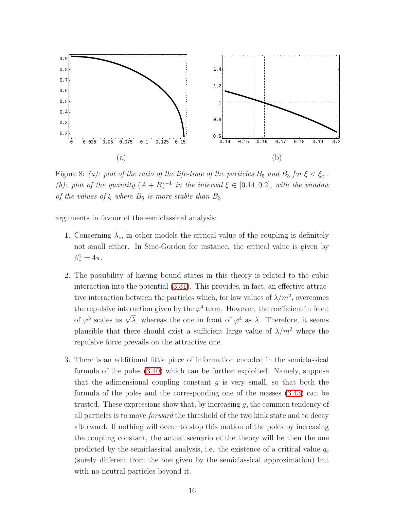

<span id="page-16-0"></span>Figure 8: (a): plot of the ratio of the life-time of the particles  $B_5$  and  $B_3$  for  $\xi < \xi_{c_1}$ . (b): plot of the quantity  $(A + B)^{-1}$  in the interval  $\xi \in [0.14, 0.2]$ , with the window of the values of  $\xi$  where  $B_5$  is more stable than  $B_3$ 

arguments in favour of the semiclassical analysis:

- 1. Concerning  $\lambda_c$ , in other models the critical value of the coupling is definitely not small either. In Sine-Gordon for instance, the critical value is given by  $\beta_c^2 = 4\pi.$
- 2. The possibility of having bound states in this theory is related to the cubic interaction into the potential [\(3.31\)](#page-11-1). This provides, in fact, an effective attractive interaction between the particles which, for low values of  $\lambda/m^2$ , overcomes the repulsive interaction given by the  $\varphi^4$  term. However, the coefficient in front of  $\varphi^3$  scales as  $\sqrt{\lambda}$ , whereas the one in front of  $\varphi^4$  as  $\lambda$ . Therefore, it seems plausible that there should exist a sufficient large value of  $\lambda/m^2$  where the repulsive force prevails on the attractive one.
- 3. There is an additional little piece of information encoded in the semiclassical formula of the poles [\(3.40\)](#page-13-1) which can be further exploited. Namely, suppose that the adimensional coupling constant q is very small, so that both the formula of the poles and the corresponding one of the masses [\(3.43\)](#page-13-2) can be trusted. These expressions show that, by increasing  $q$ , the common tendency of all particles is to move forward the threshold of the two kink state and to decay afterward. If nothing will occur to stop this motion of the poles by increasing the coupling constant, the actual scenario of the theory will be then the one predicted by the semiclassical analysis, i.e. the existence of a critical value  $g_c$ (surely different from the one given by the semiclassical approximation) but with no neutral particles beyond it.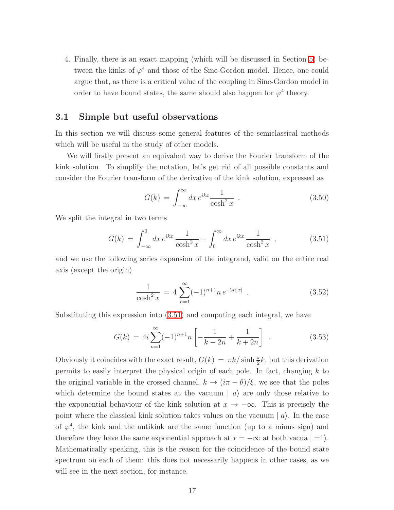4. Finally, there is an exact mapping (which will be discussed in Section [5\)](#page-34-0) between the kinks of  $\varphi^4$  and those of the Sine-Gordon model. Hence, one could argue that, as there is a critical value of the coupling in Sine-Gordon model in order to have bound states, the same should also happen for  $\varphi^4$  theory.

#### <span id="page-17-1"></span>3.1 Simple but useful observations

In this section we will discuss some general features of the semiclassical methods which will be useful in the study of other models.

We will firstly present an equivalent way to derive the Fourier transform of the kink solution. To simplify the notation, let's get rid of all possible constants and consider the Fourier transform of the derivative of the kink solution, expressed as

<span id="page-17-0"></span>
$$
G(k) = \int_{-\infty}^{\infty} dx \, e^{ikx} \frac{1}{\cosh^2 x} \quad . \tag{3.50}
$$

We split the integral in two terms

$$
G(k) = \int_{-\infty}^{0} dx \, e^{ikx} \frac{1}{\cosh^2 x} + \int_{0}^{\infty} dx \, e^{ikx} \frac{1}{\cosh^2 x} \,, \tag{3.51}
$$

and we use the following series expansion of the integrand, valid on the entire real axis (except the origin)

$$
\frac{1}{\cosh^2 x} = 4 \sum_{n=1}^{\infty} (-1)^{n+1} n e^{-2n|x|} . \tag{3.52}
$$

Substituting this expression into [\(3.51\)](#page-17-0) and computing each integral, we have

$$
G(k) = 4i \sum_{n=1}^{\infty} (-1)^{n+1} n \left[ -\frac{1}{k-2n} + \frac{1}{k+2n} \right] \tag{3.53}
$$

Obviously it coincides with the exact result,  $G(k) = \pi k / \sinh \frac{\pi}{2}k$ , but this derivation permits to easily interpret the physical origin of each pole. In fact, changing  $k$  to the original variable in the crossed channel,  $k \to (\pi - \theta)/\xi$ , we see that the poles which determine the bound states at the vacuum  $|a\rangle$  are only those relative to the exponential behaviour of the kink solution at  $x \to -\infty$ . This is precisely the point where the classical kink solution takes values on the vacuum  $|a\rangle$ . In the case of  $\varphi^4$ , the kink and the antikink are the same function (up to a minus sign) and therefore they have the same exponential approach at  $x = -\infty$  at both vacua  $|\pm 1\rangle$ . Mathematically speaking, this is the reason for the coincidence of the bound state spectrum on each of them: this does not necessarily happens in other cases, as we will see in the next section, for instance.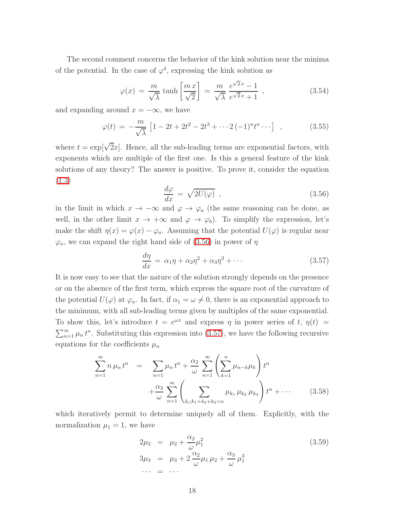The second comment concerns the behavior of the kink solution near the minima of the potential. In the case of  $\varphi^4$ , expressing the kink solution as

$$
\varphi(x) = \frac{m}{\sqrt{\lambda}} \tanh\left[\frac{m\,x}{\sqrt{2}}\right] = \frac{m}{\sqrt{\lambda}} \frac{e^{\sqrt{2}x} - 1}{e^{\sqrt{2}x} + 1}, \qquad (3.54)
$$

and expanding around  $x = -\infty$ , we have

$$
\varphi(t) = -\frac{m}{\sqrt{\lambda}} \left[ 1 - 2t + 2t^2 - 2t^3 + \dots + 2(-1)^n t^n \dots \right] , \qquad (3.55)
$$

<span id="page-18-0"></span>where  $t = \exp[\sqrt{2}x]$ . Hence, all the sub-leading terms are exponential factors, with exponents which are multiple of the first one. Is this a general feature of the kink solutions of any theory? The answer is positive. To prove it, consider the equation [\(1.3\)](#page-1-2)

<span id="page-18-1"></span>
$$
\frac{d\varphi}{dx} = \sqrt{2U(\varphi)} \tag{3.56}
$$

in the limit in which  $x \to -\infty$  and  $\varphi \to \varphi_a$  (the same reasoning can be done, as well, in the other limit  $x \to +\infty$  and  $\varphi \to \varphi_b$ . To simplify the expression, let's make the shift  $\eta(x) = \varphi(x) - \varphi_a$ . Assuming that the potential  $U(\varphi)$  is regular near  $\varphi_a$ , we can expand the right hand side of [\(3.56\)](#page-18-0) in power of  $\eta$ 

$$
\frac{d\eta}{dx} = \alpha_1 \eta + \alpha_2 \eta^2 + \alpha_3 \eta^3 + \cdots \tag{3.57}
$$

It is now easy to see that the nature of the solution strongly depends on the presence or on the absence of the first term, which express the square root of the curvature of the potential  $U(\varphi)$  at  $\varphi_a$ . In fact, if  $\alpha_1 = \omega \neq 0$ , there is an exponential approach to the minimum, with all sub-leading terms given by multiples of the same exponential. To show this, let's introduce  $t = e^{\omega x}$  and express  $\eta$  in power series of t,  $\eta(t)$  =  $\sum_{n=1}^{\infty} \mu_n t^n$ . Substituting this expression into [\(3.57\)](#page-18-1), we have the following recursive equations for the coefficients  $\mu_n$ 

$$
\sum_{n=1}^{\infty} n \mu_n t^n = \sum_{n=1}^{\infty} \mu_n t^n + \frac{\alpha_2}{\omega} \sum_{n=1}^{\infty} \left( \sum_{k=1}^n \mu_{n-k} \mu_k \right) t^n + \frac{\alpha_3}{\omega} \sum_{n=1}^{\infty} \left( \sum_{k_i; k_1 + k_2 + k_3 = n} \mu_{k_1} \mu_{k_2} \mu_{k_3} \right) t^n + \cdots
$$
 (3.58)

which iteratively permit to determine uniquely all of them. Explicitly, with the normalization  $\mu_1 = 1$ , we have

$$
2\mu_2 = \mu_2 + \frac{\alpha_2}{\omega} \mu_1^2
$$
  
\n
$$
3\mu_3 = \mu_3 + 2 \frac{\alpha_2}{\omega} \mu_1 \mu_2 + \frac{\alpha_3}{\omega} \mu_1^3
$$
  
\n... = ...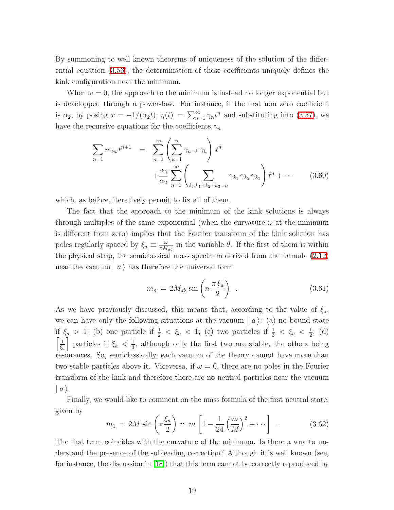By summoning to well known theorems of uniqueness of the solution of the differential equation [\(3.56\)](#page-18-0), the determination of these coefficients uniquely defines the kink configuration near the minimum.

When  $\omega = 0$ , the approach to the minimum is instead no longer exponential but is developped through a power-law. For instance, if the first non zero coefficient is  $\alpha_2$ , by posing  $x = -1/(\alpha_2 t)$ ,  $\eta(t) = \sum_{n=1}^{\infty} \gamma_n t^n$  and substituting into [\(3.57\)](#page-18-1), we have the recursive equations for the coefficients  $\gamma_n$ 

$$
\sum_{n=1} n \gamma_n t^{n+1} = \sum_{n=1}^{\infty} \left( \sum_{k=1}^n \gamma_{n-k} \gamma_k \right) t^n + \frac{\alpha_3}{\alpha_2} \sum_{n=1}^{\infty} \left( \sum_{k_i; k_1 + k_2 + k_3 = n} \gamma_{k_1} \gamma_{k_2} \gamma_{k_3} \right) t^n + \cdots \qquad (3.60)
$$

which, as before, iteratively permit to fix all of them.

The fact that the approach to the minimum of the kink solutions is always through multiples of the same exponential (when the curvature  $\omega$  at the minimum is different from zero) implies that the Fourier transform of the kink solution has poles regularly spaced by  $\xi_a \equiv \frac{\omega}{\pi M}$  $\frac{\omega}{\pi M_{ab}}$  in the variable  $\theta$ . If the first of them is within the physical strip, the semiclassical mass spectrum derived from the formula [\(2.12\)](#page-6-2) near the vacuum  $|a\rangle$  has therefore the universal form

$$
m_n = 2M_{ab} \sin\left(n \frac{\pi \xi_a}{2}\right) \tag{3.61}
$$

As we have previously discussed, this means that, according to the value of  $\xi_a$ , we can have only the following situations at the vacuum  $|a\rangle$ : (a) no bound state if  $\xi_a > 1$ ; (b) one particle if  $\frac{1}{2} < \xi_a < 1$ ; (c) two particles if  $\frac{1}{3} < \xi_a < \frac{1}{2}$  $\frac{1}{2}$ ; (d)  $\sqrt{1}$  $\frac{1}{\xi_a}$  particles if  $\xi_a < \frac{1}{3}$  $\frac{1}{3}$ , although only the first two are stable, the others being resonances. So, semiclassically, each vacuum of the theory cannot have more than two stable particles above it. Viceversa, if  $\omega = 0$ , there are no poles in the Fourier transform of the kink and therefore there are no neutral particles near the vacuum  $\mid a \rangle.$ 

Finally, we would like to comment on the mass formula of the first neutral state, given by

$$
m_1 = 2M \sin\left(\pi \frac{\xi_a}{2}\right) \simeq m \left[1 - \frac{1}{24} \left(\frac{m}{M}\right)^2 + \cdots \right] \ . \tag{3.62}
$$

The first term coincides with the curvature of the minimum. Is there a way to understand the presence of the subleading correction? Although it is well known (see, for instance, the discussion in [\[18\]](#page-66-3)) that this term cannot be correctly reproduced by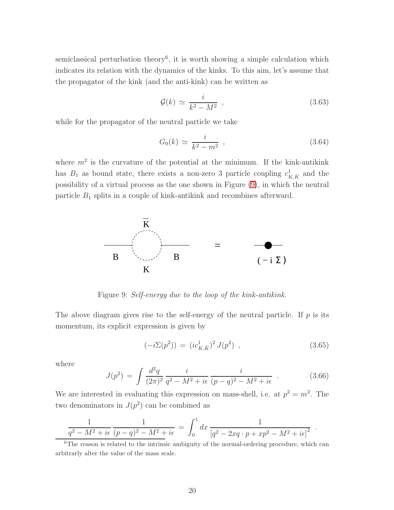semiclassical perturbation theory<sup>6</sup>, it is worth showing a simple calculation which indicates its relation with the dynamics of the kinks. To this aim, let's assume that the propagator of the kink (and the anti-kink) can be written as

$$
\mathcal{G}(k) \simeq \frac{i}{k^2 - M^2} \tag{3.63}
$$

while for the propagator of the neutral particle we take

$$
G_0(k) \simeq \frac{i}{k^2 - m^2} \tag{3.64}
$$

where  $m^2$  is the curvature of the potential at the minimum. If the kink-antikink has  $B_1$  as bound state, there exists a non-zero 3 particle coupling  $c_{K,\bar{K}}^1$  and the possibility of a virtual process as the one shown in Figure [\(9\)](#page-20-0), in which the neutral particle  $B_1$  splits in a couple of kink-antikink and recombines afterward.



<span id="page-20-0"></span>Figure 9: Self-energy due to the loop of the kink-antikink.

The above diagram gives rise to the self-energy of the neutral particle. If  $p$  is its momentum, its explicit expression is given by

$$
(-i\Sigma(p^2)) = (ic_{K,\bar{K}}^1)^2 J(p^2) , \qquad (3.65)
$$

.

where

$$
J(p^2) = \int \frac{d^2q}{(2\pi)^2} \frac{i}{q^2 - M^2 + i\epsilon} \frac{i}{(p-q)^2 - M^2 + i\epsilon} \tag{3.66}
$$

We are interested in evaluating this expression on mass-shell, i.e. at  $p^2 = m^2$ . The two denominators in  $J(p^2)$  can be combined as

$$
\frac{1}{q^2 - M^2 + i\epsilon} \frac{1}{(p-q)^2 - M^2 + i\epsilon} = \int_0^1 dx \frac{1}{[q^2 - 2xq \cdot p + xp^2 - M^2 + i\epsilon]^2}
$$

<sup>&</sup>lt;sup>6</sup>The reason is related to the intrinsic ambiguity of the normal-ordering procedure, which can arbitrarly alter the value of the mass scale.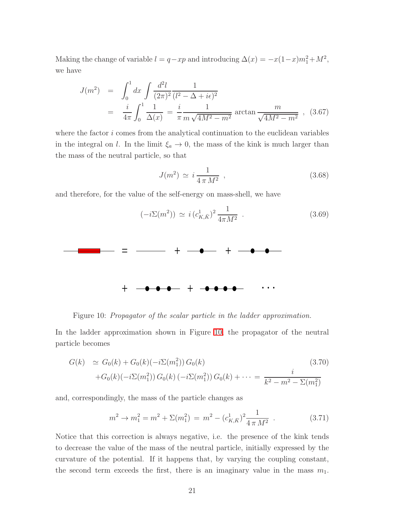Making the change of variable  $l = q - xp$  and introducing  $\Delta(x) = -x(1-x)m_1^2 + M^2$ , we have

$$
J(m^2) = \int_0^1 dx \int \frac{d^2l}{(2\pi)^2} \frac{1}{(l^2 - \Delta + i\epsilon)^2}
$$
  
=  $\frac{i}{4\pi} \int_0^1 \frac{1}{\Delta(x)} = \frac{i}{\pi} \frac{1}{m\sqrt{4M^2 - m^2}}$  arctan  $\frac{m}{\sqrt{4M^2 - m^2}}$ , (3.67)

where the factor  $i$  comes from the analytical continuation to the euclidean variables in the integral on l. In the limit  $\xi_a \to 0$ , the mass of the kink is much larger than the mass of the neutral particle, so that

$$
J(m^2) \simeq i \frac{1}{4\pi M^2} \tag{3.68}
$$

and therefore, for the value of the self-energy on mass-shell, we have



<span id="page-21-0"></span>Figure 10: Propagator of the scalar particle in the ladder approximation.

In the ladder approximation shown in Figure [10,](#page-21-0) the propagator of the neutral particle becomes

$$
G(k) \simeq G_0(k) + G_0(k)(-i\Sigma(m_1^2)) G_0(k)
$$
\n
$$
+G_0(k)(-i\Sigma(m_1^2)) G_0(k) (-i\Sigma(m_1^2)) G_0(k) + \dots = \frac{i}{k^2 - m^2 - \Sigma(m_1^2)}
$$
\n(3.70)

and, correspondingly, the mass of the particle changes as

$$
m^{2} \to m_{1}^{2} = m^{2} + \Sigma(m_{1}^{2}) = m^{2} - (c_{K,\bar{K}}^{1})^{2} \frac{1}{4 \pi M^{2}} . \qquad (3.71)
$$

Notice that this correction is always negative, i.e. the presence of the kink tends to decrease the value of the mass of the neutral particle, initially expressed by the curvature of the potential. If it happens that, by varying the coupling constant, the second term exceeds the first, there is an imaginary value in the mass  $m_1$ .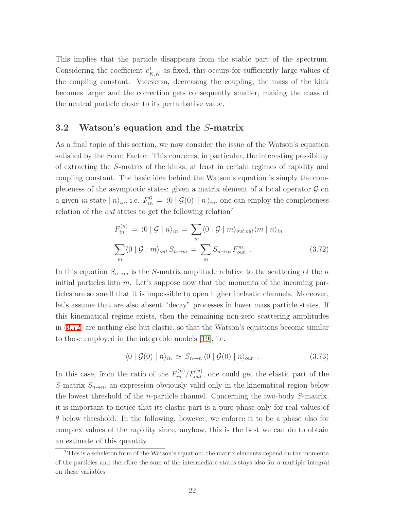This implies that the particle disappears from the stable part of the spectrum. Considering the coefficient  $c_{K,\bar{K}}^1$  as fixed, this occurs for sufficiently large values of the coupling constant. Viceversa, decreasing the coupling, the mass of the kink becomes larger and the correction gets consequently smaller, making the mass of the neutral particle closer to its perturbative value.

#### 3.2 Watson's equation and the S-matrix

As a final topic of this section, we now consider the issue of the Watson's equation satisfied by the Form Factor. This concerns, in particular, the interesting possibility of extracting the S-matrix of the kinks, at least in certain regimes of rapidity and coupling constant. The basic idea behind the Watson's equation is simply the completeness of the asymptotic states: given a matrix element of a local operator  $\mathcal G$  on a given *in* state  $|n\rangle_{in}$ , i.e.  $F_{in}^{\mathcal{G}} = \langle 0 | \mathcal{G}(0) | n \rangle_{in}$ , one can employ the completeness relation of the *out* states to get the following relation<sup>7</sup>

$$
F_{in}^{(n)} = \langle 0 | \mathcal{G} | n \rangle_{in} = \sum_{m} \langle 0 | \mathcal{G} | m \rangle_{out} \langle m | n \rangle_{in}
$$
  

$$
\sum_{m} \langle 0 | \mathcal{G} | m \rangle_{out} S_{n \to m} = \sum_{m} S_{n \to m} F_{out}^{m} .
$$
 (3.72)

<span id="page-22-0"></span>In this equation  $S_{n\to m}$  is the S-matrix amplitude relative to the scattering of the n initial particles into  $m$ . Let's suppose now that the momenta of the incoming particles are so small that it is impossible to open higher inelastic channels. Moreover, let's assume that are also absent "decay" processes in lower mass particle states. If this kinematical regime exists, then the remaining non-zero scattering amplitudes in [\(3.72\)](#page-22-0) are nothing else but elastic, so that the Watson's equations become similar to those employed in the integrable models [\[19\]](#page-66-6), i.e.

$$
\langle 0 | \mathcal{G}(0) | n \rangle_{in} \simeq S_{n \to n} \langle 0 | \mathcal{G}(0) | n \rangle_{out} . \tag{3.73}
$$

In this case, from the ratio of the  $F_{in}^{(n)}/F_{out}^{(n)}$ , one could get the elastic part of the S-matrix  $S_{n\to n}$ , an expression obviously valid only in the kinematical region below the lowest threshold of the n-particle channel. Concerning the two-body S-matrix, it is important to notice that its elastic part is a pure phase only for real values of  $\theta$  below threshold. In the following, however, we enforce it to be a phase also for complex values of the rapidity since, anyhow, this is the best we can do to obtain an estimate of this quantity.

 $7$ This is a scheleton form of the Watson's equation: the matrix elements depend on the momenta of the particles and therefore the sum of the intermediate states stays also for a multiple integral on these variables.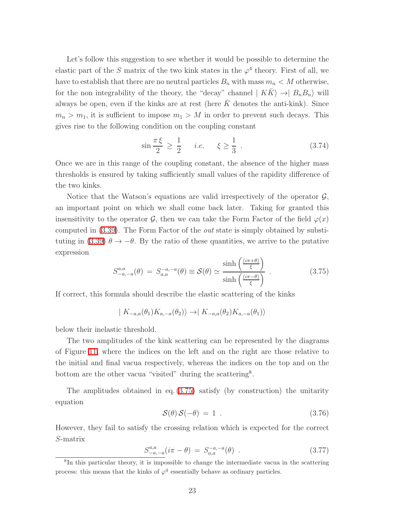Let's follow this suggestion to see whether it would be possible to determine the elastic part of the S matrix of the two kink states in the  $\varphi^4$  theory. First of all, we have to establish that there are no neutral particles  $B_n$  with mass  $m_n < M$  otherwise, for the non integrability of the theory, the "decay" channel  $| K \overline{K} \rangle \rightarrow | B_n B_n \rangle$  will always be open, even if the kinks are at rest (here  $K$  denotes the anti-kink). Since  $m_n > m_1$ , it is sufficient to impose  $m_1 > M$  in order to prevent such decays. This gives rise to the following condition on the coupling constant

<span id="page-23-1"></span>
$$
\sin \frac{\pi \xi}{2} \ge \frac{1}{2} \quad i.e. \quad \xi \ge \frac{1}{3} \tag{3.74}
$$

Once we are in this range of the coupling constant, the absence of the higher mass thresholds is ensured by taking sufficiently small values of the rapidity difference of the two kinks.

<span id="page-23-0"></span>Notice that the Watson's equations are valid irrespectively of the operator  $\mathcal{G}$ , an important point on which we shall come back later. Taking for granted this insensitivity to the operator  $\mathcal{G}$ , then we can take the Form Factor of the field  $\varphi(x)$ computed in [\(3.39\)](#page-12-1). The Form Factor of the out state is simply obtained by substi-tuting in [\(3.39\)](#page-12-1)  $\theta \to -\theta$ . By the ratio of these quantities, we arrive to the putative expression

$$
S_{-a,-a}^{a,a}(\theta) = S_{a,a}^{-a,-a}(\theta) \equiv \mathcal{S}(\theta) \simeq \frac{\sinh\left(\frac{(i\pi+\theta)}{\xi}\right)}{\sinh\left(\frac{(i\pi-\theta)}{\xi}\right)}\,. \tag{3.75}
$$

If correct, this formula should describe the elastic scattering of the kinks

 $| K_{-a,a}(\theta_1)K_{a,-a}(\theta_2)\rangle \rightarrow | K_{-a,a}(\theta_2)K_{a,-a}(\theta_1)\rangle$ 

below their inelastic threshold.

The two amplitudes of the kink scattering can be represented by the diagrams of Figure [11,](#page-24-0) where the indices on the left and on the right are those relative to the initial and final vacua respectively, whereas the indices on the top and on the bottom are the other vacua "visited" during the scattering<sup>8</sup>.

The amplitudes obtained in eq.  $(3.75)$  satisfy (by construction) the unitarity equation

$$
\mathcal{S}(\theta)\,\mathcal{S}(-\theta) = 1\tag{3.76}
$$

However, they fail to satisfy the crossing relation which is expected for the correct S-matrix

$$
S_{-a,-a}^{a,a}(i\pi - \theta) = S_{a,a}^{-a,-a}(\theta) . \qquad (3.77)
$$

<sup>8</sup> In this particular theory, it is impossible to change the intermediate vacua in the scattering process: this means that the kinks of  $\varphi^4$  essentially behave as ordinary particles.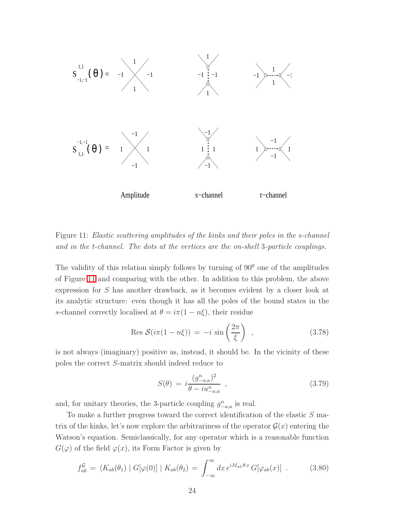

<span id="page-24-0"></span>Figure 11: Elastic scattering amplitudes of the kinks and their poles in the s-channel and in the t-channel. The dots at the vertices are the on-shell 3-particle couplings.

The validity of this relation simply follows by turning of  $90<sup>0</sup>$  one of the amplitudes of Figure [11](#page-24-0) and comparing with the other. In addition to this problem, the above expression for S has another drawback, as it becomes evident by a closer look at its analytic structure: even though it has all the poles of the bound states in the s-channel correctly localised at  $\theta = i\pi(1 - n\xi)$ , their residue

$$
\text{Res } \mathcal{S}(i\pi(1-n\xi)) = -i \sin\left(\frac{2\pi}{\xi}\right) , \qquad (3.78)
$$

is not always (imaginary) positive as, instead, it should be. In the vicinity of these poles the correct S-matrix should indeed reduce to

$$
S(\theta) = i \frac{(g_{-a,a}^n)^2}{\theta - i u_{-a,a}^n} , \qquad (3.79)
$$

and, for unitary theories, the 3-particle coupling  $g_{-a,a}^n$  is real.

To make a further progress toward the correct identification of the elastic S matrix of the kinks, let's now explore the arbitrariness of the operator  $\mathcal{G}(x)$  entering the Watson's equation. Semiclassically, for any operator which is a reasonable function  $G(\varphi)$  of the field  $\varphi(x)$ , its Form Factor is given by

$$
f_{ab}^{\mathcal{G}} = \langle K_{ab}(\theta_1) \mid G[\varphi(0)] \mid K_{ab}(\theta_2) = \int_{-\infty}^{\infty} dx \, e^{iM_{ab}\theta \cdot x} \, G[\varphi_{ab}(x)] \quad . \tag{3.80}
$$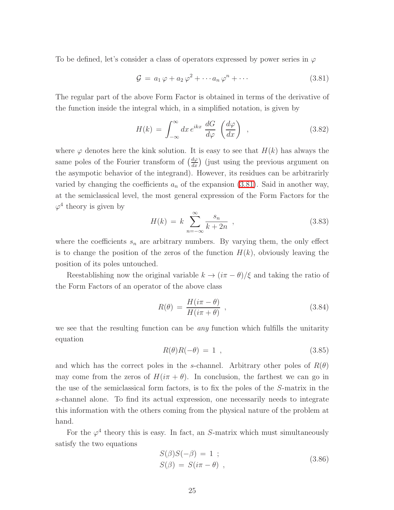To be defined, let's consider a class of operators expressed by power series in  $\varphi$ 

<span id="page-25-0"></span>
$$
\mathcal{G} = a_1 \varphi + a_2 \varphi^2 + \cdots a_n \varphi^n + \cdots \qquad (3.81)
$$

The regular part of the above Form Factor is obtained in terms of the derivative of the function inside the integral which, in a simplified notation, is given by

$$
H(k) = \int_{-\infty}^{\infty} dx \, e^{ikx} \, \frac{dG}{d\varphi} \left(\frac{d\varphi}{dx}\right) \tag{3.82}
$$

where  $\varphi$  denotes here the kink solution. It is easy to see that  $H(k)$  has always the same poles of the Fourier transform of  $\left(\frac{d\varphi}{dx}\right)$  (just using the previous argument on the asympotic behavior of the integrand). However, its residues can be arbitrarirly varied by changing the coefficients  $a_n$  of the expansion [\(3.81\)](#page-25-0). Said in another way, at the semiclassical level, the most general expression of the Form Factors for the  $\varphi^4$  theory is given by

$$
H(k) = k \sum_{n = -\infty}^{\infty} \frac{s_n}{k + 2n} \tag{3.83}
$$

where the coefficients  $s_n$  are arbitrary numbers. By varying them, the only effect is to change the position of the zeros of the function  $H(k)$ , obviously leaving the position of its poles untouched.

Reestablishing now the original variable  $k \to (i\pi - \theta)/\xi$  and taking the ratio of the Form Factors of an operator of the above class

$$
R(\theta) = \frac{H(i\pi - \theta)}{H(i\pi + \theta)} \tag{3.84}
$$

we see that the resulting function can be *any* function which fulfills the unitarity equation

$$
R(\theta)R(-\theta) = 1 \t\t(3.85)
$$

and which has the correct poles in the s-channel. Arbitrary other poles of  $R(\theta)$ may come from the zeros of  $H(i\pi + \theta)$ . In conclusion, the farthest we can go in the use of the semiclassical form factors, is to fix the poles of the S-matrix in the s-channel alone. To find its actual expression, one necessarily needs to integrate this information with the others coming from the physical nature of the problem at hand.

For the  $\varphi^4$  theory this is easy. In fact, an S-matrix which must simultaneously satisfy the two equations

$$
S(\beta)S(-\beta) = 1 ;\nS(\beta) = S(i\pi - \theta) ,
$$
\n(3.86)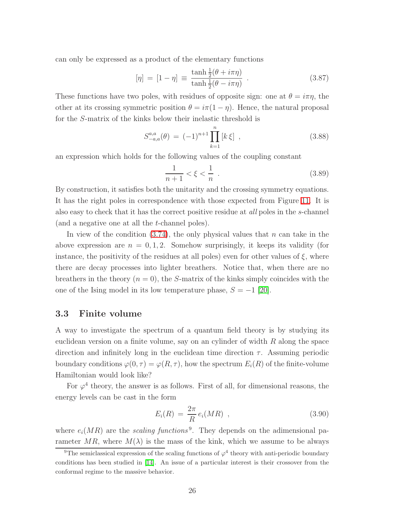can only be expressed as a product of the elementary functions

$$
[\eta] = [1 - \eta] \equiv \frac{\tanh\frac{1}{2}(\theta + i\pi\eta)}{\tanh\frac{1}{2}(\theta - i\pi\eta)}.
$$
 (3.87)

These functions have two poles, with residues of opposite sign: one at  $\theta = i\pi\eta$ , the other at its crossing symmetric position  $\theta = i\pi(1 - \eta)$ . Hence, the natural proposal for the S-matrix of the kinks below their inelastic threshold is

$$
S_{-a,a}^{a,a}(\theta) = (-1)^{n+1} \prod_{k=1}^{n} [k \xi], \qquad (3.88)
$$

an expression which holds for the following values of the coupling constant

$$
\frac{1}{n+1} < \xi < \frac{1}{n} \tag{3.89}
$$

By construction, it satisfies both the unitarity and the crossing symmetry equations. It has the right poles in correspondence with those expected from Figure [11.](#page-24-0) It is also easy to check that it has the correct positive residue at all poles in the s-channel (and a negative one at all the t-channel poles).

In view of the condition  $(3.74)$ , the only physical values that n can take in the above expression are  $n = 0, 1, 2$ . Somehow surprisingly, it keeps its validity (for instance, the positivity of the residues at all poles) even for other values of  $\xi$ , where there are decay processes into lighter breathers. Notice that, when there are no breathers in the theory  $(n = 0)$ , the S-matrix of the kinks simply coincides with the one of the Ising model in its low temperature phase,  $S = -1$  [\[20\]](#page-66-7).

#### 3.3 Finite volume

A way to investigate the spectrum of a quantum field theory is by studying its euclidean version on a finite volume, say on an cylinder of width  $R$  along the space direction and infinitely long in the euclidean time direction  $\tau$ . Assuming periodic boundary conditions  $\varphi(0, \tau) = \varphi(R, \tau)$ , how the spectrum  $E_i(R)$  of the finite-volume Hamiltonian would look like?

For  $\varphi^4$  theory, the answer is as follows. First of all, for dimensional reasons, the energy levels can be cast in the form

$$
E_i(R) = \frac{2\pi}{R} e_i(MR) , \qquad (3.90)
$$

where  $e_i(MR)$  are the scaling functions<sup>9</sup>. They depends on the adimensional parameter MR, where  $M(\lambda)$  is the mass of the kink, which we assume to be always

<sup>&</sup>lt;sup>9</sup>The semiclassical expression of the scaling functions of  $\varphi^4$  theory with anti-periodic boundary conditions has been studied in [\[14\]](#page-66-1). An issue of a particular interest is their crossover from the conformal regime to the massive behavior.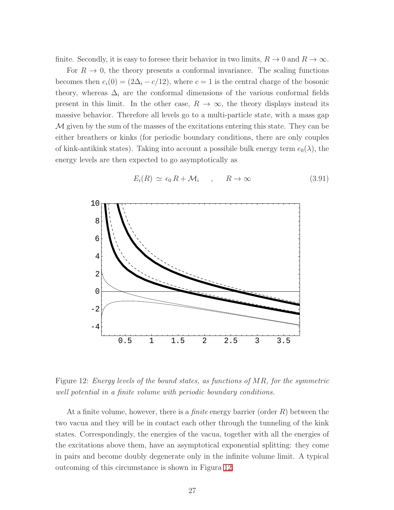finite. Secondly, it is easy to foresee their behavior in two limits,  $R \to 0$  and  $R \to \infty$ .

For  $R \to 0$ , the theory presents a conformal invariance. The scaling functions becomes then  $e_i(0) = (2\Delta_i - c/12)$ , where  $c = 1$  is the central charge of the bosonic theory, whereas  $\Delta_i$  are the conformal dimensions of the various conformal fields present in this limit. In the other case,  $R \to \infty$ , the theory displays instead its massive behavior. Therefore all levels go to a multi-particle state, with a mass gap M given by the sum of the masses of the excitations entering this state. They can be either breathers or kinks (for periodic boundary conditions, there are only couples of kink-antikink states). Taking into account a possibile bulk energy term  $e_0(\lambda)$ , the energy levels are then expected to go asymptotically as



$$
E_i(R) \simeq \epsilon_0 R + \mathcal{M}_i \quad , \quad R \to \infty \tag{3.91}
$$

<span id="page-27-0"></span>Figure 12: Energy levels of the bound states, as functions of MR, for the symmetric well potential in a finite volume with periodic boundary conditions.

At a finite volume, however, there is a *finite* energy barrier (order  $R$ ) between the two vacua and they will be in contact each other through the tunneling of the kink states. Correspondingly, the energies of the vacua, together with all the energies of the excitations above them, have an asymptotical exponential splitting: they come in pairs and become doubly degenerate only in the infinite volume limit. A typical outcoming of this circumstance is shown in Figura [12.](#page-27-0)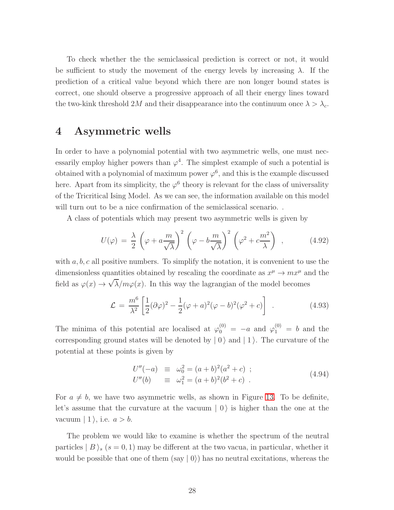To check whether the the semiclassical prediction is correct or not, it would be sufficient to study the movement of the energy levels by increasing  $\lambda$ . If the prediction of a critical value beyond which there are non longer bound states is correct, one should observe a progressive approach of all their energy lines toward the two-kink threshold 2M and their disappearance into the continuum once  $\lambda > \lambda_c$ .

### 4 Asymmetric wells

In order to have a polynomial potential with two asymmetric wells, one must necessarily employ higher powers than  $\varphi^4$ . The simplest example of such a potential is obtained with a polynomial of maximum power  $\varphi^6$ , and this is the example discussed here. Apart from its simplicity, the  $\varphi^6$  theory is relevant for the class of universality of the Tricritical Ising Model. As we can see, the information available on this model will turn out to be a nice confirmation of the semiclassical scenario...

A class of potentials which may present two asymmetric wells is given by

$$
U(\varphi) = \frac{\lambda}{2} \left( \varphi + a \frac{m}{\sqrt{\lambda}} \right)^2 \left( \varphi - b \frac{m}{\sqrt{\lambda}} \right)^2 \left( \varphi^2 + c \frac{m^2}{\lambda} \right) , \qquad (4.92)
$$

with  $a, b, c$  all positive numbers. To simplify the notation, it is convenient to use the dimensionless quantities obtained by rescaling the coordinate as  $x^{\mu} \to mx^{\mu}$  and the field as  $\varphi(x) \to \sqrt{\lambda}/m\varphi(x)$ . In this way the lagrangian of the model becomes

<span id="page-28-0"></span>
$$
\mathcal{L} = \frac{m^6}{\lambda^2} \left[ \frac{1}{2} (\partial \varphi)^2 - \frac{1}{2} (\varphi + a)^2 (\varphi - b)^2 (\varphi^2 + c) \right] \tag{4.93}
$$

The minima of this potential are localised at  $\varphi_0^{(0)} = -a$  and  $\varphi_1^{(0)} = b$  and the corresponding ground states will be denoted by  $|0\rangle$  and  $|1\rangle$ . The curvature of the potential at these points is given by

$$
U''(-a) \equiv \omega_0^2 = (a+b)^2(a^2+c) ;
$$
  
\n
$$
U''(b) \equiv \omega_1^2 = (a+b)^2(b^2+c) .
$$
\n(4.94)

For  $a \neq b$ , we have two asymmetric wells, as shown in Figure [13.](#page-29-0) To be definite, let's assume that the curvature at the vacuum  $\vert 0 \rangle$  is higher than the one at the vacuum  $| 1 \rangle$ , i.e.  $a > b$ .

The problem we would like to examine is whether the spectrum of the neutral particles  $|B\rangle_s$  (s = 0, 1) may be different at the two vacua, in particular, whether it would be possible that one of them  $(say | 0\rangle)$  has no neutral excitations, whereas the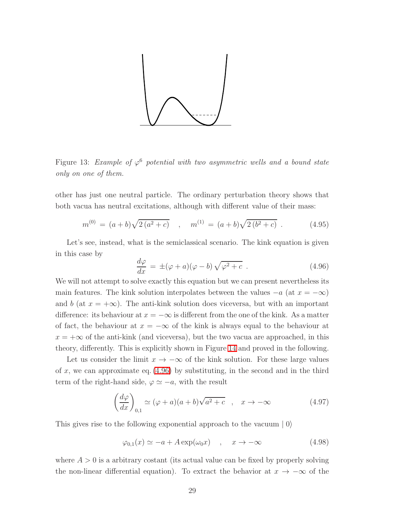

<span id="page-29-0"></span>Figure 13: Example of  $\varphi^6$  potential with two asymmetric wells and a bound state only on one of them.

other has just one neutral particle. The ordinary perturbation theory shows that both vacua has neutral excitations, although with different value of their mass:

$$
m^{(0)} = (a+b)\sqrt{2(a^2+c)} \quad , \quad m^{(1)} = (a+b)\sqrt{2(b^2+c)} \quad . \tag{4.95}
$$

<span id="page-29-1"></span>Let's see, instead, what is the semiclassical scenario. The kink equation is given in this case by

$$
\frac{d\varphi}{dx} = \pm (\varphi + a)(\varphi - b)\sqrt{\varphi^2 + c} . \qquad (4.96)
$$

We will not attempt to solve exactly this equation but we can present nevertheless its main features. The kink solution interpolates between the values  $-a$  (at  $x = -\infty$ ) and b (at  $x = +\infty$ ). The anti-kink solution does viceversa, but with an important difference: its behaviour at  $x = -\infty$  is different from the one of the kink. As a matter of fact, the behaviour at  $x = -\infty$  of the kink is always equal to the behaviour at  $x = +\infty$  of the anti-kink (and viceversa), but the two vacua are approached, in this theory, differently. This is explicitly shown in Figure [14](#page-30-0) and proved in the following.

Let us consider the limit  $x \to -\infty$  of the kink solution. For these large values of x, we can approximate eq.  $(4.96)$  by substituting, in the second and in the third term of the right-hand side,  $\varphi \simeq -a$ , with the result

$$
\left(\frac{d\varphi}{dx}\right)_{0,1} \simeq (\varphi + a)(a+b)\sqrt{a^2 + c} \quad , \quad x \to -\infty \tag{4.97}
$$

This gives rise to the following exponential approach to the vacuum  $|0\rangle$ 

$$
\varphi_{0,1}(x) \simeq -a + A \exp(\omega_0 x) \quad , \quad x \to -\infty \tag{4.98}
$$

where  $A > 0$  is a arbitrary costant (its actual value can be fixed by properly solving the non-linear differential equation). To extract the behavior at  $x \to -\infty$  of the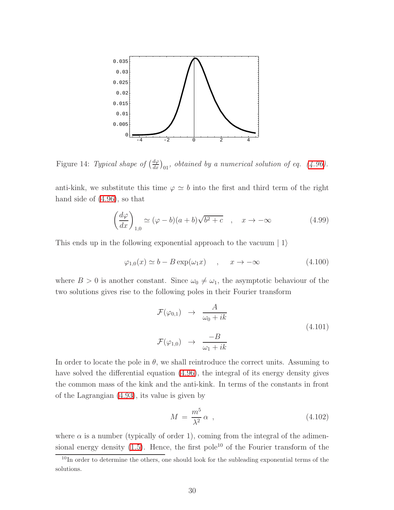

<span id="page-30-0"></span>Figure 14: Typical shape of  $\left(\frac{d\varphi}{dx}\right)_{01}$ , obtained by a numerical solution of eq. [\(4.96\)](#page-29-1).

anti-kink, we substitute this time  $\varphi \simeq b$  into the first and third term of the right hand side of [\(4.96\)](#page-29-1), so that

$$
\left(\frac{d\varphi}{dx}\right)_{1,0} \simeq (\varphi - b)(a+b)\sqrt{b^2 + c} \quad , \quad x \to -\infty \tag{4.99}
$$

This ends up in the following exponential approach to the vacuum  $|1\rangle$ 

$$
\varphi_{1,0}(x) \simeq b - B \exp(\omega_1 x) \quad , \quad x \to -\infty \tag{4.100}
$$

where  $B > 0$  is another constant. Since  $\omega_0 \neq \omega_1$ , the asymptotic behaviour of the two solutions gives rise to the following poles in their Fourier transform

$$
\mathcal{F}(\varphi_{0,1}) \rightarrow \frac{A}{\omega_0 + ik}
$$
\n
$$
\mathcal{F}(\varphi_{1,0}) \rightarrow \frac{-B}{\omega_1 + ik}
$$
\n(4.101)

In order to locate the pole in  $\theta$ , we shall reintroduce the correct units. Assuming to have solved the differential equation [\(4.96\)](#page-29-1), the integral of its energy density gives the common mass of the kink and the anti-kink. In terms of the constants in front of the Lagrangian [\(4.93\)](#page-28-0), its value is given by

$$
M = \frac{m^5}{\lambda^2} \alpha \tag{4.102}
$$

where  $\alpha$  is a number (typically of order 1), coming from the integral of the adimensional energy density  $(1.5)$ . Hence, the first pole<sup>10</sup> of the Fourier transform of the

<sup>&</sup>lt;sup>10</sup>In order to determine the others, one should look for the subleading exponential terms of the solutions.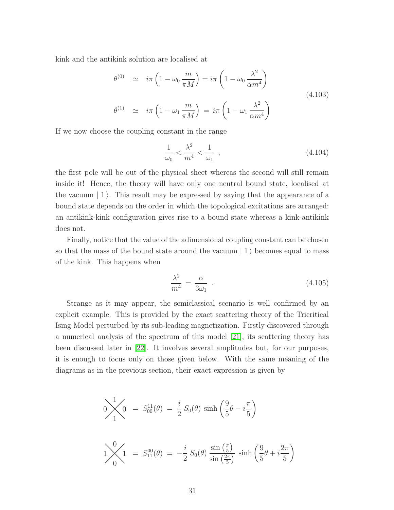kink and the antikink solution are localised at

$$
\theta^{(0)} \simeq i\pi \left(1 - \omega_0 \frac{m}{\pi M}\right) = i\pi \left(1 - \omega_0 \frac{\lambda^2}{\alpha m^4}\right)
$$
\n
$$
\theta^{(1)} \simeq i\pi \left(1 - \omega_1 \frac{m}{\pi M}\right) = i\pi \left(1 - \omega_1 \frac{\lambda^2}{\alpha m^4}\right)
$$
\n(4.103)

If we now choose the coupling constant in the range

$$
\frac{1}{\omega_0} < \frac{\lambda^2}{m^4} < \frac{1}{\omega_1} \tag{4.104}
$$

the first pole will be out of the physical sheet whereas the second will still remain inside it! Hence, the theory will have only one neutral bound state, localised at the vacuum  $\ket{1}$ . This result may be expressed by saying that the appearance of a bound state depends on the order in which the topological excitations are arranged: an antikink-kink configuration gives rise to a bound state whereas a kink-antikink does not.

Finally, notice that the value of the adimensional coupling constant can be chosen so that the mass of the bound state around the vacuum  $|1\rangle$  becomes equal to mass of the kink. This happens when

$$
\frac{\lambda^2}{m^4} = \frac{\alpha}{3\omega_1} \tag{4.105}
$$

Strange as it may appear, the semiclassical scenario is well confirmed by an explicit example. This is provided by the exact scattering theory of the Tricritical Ising Model perturbed by its sub-leading magnetization. Firstly discovered through a numerical analysis of the spectrum of this model [\[21\]](#page-66-8), its scattering theory has been discussed later in [\[22\]](#page-66-9). It involves several amplitudes but, for our purposes, it is enough to focus only on those given below. With the same meaning of the diagrams as in the previous section, their exact expression is given by

$$
0 \frac{1}{1} \left(0 = S_{00}^{11}(\theta) = \frac{i}{2} S_0(\theta) \sinh\left(\frac{9}{5}\theta - i\frac{\pi}{5}\right)\right)
$$
  

$$
1 \frac{0}{0} \left(1 = S_{11}^{00}(\theta) = -\frac{i}{2} S_0(\theta) \frac{\sin\left(\frac{\pi}{5}\right)}{\sin\left(\frac{2\pi}{5}\right)} \sinh\left(\frac{9}{5}\theta + i\frac{2\pi}{5}\right)\right)
$$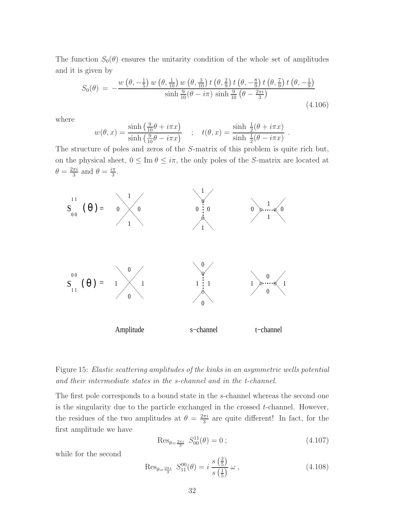<span id="page-32-1"></span>The function  $S_0(\theta)$  ensures the unitarity condition of the whole set of amplitudes and it is given by

$$
S_0(\theta) = -\frac{w(\theta, -\frac{1}{5}) w(\theta, \frac{1}{10}) w(\theta, \frac{3}{10}) t(\theta, \frac{2}{9}) t(\theta, -\frac{8}{9}) t(\theta, \frac{7}{9}) t(\theta, -\frac{1}{9})}{\sinh \frac{9}{10}(\theta - i\pi) \sinh \frac{9}{10}(\theta - \frac{2\pi i}{3})}
$$
(4.106)

where

$$
w(\theta, x) = \frac{\sinh\left(\frac{9}{10}\theta + i\pi x\right)}{\sinh\left(\frac{9}{10}\theta - i\pi x\right)} \quad ; \quad t(\theta, x) = \frac{\sinh\frac{1}{2}(\theta + i\pi x)}{\sinh\frac{1}{2}(\theta - i\pi x)} \ .
$$

The structure of poles and zeros of the S-matrix of this problem is quite rich but, on the physical sheet,  $0 \leq \text{Im } \theta \leq i\pi$ , the only poles of the S-matrix are located at  $\theta = \frac{2\pi i}{3}$  $\frac{\pi i}{3}$  and  $\theta = \frac{i\pi}{3}$  $\frac{\pi}{3}$ .



<span id="page-32-0"></span>Figure 15: Elastic scattering amplitudes of the kinks in an asymmetric wells potential and their intermediate states in the s-channel and in the t-channel.

The first pole corresponds to a bound state in the s-channel whereas the second one is the singularity due to the particle exchanged in the crossed  $t$ -channel. However, the residues of the two amplitudes at  $\theta = \frac{2\pi i}{3}$  $\frac{\pi i}{3}$  are quite different! In fact, for the first amplitude we have

$$
\text{Res}_{\theta = \frac{2\pi i}{3}} S_{00}^{11}(\theta) = 0 \tag{4.107}
$$

while for the second

$$
\text{Res}_{\theta = \frac{2\pi i}{3}} S_{11}^{00}(\theta) = i \frac{s \left(\frac{2}{5}\right)}{s \left(\frac{1}{5}\right)} \omega , \qquad (4.108)
$$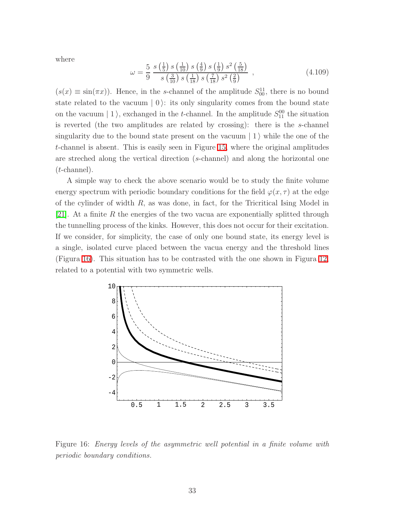where

$$
\omega = \frac{5}{9} \frac{s \left(\frac{1}{5}\right) s \left(\frac{1}{10}\right) s \left(\frac{4}{9}\right) s \left(\frac{1}{9}\right) s^2 \left(\frac{5}{18}\right)}{s \left(\frac{3}{10}\right) s \left(\frac{1}{18}\right) s \left(\frac{7}{18}\right) s^2 \left(\frac{2}{9}\right)} \tag{4.109}
$$

 $(s(x) \equiv \sin(\pi x))$ . Hence, in the s-channel of the amplitude  $S_{00}^{11}$ , there is no bound state related to the vacuum  $\mid 0$ : its only singularity comes from the bound state on the vacuum  $|1\rangle$ , exchanged in the *t*-channel. In the amplitude  $S_{11}^{00}$  the situation is reverted (the two amplitudes are related by crossing): there is the s-channel singularity due to the bound state present on the vacuum  $\vert 1 \rangle$  while the one of the t-channel is absent. This is easily seen in Figure [15,](#page-32-0) where the original amplitudes are streched along the vertical direction (s-channel) and along the horizontal one (t-channel).

A simple way to check the above scenario would be to study the finite volume energy spectrum with periodic boundary conditions for the field  $\varphi(x, \tau)$  at the edge of the cylinder of width  $R$ , as was done, in fact, for the Tricritical Ising Model in [\[21\]](#page-66-8). At a finite  $R$  the energies of the two vacua are exponentially splitted through the tunnelling process of the kinks. However, this does not occur for their excitation. If we consider, for simplicity, the case of only one bound state, its energy level is a single, isolated curve placed between the vacua energy and the threshold lines (Figura [16\)](#page-33-0). This situation has to be contrasted with the one shown in Figura [12,](#page-27-0) related to a potential with two symmetric wells.



<span id="page-33-0"></span>Figure 16: Energy levels of the asymmetric well potential in a finite volume with periodic boundary conditions.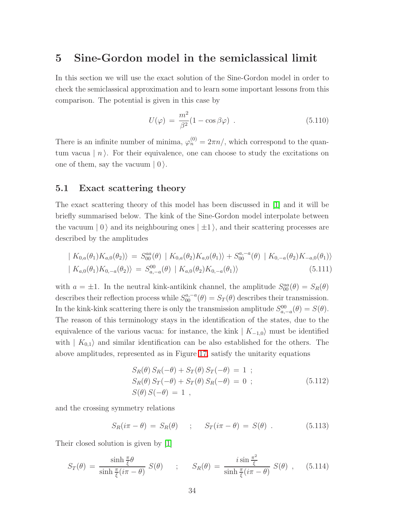### <span id="page-34-0"></span>5 Sine-Gordon model in the semiclassical limit

In this section we will use the exact solution of the Sine-Gordon model in order to check the semiclassical approximation and to learn some important lessons from this comparison. The potential is given in this case by

$$
U(\varphi) = \frac{m^2}{\beta^2} (1 - \cos \beta \varphi) \tag{5.110}
$$

There is an infinite number of minima,  $\varphi_n^{(0)} = 2\pi n/$ , which correspond to the quantum vacua  $\mid n$ . For their equivalence, one can choose to study the excitations on one of them, say the vacuum  $|0\rangle$ .

#### 5.1 Exact scattering theory

The exact scattering theory of this model has been discussed in [\[1\]](#page-65-0) and it will be briefly summarised below. The kink of the Sine-Gordon model interpolate between the vacuum  $|0\rangle$  and its neighbouring ones  $|\pm 1\rangle$ , and their scattering processes are described by the amplitudes

$$
\begin{aligned} \mid K_{0,a}(\theta_1) K_{a,0}(\theta_2) \rangle &= S_{00}^{aa}(\theta) \mid K_{0,a}(\theta_2) K_{a,0}(\theta_1) \rangle + S_{00}^{a,-a}(\theta) \mid K_{0,-a}(\theta_2) K_{-a,0}(\theta_1) \rangle \\ \mid K_{a,0}(\theta_1) K_{0,-a}(\theta_2) \rangle &= S_{a,-a}^{00}(\theta) \mid K_{a,0}(\theta_2) K_{0,-a}(\theta_1) \rangle \end{aligned} \tag{5.111}
$$

with  $a = \pm 1$ . In the neutral kink-antikink channel, the amplitude  $S_{00}^{aa}(\theta) = S_R(\theta)$ describes their reflection process while  $S_{00}^{a,-a}(\theta) = S_T(\theta)$  describes their transmission. In the kink-kink scattering there is only the transmission amplitude  $S_{a,-a}^{00}(\theta) = S(\theta)$ . The reason of this terminology stays in the identification of the states, due to the equivalence of the various vacua: for instance, the kink  $|K_{-1,0}\rangle$  must be identified with  $| K_{0,1} \rangle$  and similar identification can be also established for the others. The above amplitudes, represented as in Figure [17,](#page-36-0) satisfy the unitarity equations

$$
S_R(\theta) S_R(-\theta) + S_T(\theta) S_T(-\theta) = 1 ;
$$
  
\n
$$
S_R(\theta) S_T(-\theta) + S_T(\theta) S_R(-\theta) = 0 ;
$$
  
\n
$$
S(\theta) S(-\theta) = 1 ,
$$
  
\n(5.112)

and the crossing symmetry relations

$$
S_R(i\pi - \theta) = S_R(\theta) \quad ; \quad S_T(i\pi - \theta) = S(\theta) \quad . \tag{5.113}
$$

Their closed solution is given by [\[1\]](#page-65-0)

$$
S_T(\theta) = \frac{\sinh\frac{\pi}{\xi}\theta}{\sinh\frac{\pi}{\xi}(i\pi - \theta)} S(\theta) \qquad ; \qquad S_R(\theta) = \frac{i\sin\frac{\pi^2}{\xi}}{\sinh\frac{\pi}{\xi}(i\pi - \theta)} S(\theta) \quad , \qquad (5.114)
$$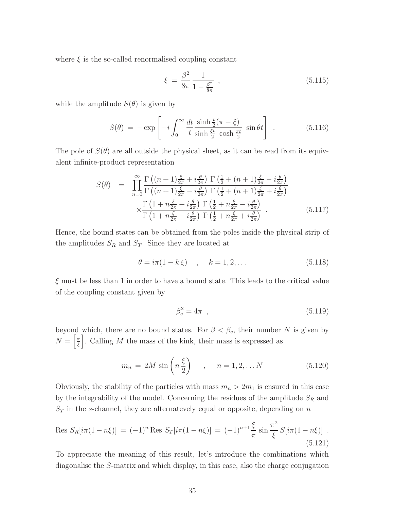where  $\xi$  is the so-called renormalised coupling constant

$$
\xi = \frac{\beta^2}{8\pi} \frac{1}{1 - \frac{\beta^2}{8\pi}} \,, \tag{5.115}
$$

while the amplitude  $S(\theta)$  is given by

$$
S(\theta) = -\exp\left[-i\int_0^\infty \frac{dt}{t} \frac{\sinh\frac{t}{2}(\pi - \xi)}{\sinh\frac{\xi t}{2}\cosh\frac{\pi t}{2}}\sin\theta t\right] \quad (5.116)
$$

<span id="page-35-2"></span>The pole of  $S(\theta)$  are all outside the physical sheet, as it can be read from its equivalent infinite-product representation

$$
S(\theta) = \prod_{n=0}^{\infty} \frac{\Gamma\left((n+1)\frac{\xi}{2\pi} + i\frac{\theta}{2\pi}\right) \Gamma\left(\frac{1}{2} + (n+1)\frac{\xi}{2\pi} - i\frac{\theta}{2\pi}\right)}{\Gamma\left((n+1)\frac{\xi}{2\pi} - i\frac{\theta}{2\pi}\right) \Gamma\left(\frac{1}{2} + (n+1)\frac{\xi}{2\pi} + i\frac{\theta}{2\pi}\right)} \times \frac{\Gamma\left(1 + n\frac{\xi}{2\pi} + i\frac{\theta}{2\pi}\right) \Gamma\left(\frac{1}{2} + n\frac{\xi}{2\pi} - i\frac{\theta}{2\pi}\right)}{\Gamma\left(1 + n\frac{\xi}{2\pi} - i\frac{\theta}{2\pi}\right) \Gamma\left(\frac{1}{2} + n\frac{\xi}{2\pi} + i\frac{\theta}{2\pi}\right)} \quad (5.117)
$$

Hence, the bound states can be obtained from the poles inside the physical strip of the amplitudes  $S_R$  and  $S_T$ . Since they are located at

$$
\theta = i\pi (1 - k \xi) \quad , \quad k = 1, 2, \dots \tag{5.118}
$$

 $\xi$  must be less than 1 in order to have a bound state. This leads to the critical value of the coupling constant given by

<span id="page-35-1"></span><span id="page-35-0"></span>
$$
\beta_c^2 = 4\pi \quad , \tag{5.119}
$$

beyond which, there are no bound states. For  $\beta < \beta_c$ , their number N is given by  $N=\left[\frac{\pi}{\epsilon}\right]$  $\frac{\pi}{\xi}$ . Calling M the mass of the kink, their mass is expressed as

$$
m_n = 2M \sin\left(n\frac{\xi}{2}\right) \quad , \quad n = 1, 2, \dots N \tag{5.120}
$$

Obviously, the stability of the particles with mass  $m_n > 2m_1$  is ensured in this case by the integrability of the model. Concerning the residues of the amplitude  ${\cal S}_R$  and  $S_T$  in the s-channel, they are alternatevely equal or opposite, depending on n

Res 
$$
S_R[i\pi(1-n\xi)] = (-1)^n
$$
 Res  $S_T[i\pi(1-n\xi)] = (-1)^{n+1}\frac{\xi}{\pi} \sin \frac{\pi^2}{\xi} S[i\pi(1-n\xi)]$ .  
(5.121)

To appreciate the meaning of this result, let's introduce the combinations which diagonalise the S-matrix and which display, in this case, also the charge conjugation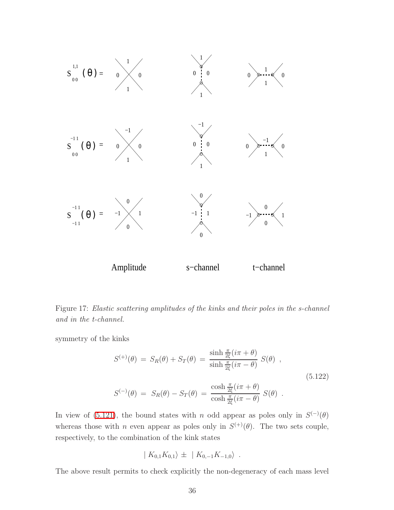

<span id="page-36-0"></span>Figure 17: Elastic scattering amplitudes of the kinks and their poles in the s-channel and in the t-channel.

<span id="page-36-1"></span>symmetry of the kinks

$$
S^{(+)}(\theta) = S_R(\theta) + S_T(\theta) = \frac{\sinh \frac{\pi}{2\xi}(i\pi + \theta)}{\sinh \frac{\pi}{2\xi}(i\pi - \theta)} S(\theta) ,
$$
  
\n
$$
S^{(-)}(\theta) = S_R(\theta) - S_T(\theta) = \frac{\cosh \frac{\pi}{2\xi}(i\pi + \theta)}{\cosh \frac{\pi}{2\xi}(i\pi - \theta)} S(\theta) .
$$
\n(5.122)

In view of [\(5.121\)](#page-35-0), the bound states with n odd appear as poles only in  $S^{(-)}(\theta)$ whereas those with *n* even appear as poles only in  $S^{(+)}(\theta)$ . The two sets couple, respectively, to the combination of the kink states

$$
| K_{0,1} K_{0,1} \rangle \pm | K_{0,-1} K_{-1,0} \rangle .
$$

The above result permits to check explicitly the non-degeneracy of each mass level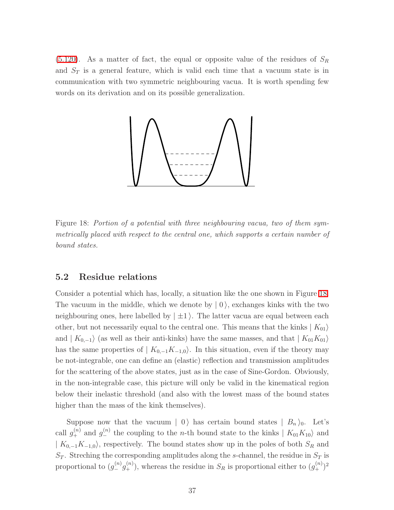$(5.120)$ . As a matter of fact, the equal or opposite value of the residues of  $S_R$ and  $S_T$  is a general feature, which is valid each time that a vacuum state is in communication with two symmetric neighbouring vacua. It is worth spending few words on its derivation and on its possible generalization.



<span id="page-37-0"></span>Figure 18: Portion of a potential with three neighbouring vacua, two of them symmetrically placed with respect to the central one, which supports a certain number of bound states.

### 5.2 Residue relations

Consider a potential which has, locally, a situation like the one shown in Figure [18.](#page-37-0) The vacuum in the middle, which we denote by  $| 0 \rangle$ , exchanges kinks with the two neighbouring ones, here labelled by  $|\pm 1\rangle$ . The latter vacua are equal between each other, but not necessarily equal to the central one. This means that the kinks  $|K_{01}\rangle$ and  $| K_{0,-1} \rangle$  (as well as their anti-kinks) have the same masses, and that  $| K_{01} K_{01} \rangle$ has the same properties of  $| K_{0,-1}K_{-1,0}\rangle$ . In this situation, even if the theory may be not-integrable, one can define an (elastic) reflection and transmission amplitudes for the scattering of the above states, just as in the case of Sine-Gordon. Obviously, in the non-integrable case, this picture will only be valid in the kinematical region below their inelastic threshold (and also with the lowest mass of the bound states higher than the mass of the kink themselves).

Suppose now that the vacuum  $| 0 \rangle$  has certain bound states  $| B_n \rangle_0$ . Let's call  $g_+^{(n)}$  and  $g_-^{(n)}$  the coupling to the *n*-th bound state to the kinks  $|K_{01}K_{10}\rangle$  and  $| K_{0,-1}K_{-1,0}\rangle$ , respectively. The bound states show up in the poles of both  $S_R$  and  $S_T$ . Streching the corresponding amplitudes along the s-channel, the residue in  $S_T$  is proportional to  $(g_{-}^{(n)}g_{+}^{(n)})$ , whereas the residue in  $S_R$  is proportional either to  $(g_{+}^{(n)})^2$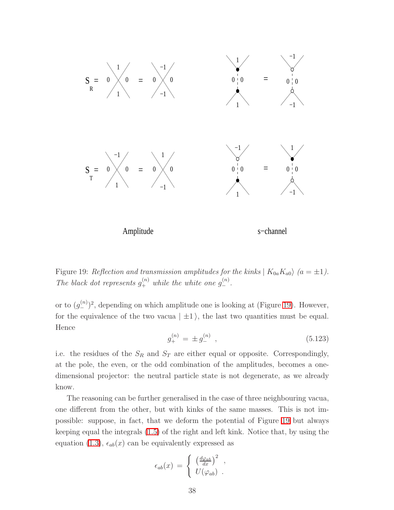

<span id="page-38-0"></span>Figure 19: Reflection and transmission amplitudes for the kinks  $|K_{0a}K_{a0}\rangle$  (a =  $\pm 1$ ). The black dot represents  $g_+^{(n)}$  while the white one  $g_-^{(n)}$ .

or to  $(g_{-}^{(n)})^2$ , depending on which amplitude one is looking at (Figure [19\)](#page-38-0). However, for the equivalence of the two vacua  $|\pm 1\rangle$ , the last two quantities must be equal. Hence

$$
g_{+}^{(n)} = \pm g_{-}^{(n)} \t{,} \t(5.123)
$$

i.e. the residues of the  $S_R$  and  $S_T$  are either equal or opposite. Correspondingly, at the pole, the even, or the odd combination of the amplitudes, becomes a onedimensional projector: the neutral particle state is not degenerate, as we already know.

The reasoning can be further generalised in the case of three neighbouring vacua, one different from the other, but with kinks of the same masses. This is not impossible: suppose, in fact, that we deform the potential of Figure [19](#page-38-0) but always keeping equal the integrals [\(1.5\)](#page-2-1) of the right and left kink. Notice that, by using the equation [\(1.3\)](#page-1-2),  $\epsilon_{ab}(x)$  can be equivalently expressed as

$$
\epsilon_{ab}(x) = \begin{cases} \left(\frac{d\varphi_{ab}}{dx}\right)^2, \\ U(\varphi_{ab}). \end{cases}
$$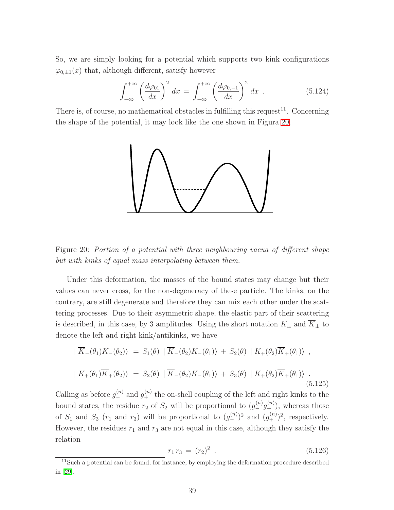So, we are simply looking for a potential which supports two kink configurations  $\varphi_{0,\pm 1}(x)$  that, although different, satisfy however

$$
\int_{-\infty}^{+\infty} \left(\frac{d\varphi_{01}}{dx}\right)^2 dx = \int_{-\infty}^{+\infty} \left(\frac{d\varphi_{0,-1}}{dx}\right)^2 dx . \tag{5.124}
$$

There is, of course, no mathematical obstacles in fulfilling this request<sup>11</sup>. Concerning the shape of the potential, it may look like the one shown in Figura [20.](#page-39-0)



<span id="page-39-0"></span>Figure 20: Portion of a potential with three neighbouring vacua of different shape but with kinks of equal mass interpolating between them.

Under this deformation, the masses of the bound states may change but their values can never cross, for the non-degeneracy of these particle. The kinks, on the contrary, are still degenerate and therefore they can mix each other under the scattering processes. Due to their asymmetric shape, the elastic part of their scattering is described, in this case, by 3 amplitudes. Using the short notation  $K_{\pm}$  and  $\overline{K}_{\pm}$  to denote the left and right kink/antikinks, we have

$$
|\overline{K}_{-}(\theta_{1})K_{-}(\theta_{2})\rangle = S_{1}(\theta) |\overline{K}_{-}(\theta_{2})K_{-}(\theta_{1})\rangle + S_{2}(\theta) |K_{+}(\theta_{2})\overline{K}_{+}(\theta_{1})\rangle ,
$$
  

$$
|K_{+}(\theta_{1})\overline{K}_{+}(\theta_{2})\rangle = S_{2}(\theta) |\overline{K}_{-}(\theta_{2})K_{-}(\theta_{1})\rangle + S_{3}(\theta) |K_{+}(\theta_{2})\overline{K}_{+}(\theta_{1})\rangle .
$$
(5.125)

<span id="page-39-1"></span>Calling as before  $g_{-}^{(n)}$  and  $g_{+}^{(n)}$  the on-shell coupling of the left and right kinks to the bound states, the residue  $r_2$  of  $S_2$  will be proportional to  $(g_{-}^{(n)}g_{+}^{(n)})$ , whereas those of  $S_1$  and  $S_3$  ( $r_1$  and  $r_3$ ) will be proportional to  $(g_{-}^{(n)})^2$  and  $(g_{+}^{(n)})^2$ , respectively. However, the residues  $r_1$  and  $r_3$  are not equal in this case, although they satisfy the relation

$$
r_1 r_3 = (r_2)^2 \tag{5.126}
$$

<sup>&</sup>lt;sup>11</sup>Such a potential can be found, for instance, by employing the deformation procedure described in [\[29\]](#page-67-0).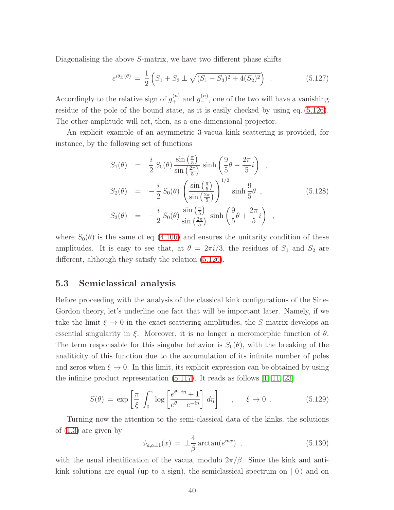Diagonalising the above S-matrix, we have two different phase shifts

$$
e^{i\delta_{\pm}(\theta)} = \frac{1}{2} \left( S_1 + S_3 \pm \sqrt{(S_1 - S_3)^2 + 4(S_2)^2} \right) \tag{5.127}
$$

Accordingly to the relative sign of  $g_{+}^{(n)}$  and  $g_{-}^{(n)}$ , one of the two will have a vanishing residue of the pole of the bound state, as it is easily checked by using eq. [\(5.126\)](#page-39-1). The other amplitude will act, then, as a one-dimensional projector.

An explicit example of an asymmetric 3-vacua kink scattering is provided, for instance, by the following set of functions

$$
S_1(\theta) = \frac{i}{2} S_0(\theta) \frac{\sin\left(\frac{\pi}{5}\right)}{\sin\left(\frac{2\pi}{5}\right)} \sinh\left(\frac{9}{5}\theta - \frac{2\pi}{5}i\right) ,
$$
  
\n
$$
S_2(\theta) = -\frac{i}{2} S_0(\theta) \left(\frac{\sin\left(\frac{\pi}{5}\right)}{\sin\left(\frac{2\pi}{5}\right)}\right)^{1/2} \sinh\frac{9}{5}\theta ,
$$
  
\n
$$
S_3(\theta) = -\frac{i}{2} S_0(\theta) \frac{\sin\left(\frac{\pi}{5}\right)}{\sin\left(\frac{2\pi}{5}\right)} \sinh\left(\frac{9}{5}\theta + \frac{2\pi}{5}i\right) ,
$$
  
\n(5.128)

where  $S_0(\theta)$  is the same of eq. [\(4.106\)](#page-32-1) and ensures the unitarity condition of these amplitudes. It is easy to see that, at  $\theta = 2\pi i/3$ , the residues of  $S_1$  and  $S_2$  are different, although they satisfy the relation [\(5.126\)](#page-39-1).

### 5.3 Semiclassical analysis

Before proceeding with the analysis of the classical kink configurations of the Sine-Gordon theory, let's underline one fact that will be important later. Namely, if we take the limit  $\xi \to 0$  in the exact scattering amplitudes, the S-matrix develops an essential singularity in  $\xi$ . Moreover, it is no longer a meromorphic function of  $\theta$ . The term responsable for this singular behavior is  $S_0(\theta)$ , with the breaking of the analiticity of this function due to the accumulation of its infinite number of poles and zeros when  $\xi \to 0$ . In this limit, its explicit expression can be obtained by using the infinite product representation [\(5.117\)](#page-35-2). It reads as follows [\[1,](#page-65-0) [11,](#page-65-10) [23\]](#page-66-10)

$$
S(\theta) = \exp\left[\frac{\pi}{\xi} \int_0^\pi \log\left[\frac{e^{\theta - i\eta} + 1}{e^{\theta} + e^{-i\eta}}\right] d\eta\right] , \quad \xi \to 0 . \tag{5.129}
$$

Turning now the attention to the semi-classical data of the kinks, the solutions of [\(1.3\)](#page-1-2) are given by

<span id="page-40-0"></span>
$$
\phi_{a,a\pm 1}(x) = \pm \frac{4}{\beta} \arctan(e^{mx}), \qquad (5.130)
$$

with the usual identification of the vacua, modulo  $2\pi/\beta$ . Since the kink and antikink solutions are equal (up to a sign), the semiclassical spectrum on  $|0\rangle$  and on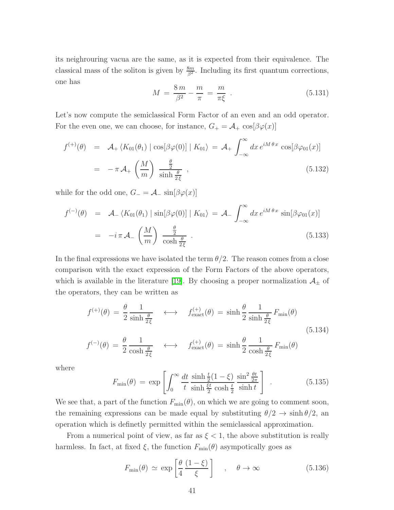its neighrouring vacua are the same, as it is expected from their equivalence. The classical mass of the soliton is given by  $\frac{8m}{\beta^2}$ . Including its first quantum corrections, one has

$$
M = \frac{8m}{\beta^2} - \frac{m}{\pi} = \frac{m}{\pi \xi} \tag{5.131}
$$

Let's now compute the semiclassical Form Factor of an even and an odd operator. For the even one, we can choose, for instance,  $G_+ = \mathcal{A}_+ \cos[\beta \varphi(x)]$ 

$$
f^{(+)}(\theta) = \mathcal{A}_{+} \langle K_{01}(\theta_{1}) | \cos[\beta \varphi(0)] | K_{01} \rangle = \mathcal{A}_{+} \int_{-\infty}^{\infty} dx \, e^{iM\theta x} \cos[\beta \varphi_{01}(x)]
$$
  
=  $-\pi \mathcal{A}_{+} \left(\frac{M}{m}\right) \frac{\frac{\theta}{2}}{\sinh \frac{\theta}{2\xi}}$ , (5.132)

while for the odd one,  $G_{-} = \mathcal{A}_{-} \sin[\beta \varphi(x)]$ 

$$
f^{(-)}(\theta) = \mathcal{A}_{-} \langle K_{01}(\theta_{1}) | \sin[\beta \varphi(0)] | K_{01} \rangle = \mathcal{A}_{-} \int_{-\infty}^{\infty} dx \, e^{iM\theta x} \sin[\beta \varphi_{01}(x)]
$$

$$
= -i \pi \mathcal{A}_{-} \left(\frac{M}{m}\right) \frac{\frac{\theta}{2}}{\cosh \frac{\theta}{2\xi}} . \tag{5.133}
$$

In the final expressions we have isolated the term  $\theta/2$ . The reason comes from a close comparison with the exact expression of the Form Factors of the above operators, which is available in the literature [\[19\]](#page-66-6). By choosing a proper normalization  $\mathcal{A}_{\pm}$  of the operators, they can be written as

$$
f^{(+)}(\theta) = \frac{\theta}{2} \frac{1}{\sinh \frac{\theta}{2\xi}} \quad \longleftrightarrow \quad f^{(+)}_{\text{exact}}(\theta) = \sinh \frac{\theta}{2} \frac{1}{\sinh \frac{\theta}{2\xi}} F_{\text{min}}(\theta)
$$
  

$$
f^{(-)}(\theta) = \frac{\theta}{2} \frac{1}{\cosh \frac{\theta}{2\xi}} \quad \longleftrightarrow \quad f^{(+)}_{\text{exact}}(\theta) = \sinh \frac{\theta}{2} \frac{1}{\cosh \frac{\theta}{2\xi}} F_{\text{min}}(\theta)
$$
(5.134)

where

$$
F_{\min}(\theta) = \exp\left[\int_0^\infty \frac{dt}{t} \frac{\sinh\frac{t}{2}(1-\xi)}{\sinh\frac{\xi t}{2}\cosh\frac{t}{2}} \frac{\sin^2\frac{\theta t}{2\pi}}{\sinh t}\right] \tag{5.135}
$$

We see that, a part of the function  $F_{\text{min}}(\theta)$ , on which we are going to comment soon, the remaining expressions can be made equal by substituting  $\theta/2 \rightarrow \sinh \theta/2$ , and operation which is definetly permitted within the semiclassical approximation.

From a numerical point of view, as far as  $\xi < 1$ , the above substitution is really harmless. In fact, at fixed  $\xi$ , the function  $F_{\text{min}}(\theta)$  asympotically goes as

$$
F_{\min}(\theta) \simeq \exp\left[\frac{\theta}{4}\frac{(1-\xi)}{\xi}\right] \quad , \quad \theta \to \infty \tag{5.136}
$$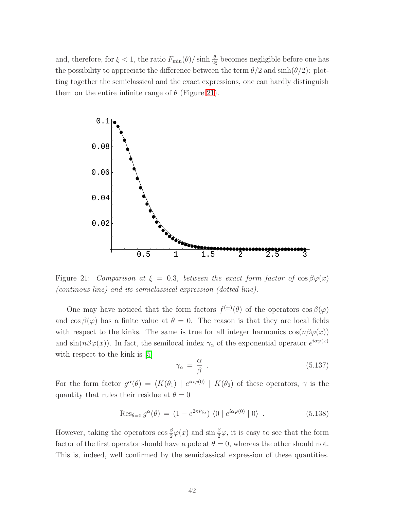and, therefore, for  $\xi < 1$ , the ratio  $F_{\min}(\theta)/\sinh \frac{\theta}{2\xi}$  becomes negligible before one has the possibility to appreciate the difference between the term  $\theta/2$  and  $\sinh(\theta/2)$ : plotting together the semiclassical and the exact expressions, one can hardly distinguish them on the entire infinite range of  $\theta$  (Figure [21\)](#page-42-0).



<span id="page-42-0"></span>Figure 21: Comparison at  $\xi = 0.3$ , between the exact form factor of  $\cos \beta \varphi(x)$ (continous line) and its semiclassical expression (dotted line).

One may have noticed that the form factors  $f^{(\pm)}(\theta)$  of the operators  $\cos \beta(\varphi)$ and  $\cos \beta(\varphi)$  has a finite value at  $\theta = 0$ . The reason is that they are local fields with respect to the kinks. The same is true for all integer harmonics  $\cos(n\beta\varphi(x))$ and  $\sin(n\beta\varphi(x))$ . In fact, the semilocal index  $\gamma_\alpha$  of the exponential operator  $e^{i\alpha\varphi(x)}$ with respect to the kink is [\[5\]](#page-65-4)

$$
\gamma_{\alpha} = \frac{\alpha}{\beta} \tag{5.137}
$$

For the form factor  $g^{\alpha}(\theta) = \langle K(\theta_1) | e^{i\alpha\varphi(0)} | K(\theta_2)$  of these operators,  $\gamma$  is the quantity that rules their residue at  $\theta = 0$ 

$$
\operatorname{Res}_{\theta=0} g^{\alpha}(\theta) = (1 - e^{2\pi i \gamma_{\alpha}}) \langle 0 | e^{i\alpha \varphi(0)} | 0 \rangle . \qquad (5.138)
$$

However, taking the operators  $\cos \frac{\beta}{2}\varphi(x)$  and  $\sin \frac{\beta}{2}\varphi$ , it is easy to see that the form factor of the first operator should have a pole at  $\theta = 0$ , whereas the other should not. This is, indeed, well confirmed by the semiclassical expression of these quantities.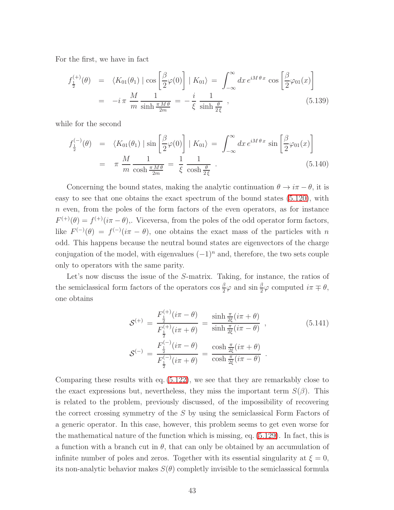For the first, we have in fact

$$
f_{\frac{1}{2}}^{(+)}(\theta) = \langle K_{01}(\theta_1) | \cos \left[\frac{\beta}{2}\varphi(0)\right] | K_{01} \rangle = \int_{-\infty}^{\infty} dx \, e^{iM\theta \, x} \cos \left[\frac{\beta}{2}\varphi_{01}(x)\right]
$$

$$
= -i\,\pi \, \frac{M}{m} \frac{1}{\sinh \frac{\pi M \theta}{2m}} = -\frac{i}{\xi} \frac{1}{\sinh \frac{\theta}{2\xi}} \,, \tag{5.139}
$$

while for the second

$$
f_{\frac{1}{2}}^{(-)}(\theta) = \langle K_{01}(\theta_1) | \sin \left[ \frac{\beta}{2} \varphi(0) \right] | K_{01} \rangle = \int_{-\infty}^{\infty} dx \, e^{iM\theta x} \sin \left[ \frac{\beta}{2} \varphi_{01}(x) \right]
$$
  
=  $\pi \frac{M}{m} \frac{1}{\cosh \frac{\pi M \theta}{2m}} = \frac{1}{\xi} \frac{1}{\cosh \frac{\theta}{2\xi}}$  (5.140)

Concerning the bound states, making the analytic continuation  $\theta \to i\pi - \theta$ , it is easy to see that one obtains the exact spectrum of the bound states [\(5.120\)](#page-35-1), with n even, from the poles of the form factors of the even operators, as for instance  $F^{(+)}(\theta) = f^{(+)}(i\pi - \theta)$ ,. Viceversa, from the poles of the odd operator form factors, like  $F^{(-)}(\theta) = f^{(-)}(i\pi - \theta)$ , one obtains the exact mass of the particles with n odd. This happens because the neutral bound states are eigenvectors of the charge conjugation of the model, with eigenvalues  $(-1)^n$  and, therefore, the two sets couple only to operators with the same parity.

Let's now discuss the issue of the S-matrix. Taking, for instance, the ratios of the semiclassical form factors of the operators  $\cos \frac{\beta}{2}\varphi$  and  $\sin \frac{\beta}{2}\varphi$  computed  $i\pi \mp \theta$ , one obtains

$$
\mathcal{S}^{(+)} = \frac{F_{\frac{1}{2}}^{(+)}(i\pi - \theta)}{F_{\frac{1}{2}}^{(+)}(i\pi + \theta)} = \frac{\sinh \frac{\pi}{2\xi}(i\pi + \theta)}{\sinh \frac{\pi}{2\xi}(i\pi - \theta)},
$$
\n
$$
\mathcal{S}^{(-)} = \frac{F_{\frac{1}{2}}^{(-)}(i\pi - \theta)}{F_{\frac{1}{2}}^{(-)}(i\pi + \theta)} = \frac{\cosh \frac{\pi}{2\xi}(i\pi + \theta)}{\cosh \frac{\pi}{2\xi}(i\pi - \theta)}.
$$
\n(5.141)

Comparing these results with eq. [\(5.122\)](#page-36-1), we see that they are remarkably close to the exact expressions but, nevertheless, they miss the important term  $S(\beta)$ . This is related to the problem, previously discussed, of the impossibility of recovering the correct crossing symmetry of the S by using the semiclassical Form Factors of a generic operator. In this case, however, this problem seems to get even worse for the mathematical nature of the function which is missing, eq. [\(5.129\)](#page-40-0). In fact, this is a function with a branch cut in  $\theta$ , that can only be obtained by an accumulation of infinite number of poles and zeros. Together with its essential singularity at  $\xi = 0$ , its non-analytic behavior makes  $S(\theta)$  completly invisible to the semiclassical formula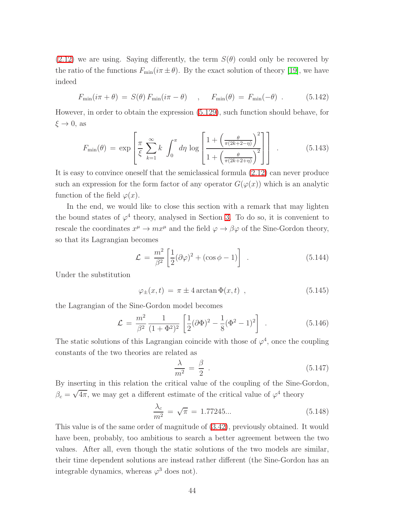[\(2.12\)](#page-6-2) we are using. Saying differently, the term  $S(\theta)$  could only be recovered by the ratio of the functions  $F_{\min}(i\pi \pm \theta)$ . By the exact solution of theory [\[19\]](#page-66-6), we have indeed

$$
F_{\min}(i\pi + \theta) = S(\theta) F_{\min}(i\pi - \theta) , \quad F_{\min}(\theta) = F_{\min}(-\theta) .
$$
 (5.142)

However, in order to obtain the expression [\(5.129\)](#page-40-0), such function should behave, for  $\xi \to 0$ , as

$$
F_{\min}(\theta) = \exp\left[\frac{\pi}{\xi} \sum_{k=1}^{\infty} k \int_0^{\pi} d\eta \log \left[\frac{1 + \left(\frac{\theta}{\pi(2k+2-\eta)}\right)^2}{1 + \left(\frac{\theta}{\pi(2k+2+\eta)}\right)^2}\right]\right].
$$
 (5.143)

It is easy to convince oneself that the semiclassical formula [\(2.12\)](#page-6-2) can never produce such an expression for the form factor of any operator  $G(\varphi(x))$  which is an analytic function of the field  $\varphi(x)$ .

In the end, we would like to close this section with a remark that may lighten the bound states of  $\varphi^4$  theory, analysed in Section [3.](#page-11-2) To do so, it is convenient to rescale the coordinates  $x^{\mu} \to mx^{\mu}$  and the field  $\varphi \to \beta \varphi$  of the Sine-Gordon theory, so that its Lagrangian becomes

$$
\mathcal{L} = \frac{m^2}{\beta^2} \left[ \frac{1}{2} (\partial \varphi)^2 + (\cos \phi - 1) \right] . \tag{5.144}
$$

Under the substitution

$$
\varphi_{\pm}(x,t) = \pi \pm 4 \arctan \Phi(x,t) , \qquad (5.145)
$$

the Lagrangian of the Sine-Gordon model becomes

$$
\mathcal{L} = \frac{m^2}{\beta^2} \frac{1}{(1+\Phi^2)^2} \left[ \frac{1}{2} (\partial \Phi)^2 - \frac{1}{8} (\Phi^2 - 1)^2 \right] . \tag{5.146}
$$

The static solutions of this Lagrangian coincide with those of  $\varphi^4$ , once the coupling constants of the two theories are related as

$$
\frac{\lambda}{m^2} = \frac{\beta}{2} \tag{5.147}
$$

By inserting in this relation the critical value of the coupling of the Sine-Gordon,  $\beta_c = \sqrt{4\pi}$ , we may get a different estimate of the critical value of  $\varphi^4$  theory

$$
\frac{\lambda_c}{m^2} = \sqrt{\pi} = 1.77245... \tag{5.148}
$$

This value is of the same order of magnitude of [\(3.42\)](#page-13-0), previously obtained. It would have been, probably, too ambitious to search a better agreement between the two values. After all, even though the static solutions of the two models are similar, their time dependent solutions are instead rather different (the Sine-Gordon has an integrable dynamics, whereas  $\varphi^3$  does not).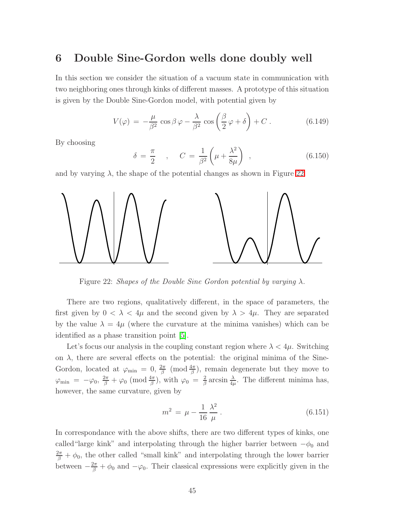### 6 Double Sine-Gordon wells done doubly well

In this section we consider the situation of a vacuum state in communication with two neighboring ones through kinks of different masses. A prototype of this situation is given by the Double Sine-Gordon model, with potential given by

$$
V(\varphi) = -\frac{\mu}{\beta^2} \cos \beta \varphi - \frac{\lambda}{\beta^2} \cos \left(\frac{\beta}{2} \varphi + \delta\right) + C \,. \tag{6.149}
$$

By choosing

$$
\delta = \frac{\pi}{2} \quad , \quad C = \frac{1}{\beta^2} \left( \mu + \frac{\lambda^2}{8\mu} \right) \quad , \tag{6.150}
$$

and by varying  $\lambda$ , the shape of the potential changes as shown in Figure [22.](#page-45-0)



<span id="page-45-0"></span>Figure 22: Shapes of the Double Sine Gordon potential by varying  $\lambda$ .

There are two regions, qualitatively different, in the space of parameters, the first given by  $0 < \lambda < 4\mu$  and the second given by  $\lambda > 4\mu$ . They are separated by the value  $\lambda = 4\mu$  (where the curvature at the minima vanishes) which can be identified as a phase transition point [\[5\]](#page-65-4).

Let's focus our analysis in the coupling constant region where  $\lambda < 4\mu$ . Switching on  $\lambda$ , there are several effects on the potential: the original minima of the Sine-Gordon, located at  $\varphi_{\min} = 0, \frac{2\pi}{\beta}$  $\frac{2\pi}{\beta}$  (mod  $\frac{4\pi}{\beta}$ ), remain degenerate but they move to  $\varphi_{\rm min} \;=\; -\varphi_0, \, \frac{2\pi}{\beta} + \varphi_0 \;({\rm mod}\, \frac{4\pi}{\beta}), \text{ with } \varphi_0 \;=\; \frac{2}{\beta}$  $\frac{2}{\beta}$  arcsin  $\frac{\lambda}{4\mu}$ . The different minima has, however, the same curvature, given by

<span id="page-45-1"></span>
$$
m^2 = \mu - \frac{1}{16} \frac{\lambda^2}{\mu} \,. \tag{6.151}
$$

In correspondance with the above shifts, there are two different types of kinks, one called "large kink" and interpolating through the higher barrier between  $-\phi_0$  and  $\frac{2\pi}{\beta} + \phi_0$ , the other called "small kink" and interpolating through the lower barrier between  $-\frac{2\pi}{\beta} + \phi_0$  and  $-\varphi_0$ . Their classical expressions were explicitly given in the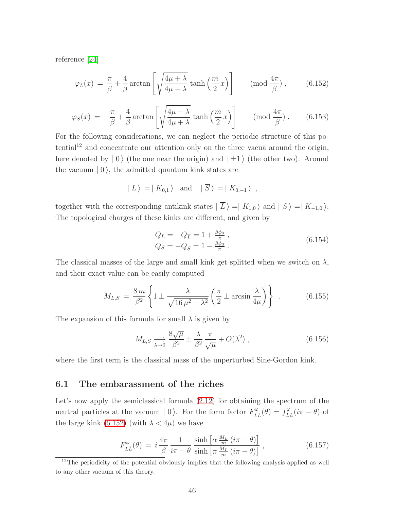<span id="page-46-2"></span><span id="page-46-0"></span>reference [\[24\]](#page-66-11)

$$
\varphi_L(x) = \frac{\pi}{\beta} + \frac{4}{\beta} \arctan\left[\sqrt{\frac{4\mu + \lambda}{4\mu - \lambda}} \tanh\left(\frac{m}{2}x\right)\right] \qquad \text{(mod } \frac{4\pi}{\beta}, \tag{6.152}
$$

$$
\varphi_S(x) = -\frac{\pi}{\beta} + \frac{4}{\beta} \arctan\left[\sqrt{\frac{4\mu - \lambda}{4\mu + \lambda}} \tanh\left(\frac{m}{2}x\right)\right] \qquad (\text{mod } \frac{4\pi}{\beta}).
$$
 (6.153)

For the following considerations, we can neglect the periodic structure of this po $tential<sup>12</sup>$  and concentrate our attention only on the three vacua around the origin, here denoted by  $|0\rangle$  (the one near the origin) and  $| \pm 1\rangle$  (the other two). Around the vacuum  $|0\rangle$ , the admitted quantum kink states are

$$
| L \rangle = | K_{0,1} \rangle
$$
 and  $|\overline{S}\rangle = | K_{0,-1} \rangle$ ,

together with the corresponding antikink states  $| \overline{L} \rangle = | K_{1,0} \rangle$  and  $| S \rangle = | K_{-1,0} \rangle$ . The topological charges of these kinks are different, and given by

<span id="page-46-1"></span>
$$
Q_L = -Q_{\overline{L}} = 1 + \frac{\beta \phi_0}{\pi} ,
$$
  
\n
$$
Q_S = -Q_{\overline{S}} = 1 - \frac{\beta \phi_0}{\pi} .
$$
\n(6.154)

The classical masses of the large and small kink get splitted when we switch on  $\lambda$ , and their exact value can be easily computed

$$
M_{L,S} = \frac{8m}{\beta^2} \left\{ 1 \pm \frac{\lambda}{\sqrt{16 \mu^2 - \lambda^2}} \left( \frac{\pi}{2} \pm \arcsin \frac{\lambda}{4\mu} \right) \right\} \quad . \tag{6.155}
$$

The expansion of this formula for small  $\lambda$  is given by

$$
M_{L,S} \xrightarrow[\lambda \to 0]{} \frac{8\sqrt{\mu}}{\beta^2} \pm \frac{\lambda}{\beta^2} \frac{\pi}{\sqrt{\mu}} + O(\lambda^2) , \qquad (6.156)
$$

where the first term is the classical mass of the unperturbed Sine-Gordon kink.

#### 6.1 The embarassment of the riches

Let's now apply the semiclassical formula [\(2.12\)](#page-6-2) for obtaining the spectrum of the neutral particles at the vacuum  $|0\rangle$ . For the form factor  $F_L^{\varphi}$  $L_L^{\varphi}(\theta) = f_{LL}^{\varphi}(i\pi - \theta)$  of the large kink [\(6.152\)](#page-46-0) (with  $\lambda < 4\mu$ ) we have

$$
F_{L\bar{L}}^{\varphi}(\theta) = i \frac{4\pi}{\beta} \frac{1}{i\pi - \theta} \frac{\sinh\left[\alpha \frac{M_L}{m} (i\pi - \theta)\right]}{\sinh\left[\pi \frac{M_L}{m} (i\pi - \theta)\right]},
$$
\n(6.157)

 $12$ The periodicity of the potential obviously implies that the following analysis applied as well to any other vacuum of this theory.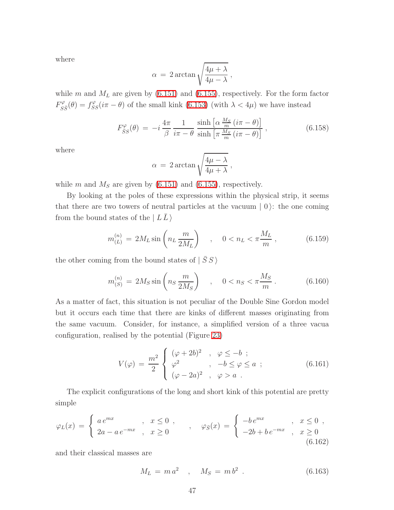where

$$
\alpha\,=\,2\arctan\sqrt{\frac{4\mu+\lambda}{4\mu-\lambda}}\,,
$$

while m and  $M_L$  are given by [\(6.151\)](#page-45-1) and [\(6.155\)](#page-46-1), respectively. For the form factor  $F_{S}^{\varphi}$  $S_{\overline{S}}^{\varphi}(\theta) = f_{SS}^{\varphi}(i\pi - \theta)$  of the small kink [\(6.153\)](#page-46-2) (with  $\lambda < 4\mu$ ) we have instead

$$
F_{SS}^{\varphi}(\theta) = -i \frac{4\pi}{\beta} \frac{1}{i\pi - \theta} \frac{\sinh\left[\alpha \frac{M_S}{m} (i\pi - \theta)\right]}{\sinh\left[\pi \frac{M_S}{m} (i\pi - \theta)\right]},
$$
(6.158)

where

$$
\alpha = 2 \arctan \sqrt{\frac{4\mu - \lambda}{4\mu + \lambda}} ,
$$

while m and  $M<sub>S</sub>$  are given by [\(6.151\)](#page-45-1) and [\(6.155\)](#page-46-1), respectively.

By looking at the poles of these expressions within the physical strip, it seems that there are two towers of neutral particles at the vacuum  $\mid 0 \rangle$ : the one coming from the bound states of the  $|LL\rangle$ 

<span id="page-47-1"></span><span id="page-47-0"></span>
$$
m_{(L)}^{(n)} = 2M_L \sin\left(n_L \frac{m}{2M_L}\right) \quad , \quad 0 < n_L < \pi \frac{M_L}{m} \,, \tag{6.159}
$$

the other coming from the bound states of  $| \overline{S} S \rangle$ 

$$
m_{(S)}^{(n)} = 2M_S \sin\left(n_S \frac{m}{2M_S}\right) \quad , \quad 0 < n_S < \pi \frac{M_S}{m} \,. \tag{6.160}
$$

As a matter of fact, this situation is not peculiar of the Double Sine Gordon model but it occurs each time that there are kinks of different masses originating from the same vacuum. Consider, for instance, a simplified version of a three vacua configuration, realised by the potential (Figure [23\)](#page-48-0)

$$
V(\varphi) = \frac{m^2}{2} \begin{cases} (\varphi + 2b)^2 & , \varphi \le -b ; \\ \varphi^2 & , -b \le \varphi \le a ; \\ (\varphi - 2a)^2 & , \varphi > a . \end{cases}
$$
 (6.161)

The explicit configurations of the long and short kink of this potential are pretty simple

$$
\varphi_L(x) = \begin{cases} a e^{mx} , & x \le 0 ,\\ 2a - a e^{-mx} , & x \ge 0 \end{cases}, \quad \varphi_{\bar{S}}(x) = \begin{cases} -b e^{mx} , & x \le 0 ,\\ -2b + b e^{-mx} , & x \ge 0 \\ 6.162 \end{cases}
$$

and their classical masses are

$$
M_L = m a^2 \quad , \quad M_S = m b^2 \quad . \tag{6.163}
$$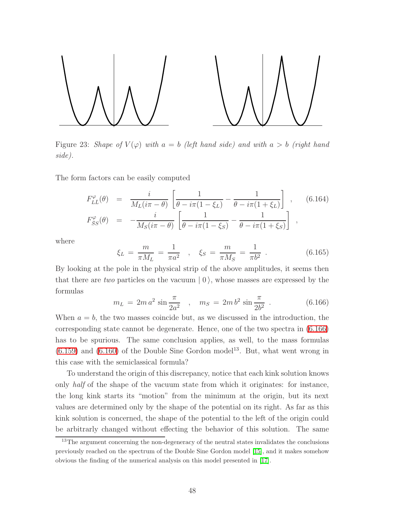

<span id="page-48-0"></span>Figure 23: Shape of  $V(\varphi)$  with  $a = b$  (left hand side) and with  $a > b$  (right hand side).

The form factors can be easily computed

$$
F_{L\bar{L}}^{\varphi}(\theta) = \frac{i}{M_L(i\pi - \theta)} \left[ \frac{1}{\theta - i\pi(1 - \xi_L)} - \frac{1}{\theta - i\pi(1 + \xi_L)} \right], \quad (6.164)
$$

$$
F_{\bar{S}S}^{\varphi}(\theta) = -\frac{i}{M_S(i\pi - \theta)} \left[ \frac{1}{\theta - i\pi(1 - \xi_S)} - \frac{1}{\theta - i\pi(1 + \xi_S)} \right],
$$

where

$$
\xi_L = \frac{m}{\pi M_L} = \frac{1}{\pi a^2} \quad , \quad \xi_S = \frac{m}{\pi M_S} = \frac{1}{\pi b^2} \quad . \tag{6.165}
$$

<span id="page-48-1"></span>By looking at the pole in the physical strip of the above amplitudes, it seems then that there are two particles on the vacuum  $\vert 0 \rangle$ , whose masses are expressed by the formulas

$$
m_L = 2m a^2 \sin \frac{\pi}{2a^2} , \quad m_S = 2m b^2 \sin \frac{\pi}{2b^2} . \tag{6.166}
$$

When  $a = b$ , the two masses coincide but, as we discussed in the introduction, the corresponding state cannot be degenerate. Hence, one of the two spectra in [\(6.166\)](#page-48-1) has to be spurious. The same conclusion applies, as well, to the mass formulas  $(6.159)$  and  $(6.160)$  of the Double Sine Gordon model<sup>13</sup>. But, what went wrong in this case with the semiclassical formula?

To understand the origin of this discrepancy, notice that each kink solution knows only half of the shape of the vacuum state from which it originates: for instance, the long kink starts its "motion" from the minimum at the origin, but its next values are determined only by the shape of the potential on its right. As far as this kink solution is concerned, the shape of the potential to the left of the origin could be arbitrarly changed without effecting the behavior of this solution. The same

<sup>&</sup>lt;sup>13</sup>The argument concerning the non-degeneracy of the neutral states invalidates the conclusions previously reached on the spectrum of the Double Sine Gordon model [\[15\]](#page-66-2), and it makes somehow obvious the finding of the numerical analysis on this model presented in [\[17\]](#page-66-5).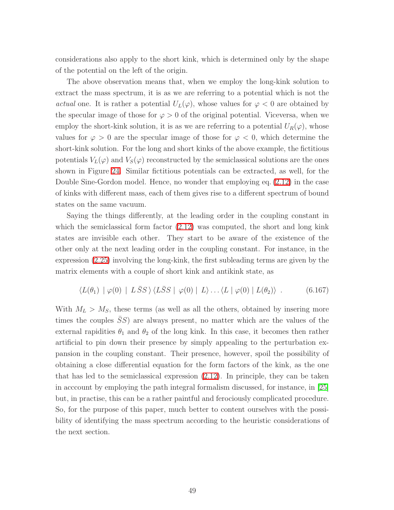considerations also apply to the short kink, which is determined only by the shape of the potential on the left of the origin.

The above observation means that, when we employ the long-kink solution to extract the mass spectrum, it is as we are referring to a potential which is not the actual one. It is rather a potential  $U_L(\varphi)$ , whose values for  $\varphi < 0$  are obtained by the specular image of those for  $\varphi > 0$  of the original potential. Viceversa, when we employ the short-kink solution, it is as we are referring to a potential  $U_R(\varphi)$ , whose values for  $\varphi > 0$  are the specular image of those for  $\varphi < 0$ , which determine the short-kink solution. For the long and short kinks of the above example, the fictitious potentials  $V_L(\varphi)$  and  $V_S(\varphi)$  reconstructed by the semiclassical solutions are the ones shown in Figure [24.](#page-50-0) Similar fictitious potentials can be extracted, as well, for the Double Sine-Gordon model. Hence, no wonder that employing eq. [\(2.12\)](#page-6-2) in the case of kinks with different mass, each of them gives rise to a different spectrum of bound states on the same vacuum.

Saying the things differently, at the leading order in the coupling constant in which the semiclassical form factor  $(2.12)$  was computed, the short and long kink states are invisible each other. They start to be aware of the existence of the other only at the next leading order in the coupling constant. For instance, in the expression [\(2.25\)](#page-8-0) involving the long-kink, the first subleading terms are given by the matrix elements with a couple of short kink and antikink state, as

$$
\langle L(\theta_1) | \varphi(0) | L\bar{S}S \rangle \langle L\bar{S}S | \varphi(0) | L \rangle \dots \langle L | \varphi(0) | L(\theta_2) \rangle . \tag{6.167}
$$

With  $M_L > M_S$ , these terms (as well as all the others, obtained by insering more times the couples  $SS$ ) are always present, no matter which are the values of the external rapidities  $\theta_1$  and  $\theta_2$  of the long kink. In this case, it becomes then rather artificial to pin down their presence by simply appealing to the perturbation expansion in the coupling constant. Their presence, however, spoil the possibility of obtaining a close differential equation for the form factors of the kink, as the one that has led to the semiclassical expression [\(2.12\)](#page-6-2). In principle, they can be taken in acccount by employing the path integral formalism discussed, for instance, in [\[25\]](#page-67-1) but, in practise, this can be a rather paintful and ferociously complicated procedure. So, for the purpose of this paper, much better to content ourselves with the possibility of identifying the mass spectrum according to the heuristic considerations of the next section.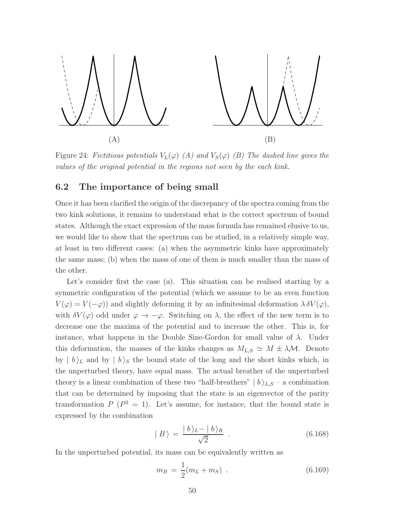

<span id="page-50-0"></span>Figure 24: Fictitious potentials  $V_L(\varphi)$  (A) and  $V_S(\varphi)$  (B) The dashed line gives the values of the original potential in the regions not seen by the each kink.

#### 6.2 The importance of being small

Once it has been clarified the origin of the discrepancy of the spectra coming from the two kink solutions, it remains to understand what is the correct spectrum of bound states. Although the exact expression of the mass formula has remained elusive to us, we would like to show that the spectrum can be studied, in a relatively simple way, at least in two different cases: (a) when the asymmetric kinks have approximately the same mass; (b) when the mass of one of them is much smaller than the mass of the other.

Let's consider first the case (a). This situation can be realised starting by a symmetric configuration of the potential (which we assume to be an even function  $V(\varphi) = V(-\varphi)$  and slightly deforming it by an infinitesimal deformation  $\lambda \delta V(\varphi)$ , with  $\delta V(\varphi)$  odd under  $\varphi \to -\varphi$ . Switching on  $\lambda$ , the effect of the new term is to decrease one the maxima of the potential and to increase the other. This is, for instance, what happens in the Double Sine-Gordon for small value of  $\lambda$ . Under this deformation, the masses of the kinks changes as  $M_{L,S} \simeq M \pm \lambda \mathcal{M}$ . Denote by  $|b\rangle_L$  and by  $|b\rangle_S$  the bound state of the long and the short kinks which, in the unperturbed theory, have equal mass. The actual breather of the unperturbed theory is a linear combination of these two "half-breathers"  $|b\rangle_{L,S}$  – a combination that can be determined by imposing that the state is an eigenvector of the parity transformation  $P(P^2 = 1)$ . Let's assume, for instance, that the bound state is expressed by the combination

<span id="page-50-2"></span><span id="page-50-1"></span>
$$
|B\rangle = \frac{|b\rangle_L - |b\rangle_R}{\sqrt{2}} . \tag{6.168}
$$

In the unperturbed potential, its mass can be equivalently written as

$$
m_B = \frac{1}{2}(m_L + m_S) \tag{6.169}
$$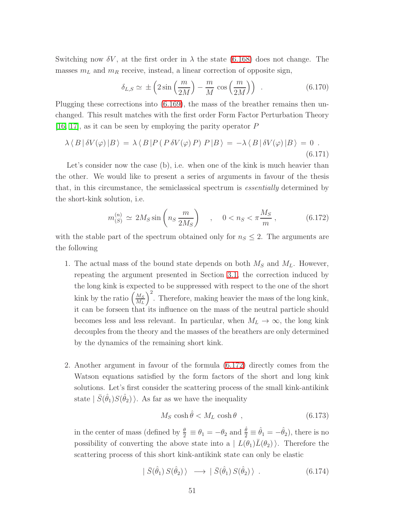Switching now  $\delta V$ , at the first order in  $\lambda$  the state [\(6.168\)](#page-50-1) does not change. The masses  $m<sub>L</sub>$  and  $m<sub>R</sub>$  receive, instead, a linear correction of opposite sign,

$$
\delta_{L,S} \simeq \pm \left( 2 \sin \left( \frac{m}{2M} \right) - \frac{m}{M} \cos \left( \frac{m}{2M} \right) \right) \tag{6.170}
$$

Plugging these corrections into [\(6.169\)](#page-50-2), the mass of the breather remains then unchanged. This result matches with the first order Form Factor Perturbation Theory [\[16,](#page-66-4) [17\]](#page-66-5), as it can be seen by employing the parity operator P

$$
\lambda \langle B | \delta V(\varphi) | B \rangle = \lambda \langle B | P (P \delta V(\varphi) P) P | B \rangle = -\lambda \langle B | \delta V(\varphi) | B \rangle = 0.
$$
\n(6.171)

Let's consider now the case (b), i.e. when one of the kink is much heavier than the other. We would like to present a series of arguments in favour of the thesis that, in this circumstance, the semiclassical spectrum is essentially determined by the short-kink solution, i.e.

<span id="page-51-0"></span>
$$
m_{(S)}^{(n)} \simeq 2M_S \sin \left( n_S \frac{m}{2M_S} \right) \quad , \quad 0 < n_S < \pi \frac{M_S}{m} \,, \tag{6.172}
$$

with the stable part of the spectrum obtained only for  $n<sub>S</sub> \leq 2$ . The arguments are the following

- 1. The actual mass of the bound state depends on both  $M_S$  and  $M_L$ . However, repeating the argument presented in Section [3.1,](#page-17-1) the correction induced by the long kink is expected to be suppressed with respect to the one of the short kink by the ratio  $\left(\frac{M_S}{M_L}\right)$  $M_L$  $\int_{0}^{2}$ . Therefore, making heavier the mass of the long kink, it can be forseen that its influence on the mass of the neutral particle should becomes less and less relevant. In particular, when  $M_L \to \infty$ , the long kink decouples from the theory and the masses of the breathers are only determined by the dynamics of the remaining short kink.
- 2. Another argument in favour of the formula [\(6.172\)](#page-51-0) directly comes from the Watson equations satisfied by the form factors of the short and long kink solutions. Let's first consider the scattering process of the small kink-antikink state  $| \bar{S}(\hat{\theta}_1)S(\hat{\theta}_2) \rangle$ . As far as we have the inequality

<span id="page-51-2"></span><span id="page-51-1"></span>
$$
M_S \cosh \hat{\theta} < M_L \cosh \theta \tag{6.173}
$$

in the center of mass (defined by  $\frac{\theta}{2} \equiv \theta_1 = -\theta_2$  and  $\frac{\hat{\theta}}{2} \equiv \hat{\theta}_1 = -\hat{\theta}_2$ ), there is no possibility of converting the above state into a  $| L(\theta_1) L(\theta_2) \rangle$ . Therefore the scattering process of this short kink-antikink state can only be elastic

$$
|\bar{S}(\hat{\theta}_1) S(\hat{\theta}_2) \rangle \longrightarrow |\bar{S}(\hat{\theta}_1) S(\hat{\theta}_2) \rangle . \qquad (6.174)
$$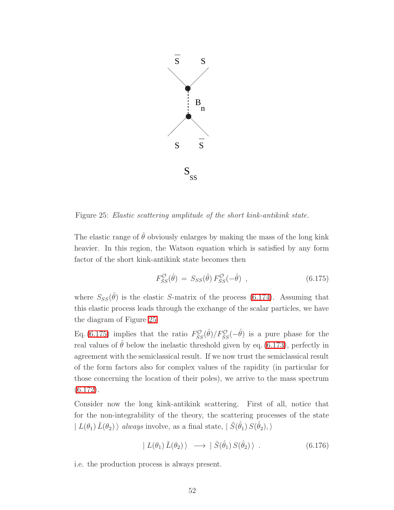

<span id="page-52-0"></span>Figure 25: Elastic scattering amplitude of the short kink-antikink state.

The elastic range of  $\hat{\theta}$  obviously enlarges by making the mass of the long kink heavier. In this region, the Watson equation which is satisfied by any form factor of the short kink-antikink state becomes then

<span id="page-52-1"></span>
$$
F_{\bar{S}S}^{\mathcal{O}}(\hat{\theta}) = S_{SS}(\hat{\theta}) F_{\bar{S}S}^{\mathcal{O}}(-\hat{\theta}) , \qquad (6.175)
$$

where  $S_{SS}(\hat{\theta})$  is the elastic S-matrix of the process [\(6.174\)](#page-51-1). Assuming that this elastic process leads through the exchange of the scalar particles, we have the diagram of Figure [25.](#page-52-0)

Eq. [\(6.175\)](#page-52-1) implies that the ratio  $F_{\bar{S}S}^{\mathcal{O}}(\hat{\theta})/F_{\bar{S}S}^{\mathcal{O}}(-\hat{\theta})$  is a pure phase for the real values of  $\theta$  below the inelastic threshold given by eq. [\(6.173\)](#page-51-2), perfectly in agreement with the semiclassical result. If we now trust the semiclassical result of the form factors also for complex values of the rapidity (in particular for those concerning the location of their poles), we arrive to the mass spectrum [\(6.172\)](#page-51-0).

Consider now the long kink-antikink scattering. First of all, notice that for the non-integrability of the theory, the scattering processes of the state  $| L(\theta_1) \bar{L}(\theta_2) \rangle$  always involve, as a final state,  $| \bar{S}(\hat{\theta}_1) S(\hat{\theta}_2), \rangle$ 

<span id="page-52-2"></span>
$$
| L(\theta_1) \bar{L}(\theta_2) \rangle \longrightarrow | \bar{S}(\hat{\theta}_1) S(\hat{\theta}_2) \rangle . \qquad (6.176)
$$

i.e. the production process is always present.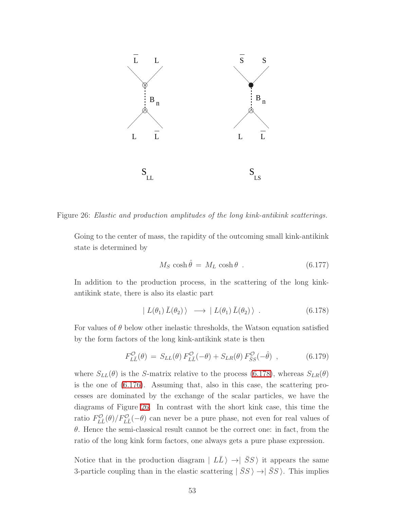

<span id="page-53-1"></span>Figure 26: Elastic and production amplitudes of the long kink-antikink scatterings.

Going to the center of mass, the rapidity of the outcoming small kink-antikink state is determined by

<span id="page-53-0"></span>
$$
M_S \cosh \hat{\theta} = M_L \cosh \theta \tag{6.177}
$$

In addition to the production process, in the scattering of the long kinkantikink state, there is also its elastic part

$$
| L(\theta_1) \bar{L}(\theta_2) \rangle \longrightarrow | L(\theta_1) \bar{L}(\theta_2) \rangle . \qquad (6.178)
$$

For values of  $\theta$  below other inelastic thresholds, the Watson equation satisfied by the form factors of the long kink-antikink state is then

$$
F_{L\bar{L}}^{\mathcal{O}}(\theta) = S_{LL}(\theta) F_{L\bar{L}}^{\mathcal{O}}(-\theta) + S_{LR}(\theta) F_{\bar{S}S}^{\mathcal{O}}(-\hat{\theta}) \quad , \tag{6.179}
$$

where  $S_{LL}(\theta)$  is the S-matrix relative to the process [\(6.178\)](#page-53-0), whereas  $S_{LR}(\theta)$ is the one of [\(6.176\)](#page-52-2). Assuming that, also in this case, the scattering processes are dominated by the exchange of the scalar particles, we have the diagrams of Figure [26.](#page-53-1) In contrast with the short kink case, this time the ratio  $F_{L\bar{L}}^{\mathcal{O}}(\theta)/F_{L\bar{L}}^{\mathcal{O}}(-\theta)$  can never be a pure phase, not even for real values of  $\theta$ . Hence the semi-classical result cannot be the correct one: in fact, from the ratio of the long kink form factors, one always gets a pure phase expression.

Notice that in the production diagram  $| L\bar{L} \rangle \rightarrow | \bar{S}S \rangle$  it appears the same 3-particle coupling than in the elastic scattering  $|\bar{S}S\rangle \rightarrow |\bar{S}S\rangle$ . This implies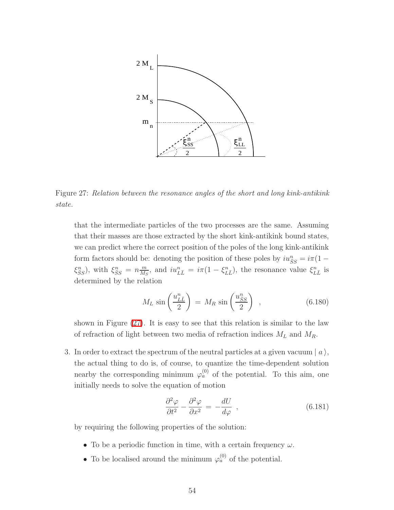

<span id="page-54-0"></span>Figure 27: Relation between the resonance angles of the short and long kink-antikink state.

that the intermediate particles of the two processes are the same. Assuming that their masses are those extracted by the short kink-antikink bound states, we can predict where the correct position of the poles of the long kink-antikink form factors should be: denoting the position of these poles by  $iu_{\overline{S}S}^n = i\pi(1 \xi_{\bar{S}S}^n$ ), with  $\xi_{\bar{S}S}^n = n \frac{m}{M_S}$  $\frac{m}{M_S}$ , and  $iu_{L\bar{L}}^n = i\pi (1 - \xi_{L\bar{L}}^n)$ , the resonance value  $\xi_{L\bar{L}}^n$  is determined by the relation

$$
M_L \sin\left(\frac{u_{L\bar{L}}^n}{2}\right) = M_R \sin\left(\frac{u_{\bar{S}S}^n}{2}\right) , \qquad (6.180)
$$

shown in Figure [\(27\)](#page-54-0). It is easy to see that this relation is similar to the law of refraction of light between two media of refraction indices  $M_L$  and  $M_R$ .

3. In order to extract the spectrum of the neutral particles at a given vacuum  $|a\rangle$ , the actual thing to do is, of course, to quantize the time-dependent solution nearby the corresponding minimum  $\varphi_a^{(0)}$  of the potential. To this aim, one initially needs to solve the equation of motion

<span id="page-54-1"></span>
$$
\frac{\partial^2 \varphi}{\partial t^2} - \frac{\partial^2 \varphi}{\partial x^2} = -\frac{dU}{d\varphi} \quad , \tag{6.181}
$$

by requiring the following properties of the solution:

- To be a periodic function in time, with a certain frequency  $\omega$ .
- To be localised around the minimum  $\varphi_a^{(0)}$  of the potential.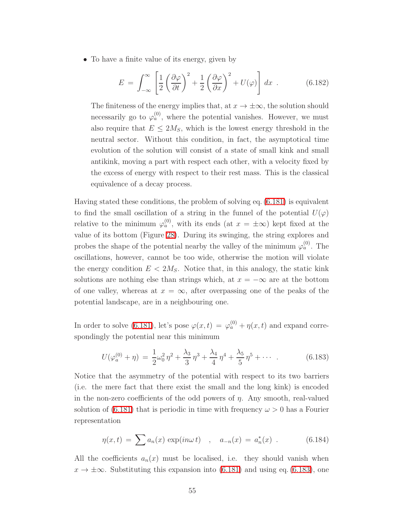• To have a finite value of its energy, given by

$$
E = \int_{-\infty}^{\infty} \left[ \frac{1}{2} \left( \frac{\partial \varphi}{\partial t} \right)^2 + \frac{1}{2} \left( \frac{\partial \varphi}{\partial x} \right)^2 + U(\varphi) \right] dx . \tag{6.182}
$$

The finiteness of the energy implies that, at  $x \to \pm \infty$ , the solution should necessarily go to  $\varphi_a^{(0)}$ , where the potential vanishes. However, we must also require that  $E \leq 2M_S$ , which is the lowest energy threshold in the neutral sector. Without this condition, in fact, the asymptotical time evolution of the solution will consist of a state of small kink and small antikink, moving a part with respect each other, with a velocity fixed by the excess of energy with respect to their rest mass. This is the classical equivalence of a decay process.

Having stated these conditions, the problem of solving eq. [\(6.181\)](#page-54-1) is equivalent to find the small oscillation of a string in the funnel of the potential  $U(\varphi)$ relative to the minimum  $\varphi_a^{(0)}$ , with its ends (at  $x = \pm \infty$ ) kept fixed at the value of its bottom (Figure [28\)](#page-56-0). During its swinging, the string explores and probes the shape of the potential nearby the valley of the minimum  $\varphi_a^{(0)}$ . The oscillations, however, cannot be too wide, otherwise the motion will violate the energy condition  $E < 2M_s$ . Notice that, in this analogy, the static kink solutions are nothing else than strings which, at  $x = -\infty$  are at the bottom of one valley, whereas at  $x = \infty$ , after overpassing one of the peaks of the potential landscape, are in a neighbouring one.

In order to solve [\(6.181\)](#page-54-1), let's pose  $\varphi(x,t) = \varphi_a^{(0)} + \eta(x,t)$  and expand correspondingly the potential near this minimum

<span id="page-55-0"></span>
$$
U(\varphi_a^{(0)} + \eta) = \frac{1}{2}\omega_0^2 \eta^2 + \frac{\lambda_3}{3} \eta^3 + \frac{\lambda_4}{4} \eta^4 + \frac{\lambda_5}{5} \eta^5 + \cdots
$$
 (6.183)

Notice that the asymmetry of the potential with respect to its two barriers (i.e. the mere fact that there exist the small and the long kink) is encoded in the non-zero coefficients of the odd powers of  $\eta$ . Any smooth, real-valued solution of  $(6.181)$  that is periodic in time with frequency  $\omega > 0$  has a Fourier representation

$$
\eta(x,t) = \sum a_n(x) \exp(in\omega t) , \quad a_{-n}(x) = a_n^*(x) . \tag{6.184}
$$

All the coefficients  $a_n(x)$  must be localised, i.e. they should vanish when  $x \to \pm \infty$ . Substituting this expansion into [\(6.181\)](#page-54-1) and using eq. [\(6.183\)](#page-55-0), one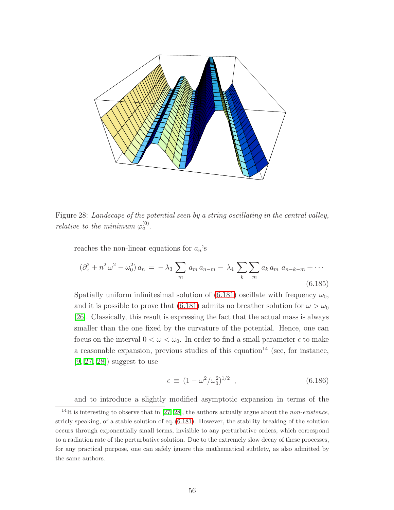

<span id="page-56-0"></span>Figure 28: Landscape of the potential seen by a string oscillating in the central valley, relative to the minimum  $\varphi_a^{(0)}$ .

reaches the non-linear equations for  $a_n$ 's

<span id="page-56-1"></span>
$$
(\partial_x^2 + n^2 \omega^2 - \omega_0^2) a_n = -\lambda_3 \sum_m a_m a_{n-m} - \lambda_4 \sum_k \sum_m a_k a_m a_{n-k-m} + \cdots
$$
\n(6.185)

Spatially uniform infinitesimal solution of [\(6.181\)](#page-54-1) oscillate with frequency  $\omega_0$ , and it is possible to prove that [\(6.181\)](#page-54-1) admits no breather solution for  $\omega > \omega_0$ [\[26\]](#page-67-2). Classically, this result is expressing the fact that the actual mass is always smaller than the one fixed by the curvature of the potential. Hence, one can focus on the interval  $0 < \omega < \omega_0$ . In order to find a small parameter  $\epsilon$  to make a reasonable expansion, previous studies of this equation<sup>14</sup> (see, for instance, [\[9,](#page-65-7) [27,](#page-67-3) [28\]](#page-67-4)) suggest to use

$$
\epsilon \equiv (1 - \omega^2/\omega_0^2)^{1/2} \tag{6.186}
$$

and to introduce a slightly modified asymptotic expansion in terms of the

<sup>&</sup>lt;sup>14</sup>It is interesting to observe that in [\[27,](#page-67-3) [28\]](#page-67-4), the authors actually argue about the *non-existence*, stricly speaking, of a stable solution of eq. [\(6.181\)](#page-54-1). However, the stability breaking of the solution occurs through exponentially small terms, invisible to any perturbative orders, which correspond to a radiation rate of the perturbative solution. Due to the extremely slow decay of these processes, for any practical purpose, one can safely ignore this mathematical subtlety, as also admitted by the same authors.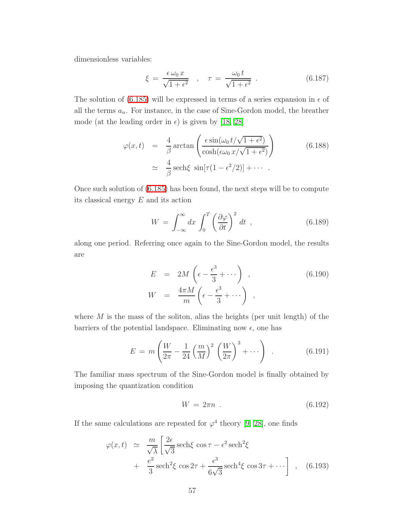dimensionless variables:

$$
\xi = \frac{\epsilon \omega_0 x}{\sqrt{1 + \epsilon^2}} \quad , \quad \tau = \frac{\omega_0 t}{\sqrt{1 + \epsilon^2}} \quad . \tag{6.187}
$$

The solution of [\(6.185\)](#page-56-1) will be expressed in terms of a series expansion in  $\epsilon$  of all the terms  $a_n$ . For instance, in the case of Sine-Gordon model, the breather mode (at the leading order in  $\epsilon$ ) is given by [\[18,](#page-66-3) [28\]](#page-67-4)

$$
\varphi(x,t) = \frac{4}{\beta} \arctan\left(\frac{\epsilon \sin(\omega_0 t/\sqrt{1+\epsilon^2})}{\cosh(\epsilon \omega_0 x/\sqrt{1+\epsilon^2})}\right)
$$
(6.188)  

$$
\approx \frac{4}{\beta} \operatorname{sech}\xi \sin[\tau(1-\epsilon^2/2)] + \cdots
$$

Once such solution of [\(6.185\)](#page-56-1) has been found, the next steps will be to compute its classical energy  $E$  and its action

$$
W = \int_{-\infty}^{\infty} dx \int_{0}^{T} \left(\frac{\partial \varphi}{\partial t}\right)^{2} dt , \qquad (6.189)
$$

along one period. Referring once again to the Sine-Gordon model, the results are

$$
E = 2M \left( \epsilon - \frac{\epsilon^3}{3} + \cdots \right) , \qquad (6.190)
$$
  

$$
W = \frac{4\pi M}{m} \left( \epsilon - \frac{\epsilon^3}{3} + \cdots \right) ,
$$

where  $M$  is the mass of the soliton, alias the heights (per unit length) of the barriers of the potential landspace. Eliminating now  $\epsilon$ , one has

<span id="page-57-0"></span>
$$
E = m\left(\frac{W}{2\pi} - \frac{1}{24}\left(\frac{m}{M}\right)^2 \left(\frac{W}{2\pi}\right)^3 + \cdots\right) \tag{6.191}
$$

The familiar mass spectrum of the Sine-Gordon model is finally obtained by imposing the quantization condition

$$
W = 2\pi n \tag{6.192}
$$

If the same calculations are repeated for  $\varphi^4$  theory [\[9,](#page-65-7) [28\]](#page-67-4), one finds

$$
\varphi(x,t) \simeq \frac{m}{\sqrt{\lambda}} \left[ \frac{2\epsilon}{\sqrt{3}} \operatorname{sech}\xi \, \cos \tau - \epsilon^2 \operatorname{sech}^2 \xi \right] + \frac{e^2}{3} \operatorname{sech}^2 \xi \, \cos 2\tau + \frac{\epsilon^3}{6\sqrt{3}} \operatorname{sech}^4 \xi \, \cos 3\tau + \cdots \right] , \quad (6.193)
$$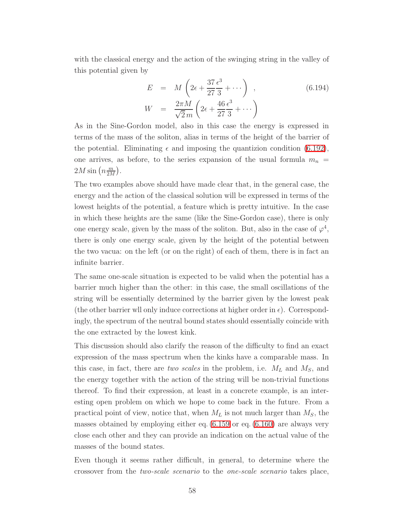with the classical energy and the action of the swinging string in the valley of this potential given by

$$
E = M\left(2\epsilon + \frac{37}{27}\frac{\epsilon^3}{3} + \cdots\right) , \qquad (6.194)
$$

$$
W = \frac{2\pi M}{\sqrt{2}m}\left(2\epsilon + \frac{46}{27}\frac{\epsilon^3}{3} + \cdots\right)
$$

As in the Sine-Gordon model, also in this case the energy is expressed in terms of the mass of the soliton, alias in terms of the height of the barrier of the potential. Eliminating  $\epsilon$  and imposing the quantizion condition [\(6.192\)](#page-57-0), one arrives, as before, to the series expansion of the usual formula  $m_n =$  $2M \sin\left(n \frac{m}{2M}\right)$  $\frac{m}{2M}$ .

The two examples above should have made clear that, in the general case, the energy and the action of the classical solution will be expressed in terms of the lowest heights of the potential, a feature which is pretty intuitive. In the case in which these heights are the same (like the Sine-Gordon case), there is only one energy scale, given by the mass of the soliton. But, also in the case of  $\varphi^4$ , there is only one energy scale, given by the height of the potential between the two vacua: on the left (or on the right) of each of them, there is in fact an infinite barrier.

The same one-scale situation is expected to be valid when the potential has a barrier much higher than the other: in this case, the small oscillations of the string will be essentially determined by the barrier given by the lowest peak (the other barrier wll only induce corrections at higher order in  $\epsilon$ ). Correspondingly, the spectrum of the neutral bound states should essentially coincide with the one extracted by the lowest kink.

This discussion should also clarify the reason of the difficulty to find an exact expression of the mass spectrum when the kinks have a comparable mass. In this case, in fact, there are two scales in the problem, i.e.  $M_L$  and  $M_S$ , and the energy together with the action of the string will be non-trivial functions thereof. To find their expression, at least in a concrete example, is an interesting open problem on which we hope to come back in the future. From a practical point of view, notice that, when  $M_L$  is not much larger than  $M_S$ , the masses obtained by employing either eq. [\(6.159](#page-47-0) or eq. [\(6.160\)](#page-47-1) are always very close each other and they can provide an indication on the actual value of the masses of the bound states.

Even though it seems rather difficult, in general, to determine where the crossover from the two-scale scenario to the one-scale scenario takes place,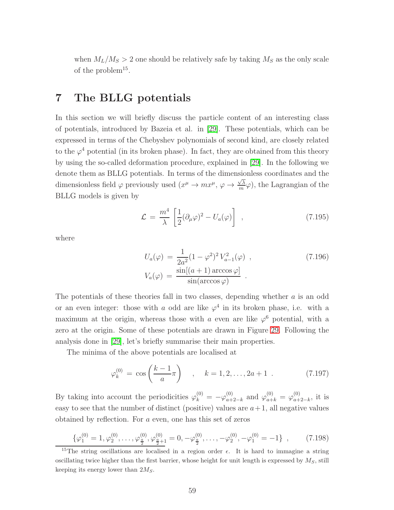when  $M_L/M_S > 2$  one should be relatively safe by taking  $M_S$  as the only scale of the problem<sup>15</sup>.

# 7 The BLLG potentials

In this section we will briefly discuss the particle content of an interesting class of potentials, introduced by Bazeia et al. in [\[29\]](#page-67-0). These potentials, which can be expressed in terms of the Chebyshev polynomials of second kind, are closely related to the  $\varphi^4$  potential (in its broken phase). In fact, they are obtained from this theory by using the so-called deformation procedure, explained in [\[29\]](#page-67-0). In the following we denote them as BLLG potentials. In terms of the dimensionless coordinates and the dimensionless field  $\varphi$  previously used  $(x^{\mu} \to mx^{\mu}, \varphi \to \frac{\sqrt{\lambda}}{m})$  $(\frac{\sqrt{\lambda}}{m}\varphi)$ , the Lagrangian of the BLLG models is given by

$$
\mathcal{L} = \frac{m^4}{\lambda} \left[ \frac{1}{2} (\partial_\mu \varphi)^2 - U_a(\varphi) \right] , \qquad (7.195)
$$

where

$$
U_a(\varphi) = \frac{1}{2a^2} (1 - \varphi^2)^2 V_{a-1}^2(\varphi) ,
$$
  
\n
$$
V_a(\varphi) = \frac{\sin[(a+1)\arccos\varphi]}{\sin(\arccos\varphi)} .
$$
\n(7.196)

The potentials of these theories fall in two classes, depending whether a is an odd or an even integer: those with a odd are like  $\varphi^4$  in its broken phase, i.e. with a maximum at the origin, whereas those with a even are like  $\varphi^6$  potential, with a zero at the origin. Some of these potentials are drawn in Figure [29.](#page-60-0) Following the analysis done in [\[29\]](#page-67-0), let's briefly summarise their main properties.

The minima of the above potentials are localised at

$$
\varphi_k^{(0)} = \cos\left(\frac{k-1}{a}\pi\right) \quad , \quad k = 1, 2, \dots, 2a+1 \quad . \tag{7.197}
$$

By taking into account the periodicities  $\varphi_k^{(0)} = -\varphi_{a+}^{(0)}$  $_{a+2-k}^{(0)}$  and  $\varphi_{a+k}^{(0)} = \varphi_{a+k}^{(0)}$  $_{a+2-k}^{(0)}$ , it is easy to see that the number of distinct (positive) values are  $a+1$ , all negative values obtained by reflection. For a even, one has this set of zeros

$$
\{\varphi_1^{(0)} = 1, \varphi_2^{(0)}, \dots, \varphi_{\frac{a}{2}}^{(0)}, \varphi_{\frac{a}{2}+1}^{(0)} = 0, -\varphi_{\frac{a}{2}}^{(0)}, \dots, -\varphi_2^{(0)}, -\varphi_1^{(0)} = -1\},\tag{7.198}
$$

<sup>&</sup>lt;sup>15</sup>The string oscillations are localised in a region order  $\epsilon$ . It is hard to immagine a string oscillating twice higher than the first barrier, whose height for unit length is expressed by  $M<sub>S</sub>$ , still keeping its energy lower than  $2M<sub>S</sub>$ .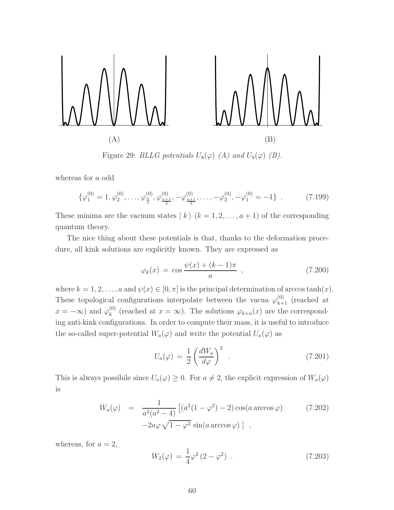

<span id="page-60-0"></span>Figure 29: BLLG potentials  $U_8(\varphi)$  (A) and  $U_9(\varphi)$  (B).

whereas for a odd

$$
\{\varphi_1^{(0)} = 1, \varphi_2^{(0)}, \dots, \varphi_{\frac{\alpha}{2}}^{(0)}, \varphi_{\frac{\alpha+1}{2}}^{(0)}, -\varphi_{\frac{\alpha+1}{2}}^{(0)}, \dots, -\varphi_2^{(0)}, -\varphi_1^{(0)} = -1\} .
$$
 (7.199)

These minima are the vacuum states  $| k \rangle (k = 1, 2, \ldots, a + 1)$  of the corresponding quantum theory.

The nice thing about these potentials is that, thanks to the deformation procedure, all kink solutions are explicitly known. They are expressed as

$$
\varphi_k(x) = \cos \frac{\psi(x) + (k-1)\pi}{a} , \qquad (7.200)
$$

where  $k = 1, 2, ..., a$  and  $\psi(x) \in [0, \pi]$  is the principal determination of arccos tanh $(x)$ . These topological configurations interpolate between the vacua  $\varphi_{k+1}^{(0)}$  (reached at  $x = -\infty$ ) and  $\varphi_k^{(0)}$  $\mathcal{L}_{k}^{(0)}$  (reached at  $x = \infty$ ). The solutions  $\varphi_{k+a}(x)$  are the corresponding anti-kink configurations. In order to compute their mass, it is useful to introduce the so-called super-potential  $W_a(\varphi)$  and write the potential  $U_a(\varphi)$  as

$$
U_a(\varphi) = \frac{1}{2} \left( \frac{dW_a}{d\varphi} \right)^2 \tag{7.201}
$$

This is always possibile since  $U_a(\varphi) \geq 0$ . For  $a \neq 2$ , the explicit expression of  $W_a(\varphi)$ is

$$
W_a(\varphi) = \frac{1}{a^2(a^2 - 4)} \left[ (a^2(1 - \varphi^2) - 2) \cos(a \arccos \varphi) \right]
$$
 (7.202)  

$$
-2a\varphi \sqrt{1 - \varphi^2} \sin(a \arccos \varphi) \right],
$$

<span id="page-60-1"></span>whereas, for  $a = 2$ ,

$$
W_2(\varphi) = \frac{1}{4}\varphi^2 (2 - \varphi^2) . \qquad (7.203)
$$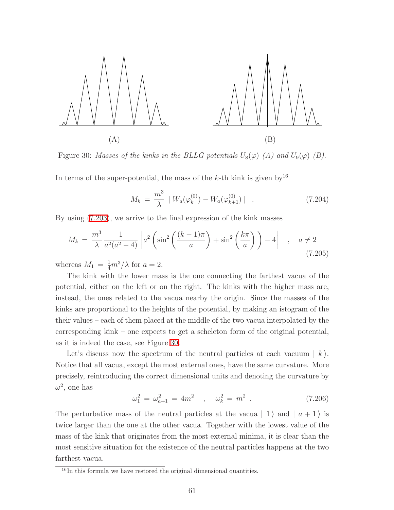

<span id="page-61-0"></span>Figure 30: Masses of the kinks in the BLLG potentials  $U_8(\varphi)$  (A) and  $U_9(\varphi)$  (B).

In terms of the super-potential, the mass of the k-th kink is given by<sup>16</sup>

$$
M_k = \frac{m^3}{\lambda} \mid W_a(\varphi_k^{(0)}) - W_a(\varphi_{k+1}^{(0)}) \mid . \tag{7.204}
$$

By using [\(7.203\)](#page-60-1), we arrive to the final expression of the kink masses

$$
M_k = \frac{m^3}{\lambda} \frac{1}{a^2(a^2 - 4)} \left| a^2 \left( \sin^2 \left( \frac{(k-1)\pi}{a} \right) + \sin^2 \left( \frac{k\pi}{a} \right) \right) - 4 \right| \quad , \quad a \neq 2
$$
\n(7.205)

whereas  $M_1 = \frac{1}{4}m^3/\lambda$  for  $a = 2$ .

The kink with the lower mass is the one connecting the farthest vacua of the potential, either on the left or on the right. The kinks with the higher mass are, instead, the ones related to the vacua nearby the origin. Since the masses of the kinks are proportional to the heights of the potential, by making an istogram of the their values – each of them placed at the middle of the two vacua interpolated by the corresponding kink – one expects to get a scheleton form of the original potential, as it is indeed the case, see Figure [30.](#page-61-0)

Let's discuss now the spectrum of the neutral particles at each vacuum  $| k \rangle$ . Notice that all vacua, except the most external ones, have the same curvature. More precisely, reintroducing the correct dimensional units and denoting the curvature by  $\omega^2$ , one has

$$
\omega_1^2 = \omega_{a+1}^2 = 4m^2 \quad , \quad \omega_k^2 = m^2 \quad . \tag{7.206}
$$

The perturbative mass of the neutral particles at the vacua  $| 1 \rangle$  and  $| a + 1 \rangle$  is twice larger than the one at the other vacua. Together with the lowest value of the mass of the kink that originates from the most external minima, it is clear than the most sensitive situation for the existence of the neutral particles happens at the two farthest vacua.

<sup>&</sup>lt;sup>16</sup>In this formula we have restored the original dimensional quantities.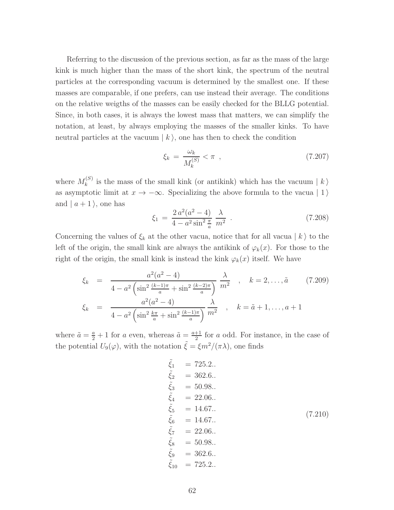Referring to the discussion of the previous section, as far as the mass of the large kink is much higher than the mass of the short kink, the spectrum of the neutral particles at the corresponding vacuum is determined by the smallest one. If these masses are comparable, if one prefers, can use instead their average. The conditions on the relative weigths of the masses can be easily checked for the BLLG potential. Since, in both cases, it is always the lowest mass that matters, we can simplify the notation, at least, by always employing the masses of the smaller kinks. To have neutral particles at the vacuum  $\mid k \rangle$ , one has then to check the condition

$$
\xi_k = \frac{\omega_k}{M_k^{(S)}} < \pi \quad , \tag{7.207}
$$

where  $M_k^{(S)}$ <sup>(3)</sup> is the mass of the small kink (or antikink) which has the vacuum  $|k\rangle$ as asymptotic limit at  $x \to -\infty$ . Specializing the above formula to the vacua | 1) and  $|a+1\rangle$ , one has

$$
\xi_1 = \frac{2 a^2 (a^2 - 4)}{4 - a^2 \sin^2 \frac{\pi}{a}} \frac{\lambda}{m^2} \tag{7.208}
$$

Concerning the values of  $\xi_k$  at the other vacua, notice that for all vacua  $|k\rangle$  to the left of the origin, the small kink are always the antikink of  $\varphi_k(x)$ . For those to the right of the origin, the small kink is instead the kink  $\varphi_k(x)$  itself. We have

$$
\xi_k = \frac{a^2(a^2 - 4)}{4 - a^2 \left(\sin^2 \frac{(k-1)\pi}{a} + \sin^2 \frac{(k-2)\pi}{a}\right)} \frac{\lambda}{m^2}, \quad k = 2, ..., \tilde{a} \quad (7.209)
$$
\n
$$
\xi_k = \frac{a^2(a^2 - 4)}{4 - a^2 \left(\sin^2 \frac{k\pi}{a} + \sin^2 \frac{(k-1)\pi}{a}\right)} \frac{\lambda}{m^2}, \quad k = \tilde{a} + 1, ..., a + 1
$$

where  $\tilde{a} = \frac{a}{2} + 1$  for a even, whereas  $\tilde{a} = \frac{a+1}{2}$  $\frac{+1}{2}$  for a odd. For instance, in the case of the potential  $U_9(\varphi)$ , with the notation  $\tilde{\xi} = \xi m^2/(\pi \lambda)$ , one finds

$$
\begin{array}{rcl}\n\tilde{\xi}_1 &= 725.2. \\
\tilde{\xi}_2 &= 362.6. \\
\tilde{\xi}_3 &= 50.98. \\
\tilde{\xi}_4 &= 22.06. \\
\tilde{\xi}_5 &= 14.67. \\
\tilde{\xi}_6 &= 14.67. \\
\tilde{\xi}_7 &= 22.06. \\
\tilde{\xi}_8 &= 50.98. \\
\tilde{\xi}_9 &= 362.6. \\
\tilde{\xi}_{10} &= 725.2.\n\end{array} \tag{7.210}
$$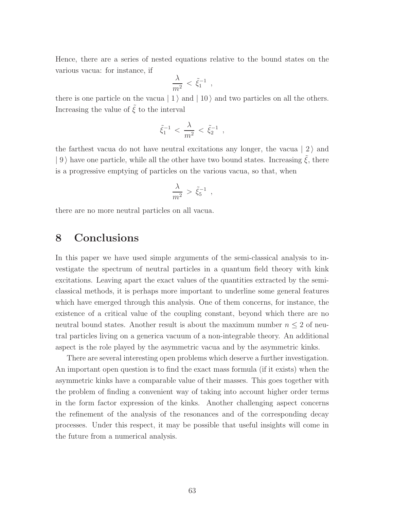Hence, there are a series of nested equations relative to the bound states on the various vacua: for instance, if

$$
\frac{\lambda}{m^2} < \tilde{\xi}_1^{-1} \enspace,
$$

there is one particle on the vacua  $| 1 \rangle$  and  $| 10 \rangle$  and two particles on all the others. Increasing the value of  $\xi$  to the interval

$$
\tilde{\xi}_1^{-1} \, < \, \frac{\lambda}{m^2} \, < \, \tilde{\xi}_2^{-1} \, \; ,
$$

the farthest vacua do not have neutral excitations any longer, the vacua  $|2\rangle$  and  $| 9 \rangle$  have one particle, while all the other have two bound states. Increasing  $\xi$ , there is a progressive emptying of particles on the various vacua, so that, when

$$
\frac{\lambda}{m^2} > \tilde{\xi}_5^{-1} ,
$$

there are no more neutral particles on all vacua.

# 8 Conclusions

In this paper we have used simple arguments of the semi-classical analysis to investigate the spectrum of neutral particles in a quantum field theory with kink excitations. Leaving apart the exact values of the quantities extracted by the semiclassical methods, it is perhaps more important to underline some general features which have emerged through this analysis. One of them concerns, for instance, the existence of a critical value of the coupling constant, beyond which there are no neutral bound states. Another result is about the maximum number  $n \leq 2$  of neutral particles living on a generica vacuum of a non-integrable theory. An additional aspect is the role played by the asymmetric vacua and by the asymmetric kinks.

There are several interesting open problems which deserve a further investigation. An important open question is to find the exact mass formula (if it exists) when the asymmetric kinks have a comparable value of their masses. This goes together with the problem of finding a convenient way of taking into account higher order terms in the form factor expression of the kinks. Another challenging aspect concerns the refinement of the analysis of the resonances and of the corresponding decay processes. Under this respect, it may be possible that useful insights will come in the future from a numerical analysis.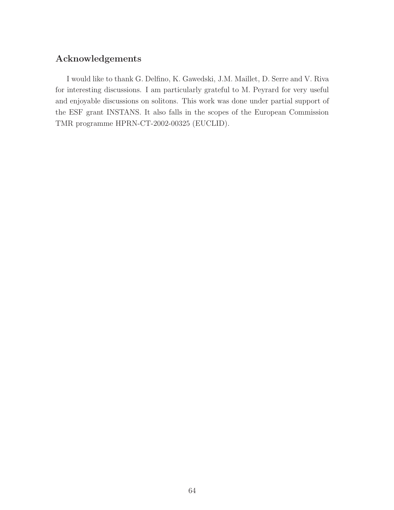### Acknowledgements

I would like to thank G. Delfino, K. Gawedski, J.M. Maillet, D. Serre and V. Riva for interesting discussions. I am particularly grateful to M. Peyrard for very useful and enjoyable discussions on solitons. This work was done under partial support of the ESF grant INSTANS. It also falls in the scopes of the European Commission TMR programme HPRN-CT-2002-00325 (EUCLID).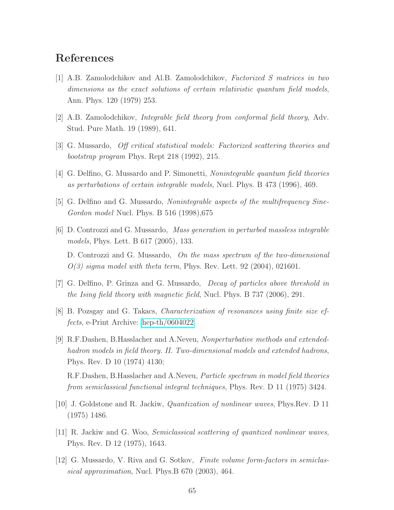# <span id="page-65-0"></span>References

- [1] A.B. Zamolodchikov and Al.B. Zamolodchikov, Factorized S matrices in two dimensions as the exact solutions of certain relativistic quantum field models, Ann. Phys. 120 (1979) 253.
- <span id="page-65-2"></span><span id="page-65-1"></span>[2] A.B. Zamolodchikov, Integrable field theory from conformal field theory, Adv. Stud. Pure Math. 19 (1989), 641.
- <span id="page-65-3"></span>[3] G. Mussardo, Off critical statistical models: Factorized scattering theories and bootstrap program Phys. Rept 218 (1992), 215.
- <span id="page-65-4"></span>[4] G. Delfino, G. Mussardo and P. Simonetti, Nonintegrable quantum field theories as perturbations of certain integrable models, Nucl. Phys. B 473 (1996), 469.
- <span id="page-65-5"></span>[5] G. Delfino and G. Mussardo, Nonintegrable aspects of the multifrequency Sine-Gordon model Nucl. Phys. B 516 (1998),675
- [6] D. Controzzi and G. Mussardo, Mass generation in perturbed massless integrable models, Phys. Lett. B 617 (2005), 133. D. Controzzi and G. Mussardo, On the mass spectrum of the two-dimensional  $O(3)$  sigma model with theta term, Phys. Rev. Lett. 92 (2004), 021601.
- <span id="page-65-11"></span><span id="page-65-6"></span>[7] G. Delfino, P. Grinza and G. Mussardo, Decay of particles above threshold in the Ising field theory with magnetic field, Nucl. Phys. B 737 (2006), 291.
- <span id="page-65-7"></span>[8] B. Pozsgay and G. Takacs, Characterization of resonances using finite size effects, e-Print Archive: [hep-th/0604022](http://arxiv.org/abs/hep-th/0604022)
- [9] R.F.Dashen, B.Hasslacher and A.Neveu, Nonperturbative methods and extendedhadron models in field theory. II. Two-dimensional models and extended hadrons, Phys. Rev. D 10 (1974) 4130;

R.F.Dashen, B.Hasslacher and A.Neveu, Particle spectrum in model field theories from semiclassical functional integral techniques, Phys. Rev. D 11 (1975) 3424.

- <span id="page-65-10"></span><span id="page-65-8"></span>[10] J. Goldstone and R. Jackiw, Quantization of nonlinear waves, Phys.Rev. D 11 (1975) 1486.
- <span id="page-65-9"></span>[11] R. Jackiw and G. Woo, Semiclassical scattering of quantized nonlinear waves, Phys. Rev. D 12 (1975), 1643.
- [12] G. Mussardo, V. Riva and G. Sotkov, Finite volume form-factors in semiclassical approximation, Nucl. Phys.B 670 (2003), 464.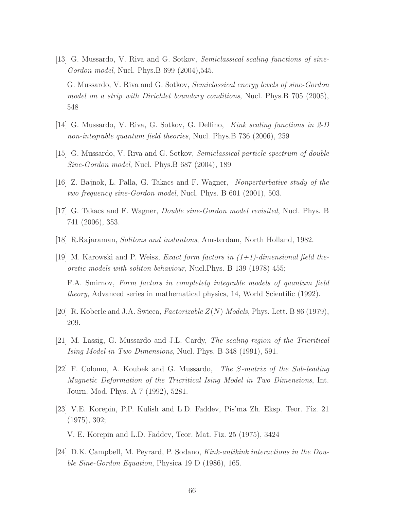- <span id="page-66-0"></span>[13] G. Mussardo, V. Riva and G. Sotkov, Semiclassical scaling functions of sine-Gordon model, Nucl. Phys.B 699 (2004),545. G. Mussardo, V. Riva and G. Sotkov, Semiclassical energy levels of sine-Gordon model on a strip with Dirichlet boundary conditions, Nucl. Phys.B 705 (2005), 548
- <span id="page-66-2"></span><span id="page-66-1"></span>[14] G. Mussardo, V. Riva, G. Sotkov, G. Delfino, Kink scaling functions in 2-D non-integrable quantum field theories, Nucl. Phys.B 736 (2006), 259
- <span id="page-66-4"></span>[15] G. Mussardo, V. Riva and G. Sotkov, Semiclassical particle spectrum of double Sine-Gordon model, Nucl. Phys.B 687 (2004), 189
- <span id="page-66-5"></span>[16] Z. Bajnok, L. Palla, G. Takacs and F. Wagner, Nonperturbative study of the two frequency sine-Gordon model, Nucl. Phys. B 601 (2001), 503.
- <span id="page-66-3"></span>[17] G. Takacs and F. Wagner, Double sine-Gordon model revisited, Nucl. Phys. B 741 (2006), 353.
- <span id="page-66-6"></span>[18] R.Rajaraman, Solitons and instantons, Amsterdam, North Holland, 1982.
- [19] M. Karowski and P. Weisz, *Exact form factors in*  $(1+1)$ -dimensional field theoretic models with soliton behaviour, Nucl.Phys. B 139 (1978) 455;

F.A. Smirnov, Form factors in completely integrable models of quantum field theory, Advanced series in mathematical physics, 14, World Scientific (1992).

- <span id="page-66-8"></span><span id="page-66-7"></span>[20] R. Koberle and J.A. Swieca, *Factorizable*  $Z(N)$  *Models*, Phys. Lett. B 86 (1979), 209.
- <span id="page-66-9"></span>[21] M. Lassig, G. Mussardo and J.L. Cardy, The scaling region of the Tricritical Ising Model in Two Dimensions, Nucl. Phys. B 348 (1991), 591.
- [22] F. Colomo, A. Koubek and G. Mussardo, The S-matrix of the Sub-leading Magnetic Deformation of the Tricritical Ising Model in Two Dimensions, Int. Journ. Mod. Phys. A 7 (1992), 5281.
- <span id="page-66-10"></span>[23] V.E. Korepin, P.P. Kulish and L.D. Faddev, Pis'ma Zh. Eksp. Teor. Fiz. 21 (1975), 302;

V. E. Korepin and L.D. Faddev, Teor. Mat. Fiz. 25 (1975), 3424

<span id="page-66-11"></span>[24] D.K. Campbell, M. Peyrard, P. Sodano, Kink-antikink interactions in the Double Sine-Gordon Equation, Physica 19 D (1986), 165.